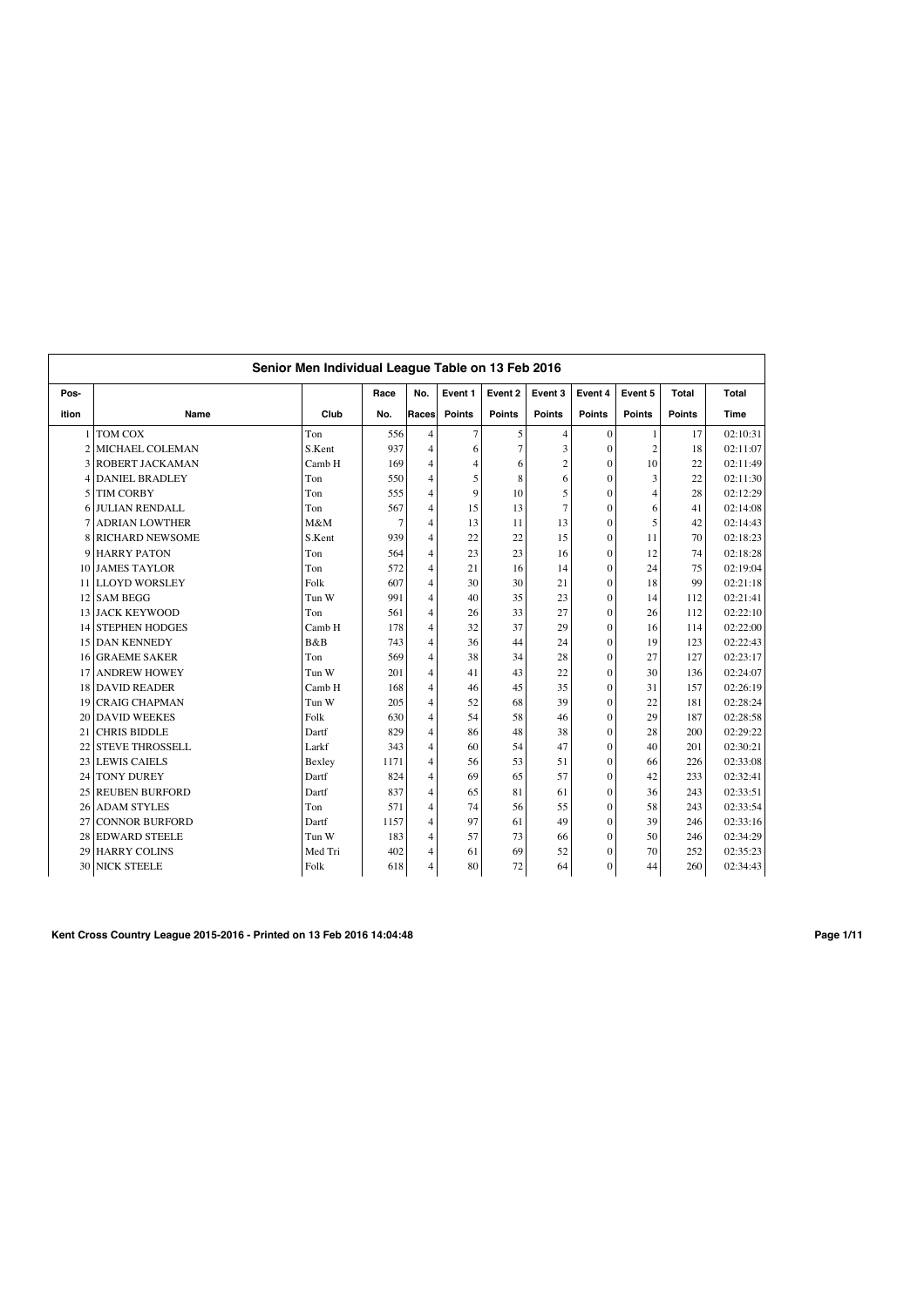|                | Senior Men Individual League Table on 13 Feb 2016 |                |      |                |                |                |                |                  |                |               |          |  |
|----------------|---------------------------------------------------|----------------|------|----------------|----------------|----------------|----------------|------------------|----------------|---------------|----------|--|
| Pos-           |                                                   |                | Race | No.            | Event 1        | Event 2        | Event 3        | Event 4          | Event 5        | <b>Total</b>  | Total    |  |
| ition          | Name                                              | Club           | No.  | Races          | <b>Points</b>  | <b>Points</b>  | <b>Points</b>  | <b>Points</b>    | <b>Points</b>  | <b>Points</b> | Time     |  |
|                | TOM COX                                           | Ton            | 556  | $\overline{4}$ | $\overline{7}$ | 5              | 4              | $\mathbf{0}$     | 1              | 17            | 02:10:31 |  |
| $\overline{c}$ | MICHAEL COLEMAN                                   | S.Kent         | 937  | $\overline{4}$ | 6              | $\overline{7}$ | 3              | $\mathbf{0}$     | $\overline{c}$ | 18            | 02:11:07 |  |
| 3              | ROBERT JACKAMAN                                   | Camb H         | 169  | 4              | $\overline{4}$ | 6              | $\overline{2}$ | $\mathbf{0}$     | 10             | 22            | 02:11:49 |  |
| 4              | <b>DANIEL BRADLEY</b>                             | Ton            | 550  | $\overline{4}$ | 5              | 8              | 6              | $\mathbf{0}$     | 3              | 22            | 02:11:30 |  |
| 5              | <b>TIM CORBY</b>                                  | Ton            | 555  | 4              | 9              | 10             | 5              | $\mathbf{0}$     | $\overline{4}$ | 28            | 02:12:29 |  |
| 6              | <b>JULIAN RENDALL</b>                             | Ton            | 567  | 4              | 15             | 13             | 7              | $\mathbf{0}$     | 6              | 41            | 02:14:08 |  |
|                | <b>ADRIAN LOWTHER</b>                             | M&M            | 7    | 4              | 13             | 11             | 13             | $\theta$         | 5              | 42            | 02:14:43 |  |
| 8              | <b>RICHARD NEWSOME</b>                            | S.Kent         | 939  | 4              | 22             | 22             | 15             | $\mathbf{0}$     | 11             | 70            | 02:18:23 |  |
| 9              | <b>HARRY PATON</b>                                | Ton            | 564  | $\overline{4}$ | 23             | 23             | 16             | $\Omega$         | 12             | 74            | 02:18:28 |  |
| 10             | <b>JAMES TAYLOR</b>                               | Ton            | 572  | $\overline{4}$ | 21             | 16             | 14             | $\theta$         | 24             | 75            | 02:19:04 |  |
| 11             | <b>LLOYD WORSLEY</b>                              | Folk           | 607  | $\overline{4}$ | 30             | 30             | 21             | $\mathbf{0}$     | 18             | 99            | 02:21:18 |  |
| 12             | <b>SAM BEGG</b>                                   | Tun W          | 991  | $\overline{4}$ | 40             | 35             | 23             | $\theta$         | 14             | 112           | 02:21:41 |  |
| 13             | <b>JACK KEYWOOD</b>                               | Ton            | 561  | $\overline{4}$ | 26             | 33             | 27             | $\mathbf{0}$     | 26             | 112           | 02:22:10 |  |
| 14             | <b>STEPHEN HODGES</b>                             | Camb H         | 178  | $\overline{4}$ | 32             | 37             | 29             | $\theta$         | 16             | 114           | 02:22:00 |  |
| 15             | <b>DAN KENNEDY</b>                                | <b>B&amp;B</b> | 743  | $\overline{4}$ | 36             | 44             | 24             | $\theta$         | 19             | 123           | 02:22:43 |  |
| 16             | <b>GRAEME SAKER</b>                               | Ton            | 569  | $\overline{4}$ | 38             | 34             | 28             | $\theta$         | 27             | 127           | 02:23:17 |  |
| 17             | <b>ANDREW HOWEY</b>                               | Tun W          | 201  | $\overline{4}$ | 41             | 43             | 22             | $\theta$         | 30             | 136           | 02:24:07 |  |
| 18             | <b>DAVID READER</b>                               | Camb H         | 168  | $\overline{4}$ | 46             | 45             | 35             | $\theta$         | 31             | 157           | 02:26:19 |  |
| 19             | <b>CRAIG CHAPMAN</b>                              | Tun W          | 205  | $\overline{4}$ | 52             | 68             | 39             | $\theta$         | 22             | 181           | 02:28:24 |  |
| 20             | <b>DAVID WEEKES</b>                               | Folk           | 630  | $\overline{4}$ | 54             | 58             | 46             | $\mathbf{0}$     | 29             | 187           | 02:28:58 |  |
| 21             | <b>CHRIS BIDDLE</b>                               | Dartf          | 829  | $\overline{4}$ | 86             | 48             | 38             | $\theta$         | 28             | 200           | 02:29:22 |  |
| 22             | <b>STEVE THROSSELL</b>                            | Larkf          | 343  | $\overline{4}$ | 60             | 54             | 47             | $\theta$         | 40             | 201           | 02:30:21 |  |
| 23             | <b>LEWIS CAIELS</b>                               | Bexley         | 1171 | $\overline{4}$ | 56             | 53             | 51             | $\mathbf{0}$     | 66             | 226           | 02:33:08 |  |
| 24             | <b>TONY DUREY</b>                                 | Dartf          | 824  | $\overline{4}$ | 69             | 65             | 57             | $\theta$         | 42             | 233           | 02:32:41 |  |
| 25             | <b>REUBEN BURFORD</b>                             | Dartf          | 837  | $\overline{4}$ | 65             | 81             | 61             | $\theta$         | 36             | 243           | 02:33:51 |  |
| 26             | <b>ADAM STYLES</b>                                | Ton            | 571  | $\overline{4}$ | 74             | 56             | 55             | $\theta$         | 58             | 243           | 02:33:54 |  |
| 27             | <b>CONNOR BURFORD</b>                             | Dartf          | 1157 | $\overline{4}$ | 97             | 61             | 49             | $\theta$         | 39             | 246           | 02:33:16 |  |
| 28             | <b>EDWARD STEELE</b>                              | Tun W          | 183  | $\overline{4}$ | 57             | 73             | 66             | $\theta$         | 50             | 246           | 02:34:29 |  |
| 29             | <b>HARRY COLINS</b>                               | Med Tri        | 402  | 4              | 61             | 69             | 52             | $\boldsymbol{0}$ | 70             | 252           | 02:35:23 |  |
|                | 30 NICK STEELE                                    | Folk           | 618  | 4              | 80             | 72             | 64             | $\mathbf{0}$     | 44             | 260           | 02:34:43 |  |

**Kent Cross Country League 2015-2016 - Printed on 13 Feb 2016 14:04:48 Page 1/11**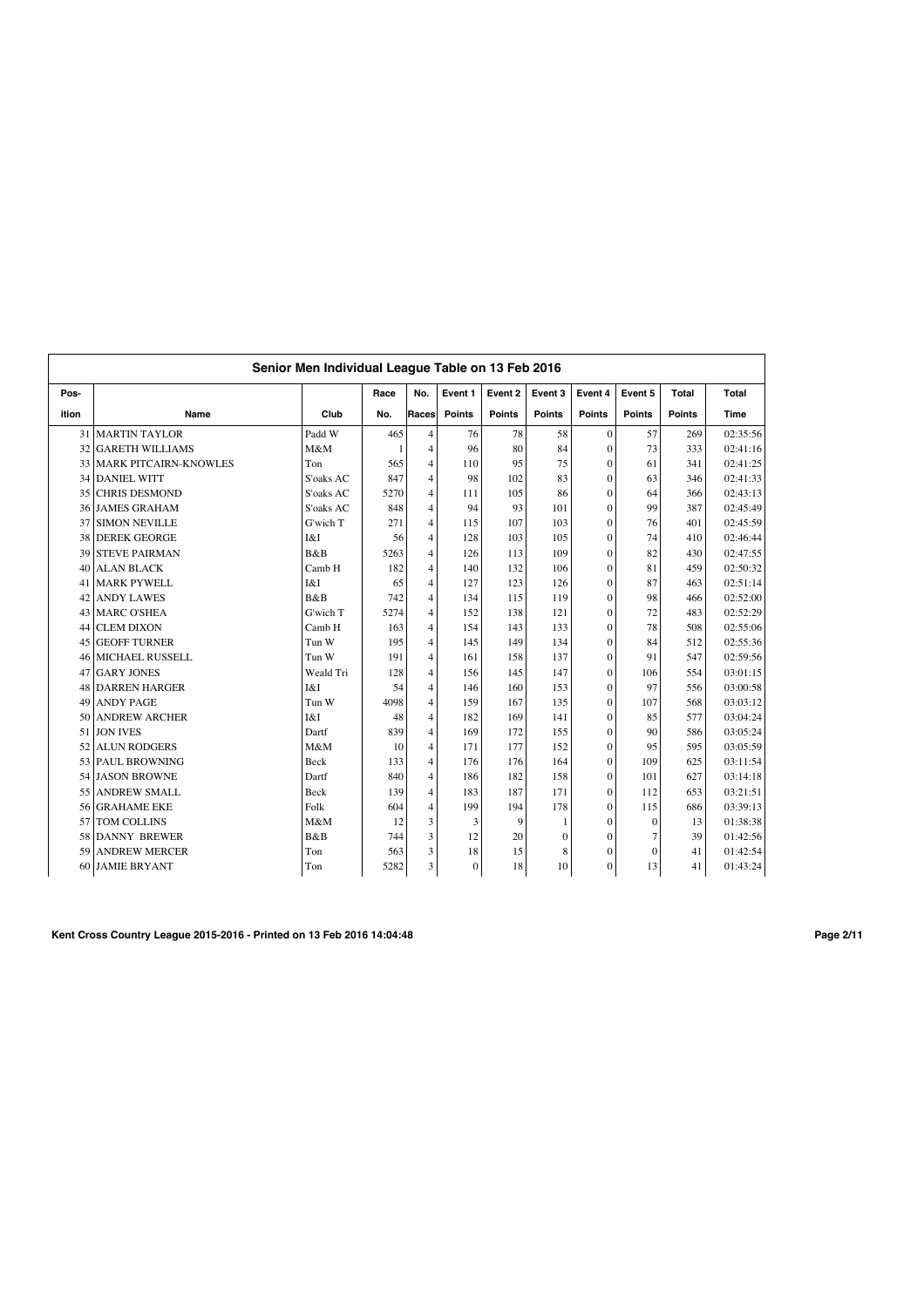|       | Senior Men Individual League Table on 13 Feb 2016 |           |              |                |               |               |               |                |               |               |             |  |  |
|-------|---------------------------------------------------|-----------|--------------|----------------|---------------|---------------|---------------|----------------|---------------|---------------|-------------|--|--|
| Pos-  |                                                   |           | Race         | No.            | Event 1       | Event 2       | Event 3       | Event 4        | Event 5       | Total         | Total       |  |  |
| ition | Name                                              | Club      | No.          | Races          | <b>Points</b> | <b>Points</b> | <b>Points</b> | <b>Points</b>  | <b>Points</b> | <b>Points</b> | <b>Time</b> |  |  |
| 31    | <b>MARTIN TAYLOR</b>                              | Padd W    | 465          | $\overline{4}$ | 76            | 78            | 58            | $\mathbf{0}$   | 57            | 269           | 02:35:56    |  |  |
| 32    | <b>GARETH WILLIAMS</b>                            | M&M       | $\mathbf{1}$ | 4              | 96            | 80            | 84            | $\mathbf{0}$   | 73            | 333           | 02:41:16    |  |  |
| 33    | <b>MARK PITCAIRN-KNOWLES</b>                      | Ton       | 565          | 4              | 110           | 95            | 75            | $\mathbf{0}$   | 61            | 341           | 02:41:25    |  |  |
| 34    | <b>DANIEL WITT</b>                                | S'oaks AC | 847          | 4              | 98            | 102           | 83            | $\mathbf{0}$   | 63            | 346           | 02:41:33    |  |  |
| 35    | <b>CHRIS DESMOND</b>                              | S'oaks AC | 5270         | 4              | 111           | 105           | 86            | $\mathbf{0}$   | 64            | 366           | 02:43:13    |  |  |
| 36    | <b>JAMES GRAHAM</b>                               | S'oaks AC | 848          | 4              | 94            | 93            | 101           | $\overline{0}$ | 99            | 387           | 02:45:49    |  |  |
| 37    | <b>SIMON NEVILLE</b>                              | G'wich T  | 271          | 4              | 115           | 107           | 103           | $\overline{0}$ | 76            | 401           | 02:45:59    |  |  |
| 38    | <b>DEREK GEORGE</b>                               | I&I       | 56           | 4              | 128           | 103           | 105           | $\overline{0}$ | 74            | 410           | 02:46:44    |  |  |
| 39    | <b>STEVE PAIRMAN</b>                              | B&B       | 5263         | $\overline{4}$ | 126           | 113           | 109           | $\mathbf{0}$   | 82            | 430           | 02:47:55    |  |  |
| 40    | <b>ALAN BLACK</b>                                 | Camb H    | 182          | $\overline{4}$ | 140           | 132           | 106           | $\overline{0}$ | 81            | 459           | 02:50:32    |  |  |
| 41    | <b>MARK PYWELL</b>                                | I&I       | 65           | 4              | 127           | 123           | 126           | $\overline{0}$ | 87            | 463           | 02:51:14    |  |  |
| 42    | <b>ANDY LAWES</b>                                 | B&B       | 742          | $\overline{4}$ | 134           | 115           | 119           | $\mathbf{0}$   | 98            | 466           | 02:52:00    |  |  |
|       | 43 MARC O'SHEA                                    | G'wich T  | 5274         | 4              | 152           | 138           | 121           | $\mathbf{0}$   | 72            | 483           | 02:52:29    |  |  |
| 44    | <b>CLEM DIXON</b>                                 | Camb H    | 163          | $\overline{4}$ | 154           | 143           | 133           | $\theta$       | 78            | 508           | 02:55:06    |  |  |
| 45    | <b>GEOFF TURNER</b>                               | Tun W     | 195          | $\overline{4}$ | 145           | 149           | 134           | $\overline{0}$ | 84            | 512           | 02:55:36    |  |  |
| 46    | <b>MICHAEL RUSSELL</b>                            | Tun W     | 191          | $\overline{4}$ | 161           | 158           | 137           | $\theta$       | 91            | 547           | 02:59:56    |  |  |
| 47    | <b>GARY JONES</b>                                 | Weald Tri | 128          | 4              | 156           | 145           | 147           | $\Omega$       | 106           | 554           | 03:01:15    |  |  |
| 48    | <b>DARREN HARGER</b>                              | I&I       | 54           | $\overline{4}$ | 146           | 160           | 153           | $\mathbf{0}$   | 97            | 556           | 03:00:58    |  |  |
| 49    | <b>ANDY PAGE</b>                                  | Tun W     | 4098         | $\overline{4}$ | 159           | 167           | 135           | $\mathbf{0}$   | 107           | 568           | 03:03:12    |  |  |
| 50    | <b>ANDREW ARCHER</b>                              | I&I       | 48           | $\overline{4}$ | 182           | 169           | 141           | $\mathbf{0}$   | 85            | 577           | 03:04:24    |  |  |
| 51    | <b>JON IVES</b>                                   | Dartf     | 839          | 4              | 169           | 172           | 155           | $\mathbf{0}$   | 90            | 586           | 03:05:24    |  |  |
| 52    | <b>ALUN RODGERS</b>                               | M&M       | 10           | 4              | 171           | 177           | 152           | $\mathbf{0}$   | 95            | 595           | 03:05:59    |  |  |
|       | 53 PAUL BROWNING                                  | Beck      | 133          | 4              | 176           | 176           | 164           | $\mathbf{0}$   | 109           | 625           | 03:11:54    |  |  |
|       | 54 JASON BROWNE                                   | Dartf     | 840          | $\overline{4}$ | 186           | 182           | 158           | $\mathbf{0}$   | 101           | 627           | 03:14:18    |  |  |
| 55    | <b>ANDREW SMALL</b>                               | Beck      | 139          | $\overline{4}$ | 183           | 187           | 171           | $\mathbf{0}$   | 112           | 653           | 03:21:51    |  |  |
| 56    | <b>GRAHAME EKE</b>                                | Folk      | 604          | 4              | 199           | 194           | 178           | $\mathbf{0}$   | 115           | 686           | 03:39:13    |  |  |
| 57    | TOM COLLINS                                       | M&M       | 12           | 3              | 3             | 9             | 1             | $\theta$       | $\Omega$      | 13            | 01:38:38    |  |  |
| 58    | <b>DANNY BREWER</b>                               | B&B       | 744          | 3              | 12            | 20            | $\mathbf{0}$  | $\mathbf{0}$   | 7             | 39            | 01:42:56    |  |  |
| 59    | <b>ANDREW MERCER</b>                              | Ton       | 563          | 3              | 18            | 15            | 8             | $\mathbf{0}$   | $\Omega$      | 41            | 01:42:54    |  |  |
|       | 60 JAMIE BRYANT                                   | Ton       | 5282         | 3              | $\mathbf{0}$  | 18            | 10            | $\overline{0}$ | 13            | 41            | 01:43:24    |  |  |

**Kent Cross Country League 2015-2016 - Printed on 13 Feb 2016 14:04:48 Page 2/11**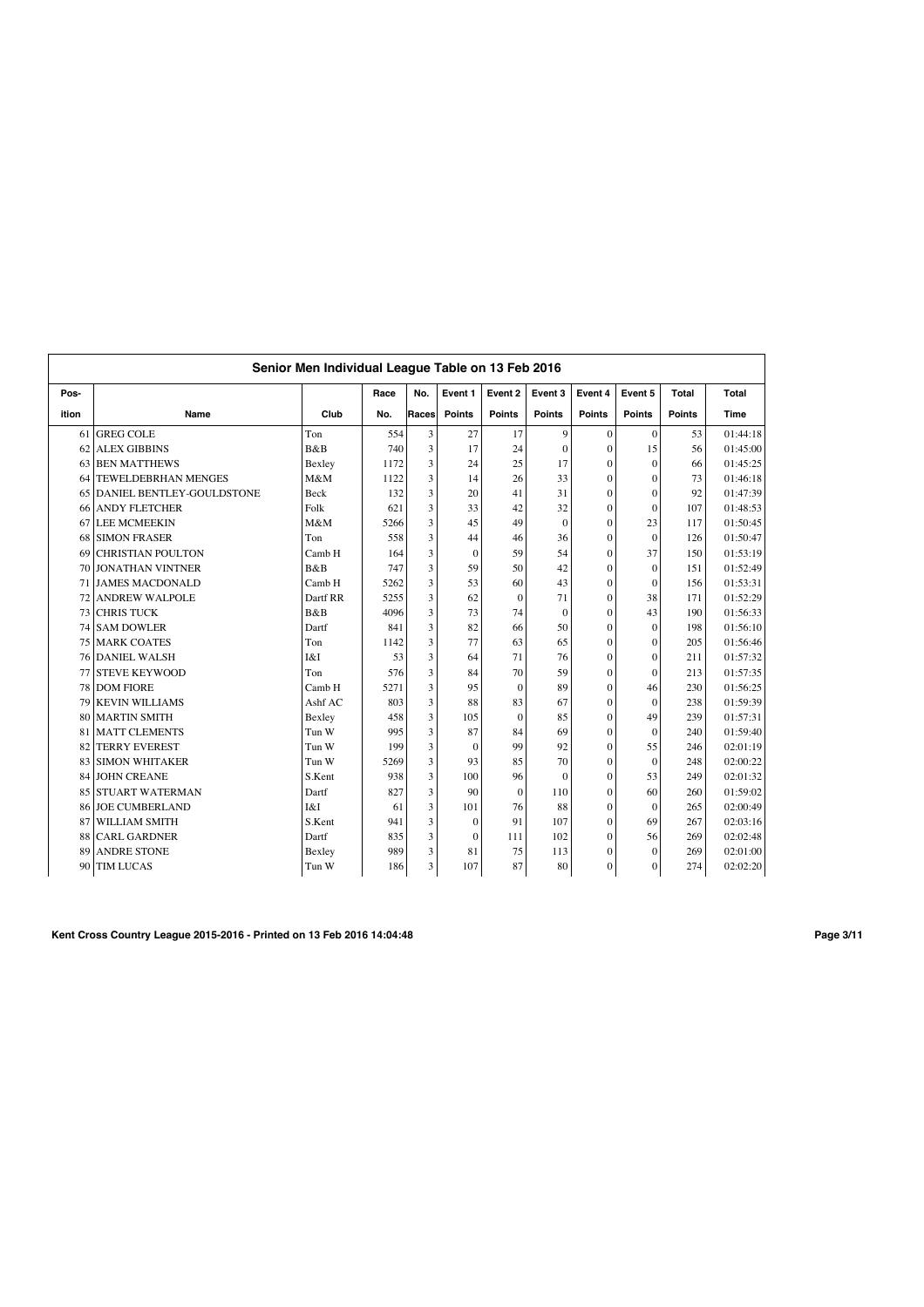|       | Senior Men Individual League Table on 13 Feb 2016 |             |      |       |               |                |               |                  |               |               |          |  |  |
|-------|---------------------------------------------------|-------------|------|-------|---------------|----------------|---------------|------------------|---------------|---------------|----------|--|--|
| Pos-  |                                                   |             | Race | No.   | Event 1       | Event 2        | Event 3       | Event 4          | Event 5       | Total         | Total    |  |  |
| ition | Name                                              | Club        | No.  | Races | <b>Points</b> | <b>Points</b>  | <b>Points</b> | <b>Points</b>    | <b>Points</b> | <b>Points</b> | Time     |  |  |
| 61    | <b>GREG COLE</b>                                  | Ton         | 554  | 3     | 27            | 17             | 9             | $\mathbf{0}$     | $\Omega$      | 53            | 01:44:18 |  |  |
| 62    | <b>ALEX GIBBINS</b>                               | B&B         | 740  | 3     | 17            | 24             | $\Omega$      | $\mathbf{0}$     | 15            | 56            | 01:45:00 |  |  |
| 63    | <b>BEN MATTHEWS</b>                               | Bexley      | 1172 | 3     | 24            | 25             | 17            | $\mathbf{0}$     | $\theta$      | 66            | 01:45:25 |  |  |
| 64    | <b>TEWELDEBRHAN MENGES</b>                        | M&M         | 1122 | 3     | 14            | 26             | 33            | $\Omega$         | $\theta$      | 73            | 01:46:18 |  |  |
| 65    | DANIEL BENTLEY-GOULDSTONE                         | <b>Beck</b> | 132  | 3     | 20            | 41             | 31            | $\Omega$         | $\theta$      | 92            | 01:47:39 |  |  |
| 66    | <b>ANDY FLETCHER</b>                              | Folk        | 621  | 3     | 33            | 42             | 32            | $\mathbf{0}$     | $\theta$      | 107           | 01:48:53 |  |  |
| 67    | <b>LEE MCMEEKIN</b>                               | M&M         | 5266 | 3     | 45            | 49             | $\Omega$      | $\Omega$         | 23            | 117           | 01:50:45 |  |  |
| 68    | <b>SIMON FRASER</b>                               | Ton         | 558  | 3     | 44            | 46             | 36            | $\mathbf{0}$     | $\theta$      | 126           | 01:50:47 |  |  |
| 69    | <b>CHRISTIAN POULTON</b>                          | Camb H      | 164  | 3     | $\mathbf{0}$  | 59             | 54            | $\mathbf{0}$     | 37            | 150           | 01:53:19 |  |  |
| 70    | <b>JONATHAN VINTNER</b>                           | B&B         | 747  | 3     | 59            | 50             | 42            | $\mathbf{0}$     | $\mathbf{0}$  | 151           | 01:52:49 |  |  |
| 71    | <b>JAMES MACDONALD</b>                            | Camb H      | 5262 | 3     | 53            | 60             | 43            | $\mathbf{0}$     | $\theta$      | 156           | 01:53:31 |  |  |
| 72    | <b>ANDREW WALPOLE</b>                             | Dartf RR    | 5255 | 3     | 62            | $\mathbf{0}$   | 71            | $\mathbf{0}$     | 38            | 171           | 01:52:29 |  |  |
| 73    | <b>CHRIS TUCK</b>                                 | B&B         | 4096 | 3     | 73            | 74             | $\Omega$      | $\mathbf{0}$     | 43            | 190           | 01:56:33 |  |  |
| 74    | <b>SAM DOWLER</b>                                 | Dartf       | 841  | 3     | 82            | 66             | 50            | $\mathbf{0}$     | $\Omega$      | 198           | 01:56:10 |  |  |
| 75    | <b>MARK COATES</b>                                | Ton         | 1142 | 3     | 77            | 63             | 65            | $\Omega$         | $\theta$      | 205           | 01:56:46 |  |  |
| 76    | <b>DANIEL WALSH</b>                               | I&I         | 53   | 3     | 64            | 71             | 76            | $\mathbf{0}$     | $\theta$      | 211           | 01:57:32 |  |  |
| 77    | <b>STEVE KEYWOOD</b>                              | Ton         | 576  | 3     | 84            | 70             | 59            | $\theta$         | $\theta$      | 213           | 01:57:35 |  |  |
| 78    | <b>DOM FIORE</b>                                  | Camb H      | 5271 | 3     | 95            | $\Omega$       | 89            | $\mathbf{0}$     | 46            | 230           | 01:56:25 |  |  |
| 79    | <b>KEVIN WILLIAMS</b>                             | Ashf AC     | 803  | 3     | 88            | 83             | 67            | $\mathbf{0}$     | $\theta$      | 238           | 01:59:39 |  |  |
| 80    | <b>MARTIN SMITH</b>                               | Bexley      | 458  | 3     | 105           | $\overline{0}$ | 85            | $\mathbf{0}$     | 49            | 239           | 01:57:31 |  |  |
| 81    | <b>MATT CLEMENTS</b>                              | Tun W       | 995  | 3     | 87            | 84             | 69            | $\mathbf{0}$     | $\mathbf{0}$  | 240           | 01:59:40 |  |  |
| 82    | <b>TERRY EVEREST</b>                              | Tun W       | 199  | 3     | $\mathbf{0}$  | 99             | 92            | $\mathbf{0}$     | 55            | 246           | 02:01:19 |  |  |
| 83    | <b>SIMON WHITAKER</b>                             | Tun W       | 5269 | 3     | 93            | 85             | 70            | $\boldsymbol{0}$ | $\theta$      | 248           | 02:00:22 |  |  |
| 84    | <b>JOHN CREANE</b>                                | S.Kent      | 938  | 3     | 100           | 96             | $\theta$      | $\mathbf{0}$     | 53            | 249           | 02:01:32 |  |  |
| 85    | <b>STUART WATERMAN</b>                            | Dartf       | 827  | 3     | 90            | $\theta$       | 110           | $\theta$         | 60            | 260           | 01:59:02 |  |  |
| 86    | <b>JOE CUMBERLAND</b>                             | I&I         | 61   | 3     | 101           | 76             | 88            | $\mathbf{0}$     | $\theta$      | 265           | 02:00:49 |  |  |
| 87    | WILLIAM SMITH                                     | S.Kent      | 941  | 3     | $\mathbf{0}$  | 91             | 107           | $\theta$         | 69            | 267           | 02:03:16 |  |  |
| 88    | <b>CARL GARDNER</b>                               | Dartf       | 835  | 3     | $\mathbf{0}$  | 111            | 102           | $\mathbf{0}$     | 56            | 269           | 02:02:48 |  |  |
| 89    | <b>ANDRE STONE</b>                                | Bexley      | 989  | 3     | 81            | 75             | 113           | $\mathbf{0}$     | $\theta$      | 269           | 02:01:00 |  |  |
| 90    | <b>TIM LUCAS</b>                                  | Tun W       | 186  | 3     | 107           | 87             | 80            | $\mathbf{0}$     | $\theta$      | 274           | 02:02:20 |  |  |

**Kent Cross Country League 2015-2016 - Printed on 13 Feb 2016 14:04:48 Page 3/11**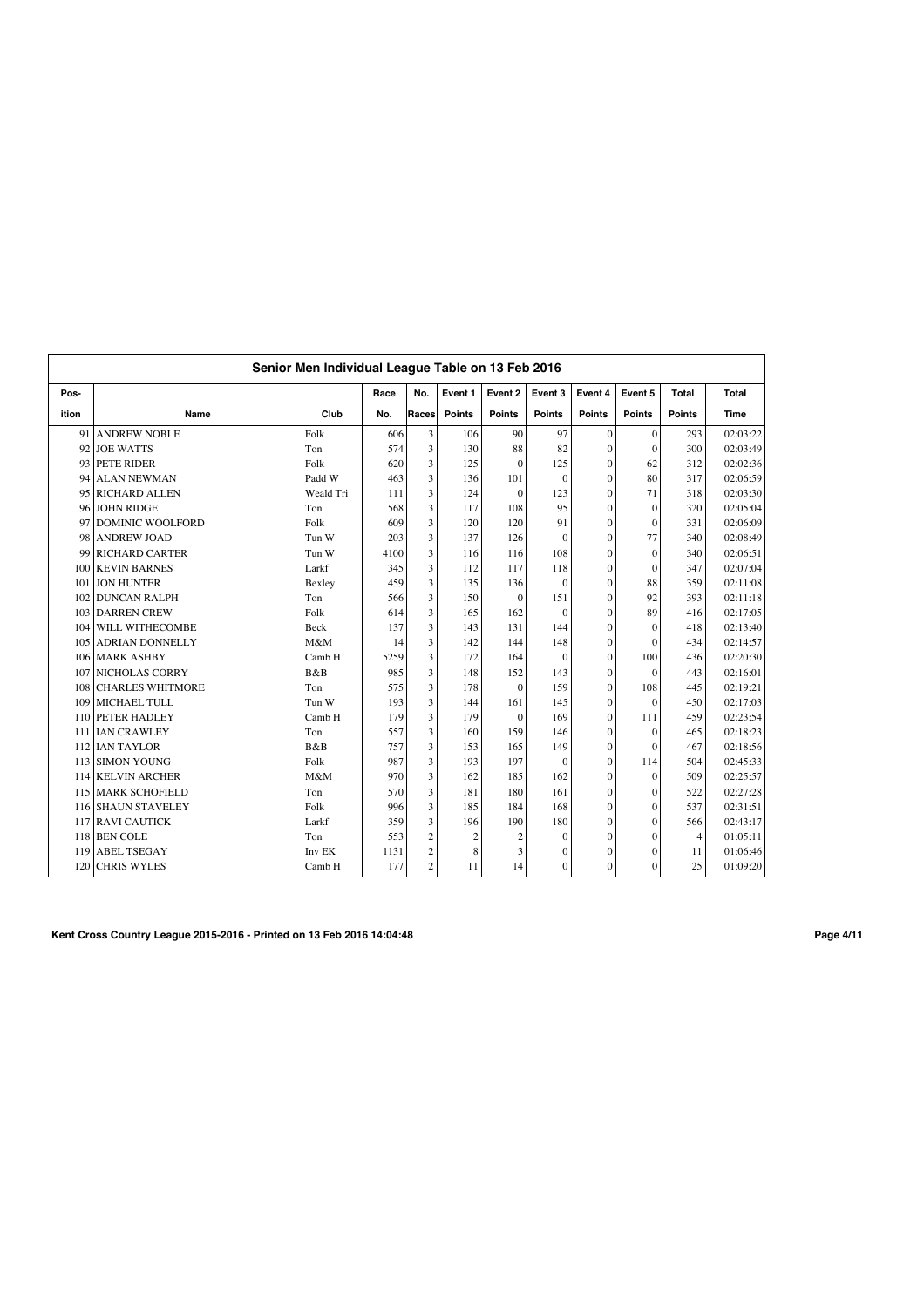|       | Senior Men Individual League Table on 13 Feb 2016 |             |      |                |                |                |               |                |               |                |          |  |  |
|-------|---------------------------------------------------|-------------|------|----------------|----------------|----------------|---------------|----------------|---------------|----------------|----------|--|--|
| Pos-  |                                                   |             | Race | No.            | Event 1        | Event 2        | Event 3       | Event 4        | Event 5       | Total          | Total    |  |  |
| ition | Name                                              | Club        | No.  | Races          | <b>Points</b>  | <b>Points</b>  | <b>Points</b> | <b>Points</b>  | <b>Points</b> | <b>Points</b>  | Time     |  |  |
| 91    | <b>ANDREW NOBLE</b>                               | Folk        | 606  | 3              | 106            | 90             | 97            | $\overline{0}$ | $\mathbf{0}$  | 293            | 02:03:22 |  |  |
| 92    | <b>JOE WATTS</b>                                  | Ton         | 574  | 3              | 130            | 88             | 82            | $\mathbf{0}$   | $\theta$      | 300            | 02:03:49 |  |  |
| 93    | <b>PETE RIDER</b>                                 | Folk        | 620  | 3              | 125            | $\theta$       | 125           | $\mathbf{0}$   | 62            | 312            | 02:02:36 |  |  |
| 94    | <b>ALAN NEWMAN</b>                                | Padd W      | 463  | 3              | 136            | 101            | $\theta$      | $\overline{0}$ | 80            | 317            | 02:06:59 |  |  |
| 95    | <b>RICHARD ALLEN</b>                              | Weald Tri   | 111  | 3              | 124            | $\mathbf{0}$   | 123           | $\overline{0}$ | 71            | 318            | 02:03:30 |  |  |
| 96    | <b>JOHN RIDGE</b>                                 | Ton         | 568  | 3              | 117            | 108            | 95            | $\overline{0}$ | $\theta$      | 320            | 02:05:04 |  |  |
| 97    | <b>DOMINIC WOOLFORD</b>                           | Folk        | 609  | 3              | 120            | 120            | 91            | $\overline{0}$ | $\theta$      | 331            | 02:06:09 |  |  |
| 98    | <b>ANDREW JOAD</b>                                | Tun W       | 203  | 3              | 137            | 126            | $\theta$      | $\overline{0}$ | 77            | 340            | 02:08:49 |  |  |
| 99    | <b>RICHARD CARTER</b>                             | Tun W       | 4100 | 3              | 116            | 116            | 108           | $\overline{0}$ | $\theta$      | 340            | 02:06:51 |  |  |
| 100   | <b>KEVIN BARNES</b>                               | Larkf       | 345  | 3              | 112            | 117            | 118           | $\overline{0}$ | $\theta$      | 347            | 02:07:04 |  |  |
| 101   | <b>JON HUNTER</b>                                 | Bexley      | 459  | 3              | 135            | 136            | $\theta$      | $\overline{0}$ | 88            | 359            | 02:11:08 |  |  |
| 102   | <b>DUNCAN RALPH</b>                               | Ton         | 566  | 3              | 150            | $\mathbf{0}$   | 151           | $\overline{0}$ | 92            | 393            | 02:11:18 |  |  |
| 103   | <b>DARREN CREW</b>                                | Folk        | 614  | 3              | 165            | 162            | $\theta$      | $\overline{0}$ | 89            | 416            | 02:17:05 |  |  |
| 104   | WILL WITHECOMBE                                   | <b>Beck</b> | 137  | 3              | 143            | 131            | 144           | $\theta$       | $\theta$      | 418            | 02:13:40 |  |  |
| 105   | <b>ADRIAN DONNELLY</b>                            | M&M         | 14   | 3              | 142            | 144            | 148           | $\overline{0}$ | $\theta$      | 434            | 02:14:57 |  |  |
| 106   | <b>MARK ASHBY</b>                                 | Camb H      | 5259 | 3              | 172            | 164            | $\theta$      | $\overline{0}$ | 100           | 436            | 02:20:30 |  |  |
| 107   | <b>NICHOLAS CORRY</b>                             | B&B         | 985  | 3              | 148            | 152            | 143           | $\overline{0}$ | $\theta$      | 443            | 02:16:01 |  |  |
| 108   | <b>CHARLES WHITMORE</b>                           | Ton         | 575  | 3              | 178            | $\mathbf{0}$   | 159           | $\overline{0}$ | 108           | 445            | 02:19:21 |  |  |
| 109   | MICHAEL TULL                                      | Tun W       | 193  | 3              | 144            | 161            | 145           | $\overline{0}$ | $\theta$      | 450            | 02:17:03 |  |  |
| 110   | <b>PETER HADLEY</b>                               | Camb H      | 179  | 3              | 179            | $\mathbf{0}$   | 169           | $\overline{0}$ | 111           | 459            | 02:23:54 |  |  |
| 111   | <b>IAN CRAWLEY</b>                                | Ton         | 557  | 3              | 160            | 159            | 146           | $\mathbf{0}$   | $\theta$      | 465            | 02:18:23 |  |  |
| 112   | <b>IAN TAYLOR</b>                                 | B&B         | 757  | 3              | 153            | 165            | 149           | $\mathbf{0}$   | $\Omega$      | 467            | 02:18:56 |  |  |
| 113   | <b>SIMON YOUNG</b>                                | Folk        | 987  | 3              | 193            | 197            | $\theta$      | $\overline{0}$ | 114           | 504            | 02:45:33 |  |  |
| 114   | <b>KELVIN ARCHER</b>                              | M&M         | 970  | 3              | 162            | 185            | 162           | $\theta$       | $\theta$      | 509            | 02:25:57 |  |  |
| 115   | <b>MARK SCHOFIELD</b>                             | Ton         | 570  | 3              | 181            | 180            | 161           | $\overline{0}$ | $\Omega$      | 522            | 02:27:28 |  |  |
| 116   | <b>SHAUN STAVELEY</b>                             | Folk        | 996  | 3              | 185            | 184            | 168           | $\mathbf{0}$   | $\Omega$      | 537            | 02:31:51 |  |  |
| 117   | <b>RAVI CAUTICK</b>                               | Larkf       | 359  | 3              | 196            | 190            | 180           | $\mathbf{0}$   | $\theta$      | 566            | 02:43:17 |  |  |
|       | 118 BEN COLE                                      | Ton         | 553  | $\mathfrak{2}$ | $\overline{c}$ | $\overline{2}$ | $\theta$      | $\overline{0}$ | $\Omega$      | $\overline{4}$ | 01:05:11 |  |  |
| 119   | <b>ABEL TSEGAY</b>                                | Inv EK      | 1131 | $\mathfrak{2}$ | 8              | 3              | $\mathbf{0}$  | $\mathbf{0}$   | $\theta$      | 11             | 01:06:46 |  |  |
| 120   | <b>CHRIS WYLES</b>                                | Camb H      | 177  | 2              | 11             | 14             | $\mathbf{0}$  | $\overline{0}$ | $\mathbf{0}$  | 25             | 01:09:20 |  |  |

**Kent Cross Country League 2015-2016 - Printed on 13 Feb 2016 14:04:48 Page 4/11**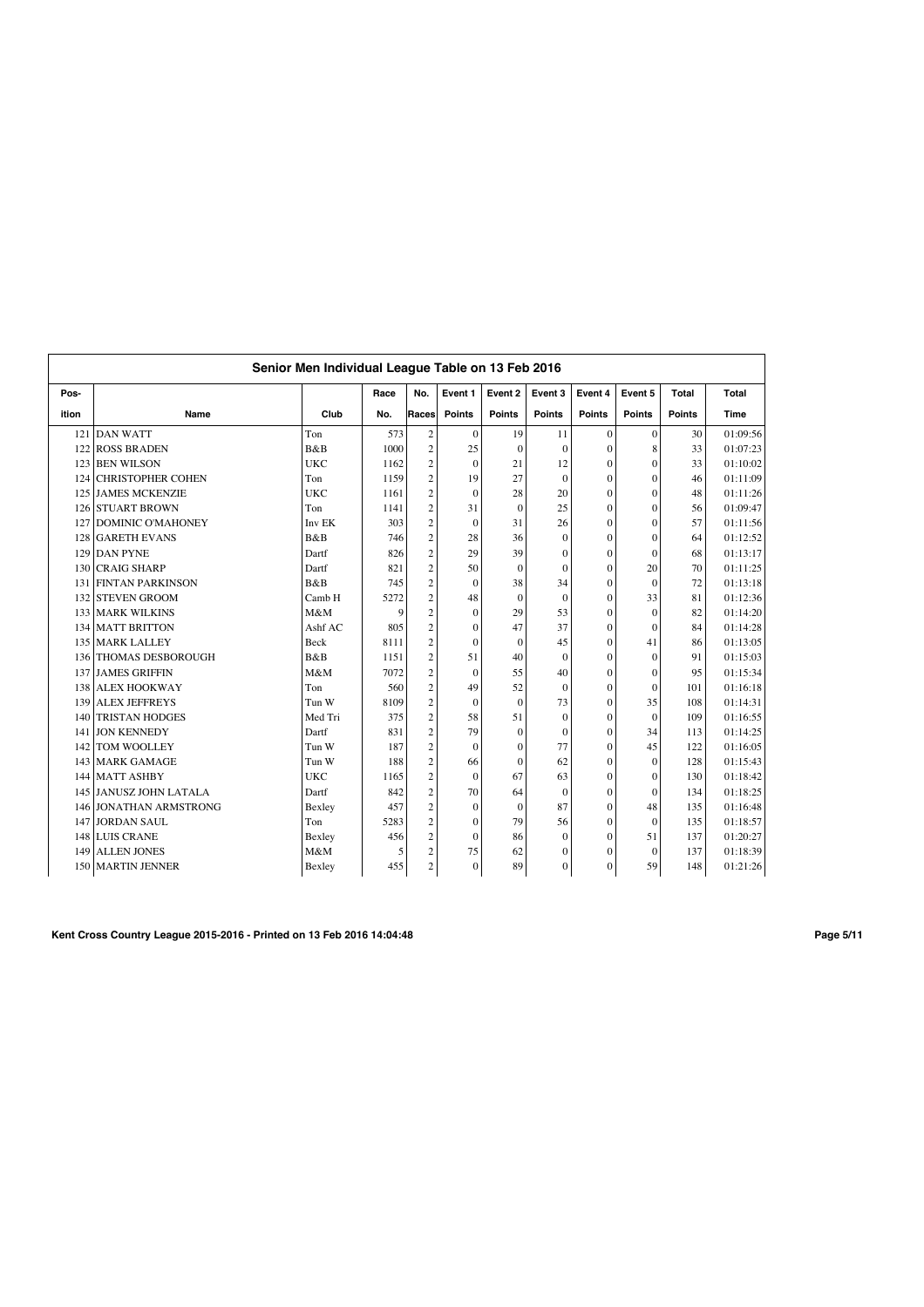|       | Senior Men Individual League Table on 13 Feb 2016 |                |      |                |               |                |                  |                  |                |               |          |  |
|-------|---------------------------------------------------|----------------|------|----------------|---------------|----------------|------------------|------------------|----------------|---------------|----------|--|
| Pos-  |                                                   |                | Race | No.            | Event 1       | Event 2        | Event 3          | Event 4          | Event 5        | <b>Total</b>  | Total    |  |
| ition | Name                                              | Club           | No.  | Races          | <b>Points</b> | <b>Points</b>  | <b>Points</b>    | <b>Points</b>    | <b>Points</b>  | <b>Points</b> | Time     |  |
| 121   | <b>DAN WATT</b>                                   | Ton            | 573  | $\sqrt{2}$     | $\mathbf{0}$  | 19             | 11               | $\mathbf{0}$     | $\mathbf{0}$   | 30            | 01:09:56 |  |
| 122   | <b>ROSS BRADEN</b>                                | B&B            | 1000 | $\overline{c}$ | 25            | $\mathbf{0}$   | $\theta$         | $\mathbf{0}$     | 8              | 33            | 01:07:23 |  |
| 123   | <b>BEN WILSON</b>                                 | <b>UKC</b>     | 1162 | $\overline{2}$ | $\mathbf{0}$  | 21             | 12               | $\mathbf{0}$     | $\theta$       | 33            | 01:10:02 |  |
| 124   | <b>CHRISTOPHER COHEN</b>                          | Ton            | 1159 | $\overline{c}$ | 19            | 27             | $\theta$         | $\mathbf{0}$     | $\theta$       | 46            | 01:11:09 |  |
| 125   | <b>JAMES MCKENZIE</b>                             | <b>UKC</b>     | 1161 | $\overline{c}$ | $\mathbf{0}$  | 28             | 20               | $\mathbf{0}$     | $\theta$       | 48            | 01:11:26 |  |
| 126   | <b>STUART BROWN</b>                               | Ton            | 1141 | $\overline{2}$ | 31            | $\overline{0}$ | 25               | $\mathbf{0}$     | $\overline{0}$ | 56            | 01:09:47 |  |
| 127   | <b>DOMINIC O'MAHONEY</b>                          | Inv EK         | 303  | $\overline{2}$ | $\mathbf{0}$  | 31             | 26               | $\mathbf{0}$     | $\overline{0}$ | 57            | 01:11:56 |  |
| 128   | <b>GARETH EVANS</b>                               | B&B            | 746  | $\overline{2}$ | 28            | 36             | $\mathbf{0}$     | $\mathbf{0}$     | $\theta$       | 64            | 01:12:52 |  |
| 129   | <b>DAN PYNE</b>                                   | Dartf          | 826  | $\overline{c}$ | 29            | 39             | $\theta$         | $\Omega$         | $\theta$       | 68            | 01:13:17 |  |
| 130   | <b>CRAIG SHARP</b>                                | Dartf          | 821  | $\overline{c}$ | 50            | $\theta$       | $\theta$         | $\mathbf{0}$     | 20             | 70            | 01:11:25 |  |
| 131   | <b>FINTAN PARKINSON</b>                           | <b>B&amp;B</b> | 745  | $\overline{c}$ | $\mathbf{0}$  | 38             | 34               | $\mathbf{0}$     | $\theta$       | 72            | 01:13:18 |  |
| 132   | <b>STEVEN GROOM</b>                               | Camb H         | 5272 | $\overline{c}$ | 48            | $\Omega$       | $\theta$         | $\mathbf{0}$     | 33             | 81            | 01:12:36 |  |
| 133   | <b>MARK WILKINS</b>                               | M&M            | 9    | $\overline{2}$ | $\mathbf{0}$  | 29             | 53               | $\mathbf{0}$     | $\theta$       | 82            | 01:14:20 |  |
| 134   | <b>MATT BRITTON</b>                               | Ashf AC        | 805  | $\overline{c}$ | $\mathbf{0}$  | 47             | 37               | $\mathbf{0}$     | $\theta$       | 84            | 01:14:28 |  |
| 135   | <b>MARK LALLEY</b>                                | Beck           | 8111 | $\overline{c}$ | $\mathbf{0}$  | $\theta$       | 45               | $\mathbf{0}$     | 41             | 86            | 01:13:05 |  |
| 136   | THOMAS DESBOROUGH                                 | <b>B</b> &B    | 1151 | $\overline{c}$ | 51            | 40             | $\Omega$         | $\mathbf{0}$     | $\theta$       | 91            | 01:15:03 |  |
| 137   | <b>JAMES GRIFFIN</b>                              | M&M            | 7072 | $\overline{2}$ | $\mathbf{0}$  | 55             | 40               | $\mathbf{0}$     | $\overline{0}$ | 95            | 01:15:34 |  |
| 138   | <b>ALEX HOOKWAY</b>                               | Ton            | 560  | $\overline{c}$ | 49            | 52             | $\mathbf{0}$     | $\boldsymbol{0}$ | $\overline{0}$ | 101           | 01:16:18 |  |
| 139   | <b>ALEX JEFFREYS</b>                              | Tun W          | 8109 | $\overline{c}$ | $\mathbf{0}$  | $\mathbf{0}$   | 73               | $\mathbf{0}$     | 35             | 108           | 01:14:31 |  |
| 140   | <b>TRISTAN HODGES</b>                             | Med Tri        | 375  | $\overline{c}$ | 58            | 51             | $\theta$         | $\theta$         | $\theta$       | 109           | 01:16:55 |  |
| 141   | <b>JON KENNEDY</b>                                | Dartf          | 831  | $\overline{2}$ | 79            | $\Omega$       | $\theta$         | $\mathbf{0}$     | 34             | 113           | 01:14:25 |  |
| 142   | <b>TOM WOOLLEY</b>                                | Tun W          | 187  | $\overline{c}$ | $\Omega$      | $\theta$       | 77               | $\mathbf{0}$     | 45             | 122           | 01:16:05 |  |
| 143   | <b>MARK GAMAGE</b>                                | Tun W          | 188  | $\overline{c}$ | 66            | $\theta$       | 62               | $\mathbf{0}$     | $\theta$       | 128           | 01:15:43 |  |
| 144   | <b>MATT ASHBY</b>                                 | <b>UKC</b>     | 1165 | $\overline{c}$ | $\mathbf{0}$  | 67             | 63               | $\mathbf{0}$     | $\theta$       | 130           | 01:18:42 |  |
| 145   | <b>JANUSZ JOHN LATALA</b>                         | Dartf          | 842  | $\overline{c}$ | 70            | 64             | $\theta$         | $\mathbf{0}$     | $\theta$       | 134           | 01:18:25 |  |
| 146   | <b>JONATHAN ARMSTRONG</b>                         | Bexley         | 457  | $\overline{2}$ | $\mathbf{0}$  | $\mathbf{0}$   | 87               | $\mathbf{0}$     | 48             | 135           | 01:16:48 |  |
| 147   | <b>JORDAN SAUL</b>                                | Ton            | 5283 | $\overline{c}$ | $\mathbf{0}$  | 79             | 56               | $\mathbf{0}$     | $\theta$       | 135           | 01:18:57 |  |
| 148   | <b>LUIS CRANE</b>                                 | Bexley         | 456  | $\sqrt{2}$     | $\mathbf{0}$  | 86             | $\mathbf{0}$     | $\mathbf{0}$     | 51             | 137           | 01:20:27 |  |
| 149   | <b>ALLEN JONES</b>                                | M&M            | 5    | $\overline{c}$ | 75            | 62             | $\mathbf{0}$     | $\Omega$         | $\theta$       | 137           | 01:18:39 |  |
|       | 150 MARTIN JENNER                                 | Bexley         | 455  | $\sqrt{2}$     | $\mathbf{0}$  | 89             | $\boldsymbol{0}$ | $\mathbf{0}$     | 59             | 148           | 01:21:26 |  |

**Kent Cross Country League 2015-2016 - Printed on 13 Feb 2016 14:04:48 Page 5/11**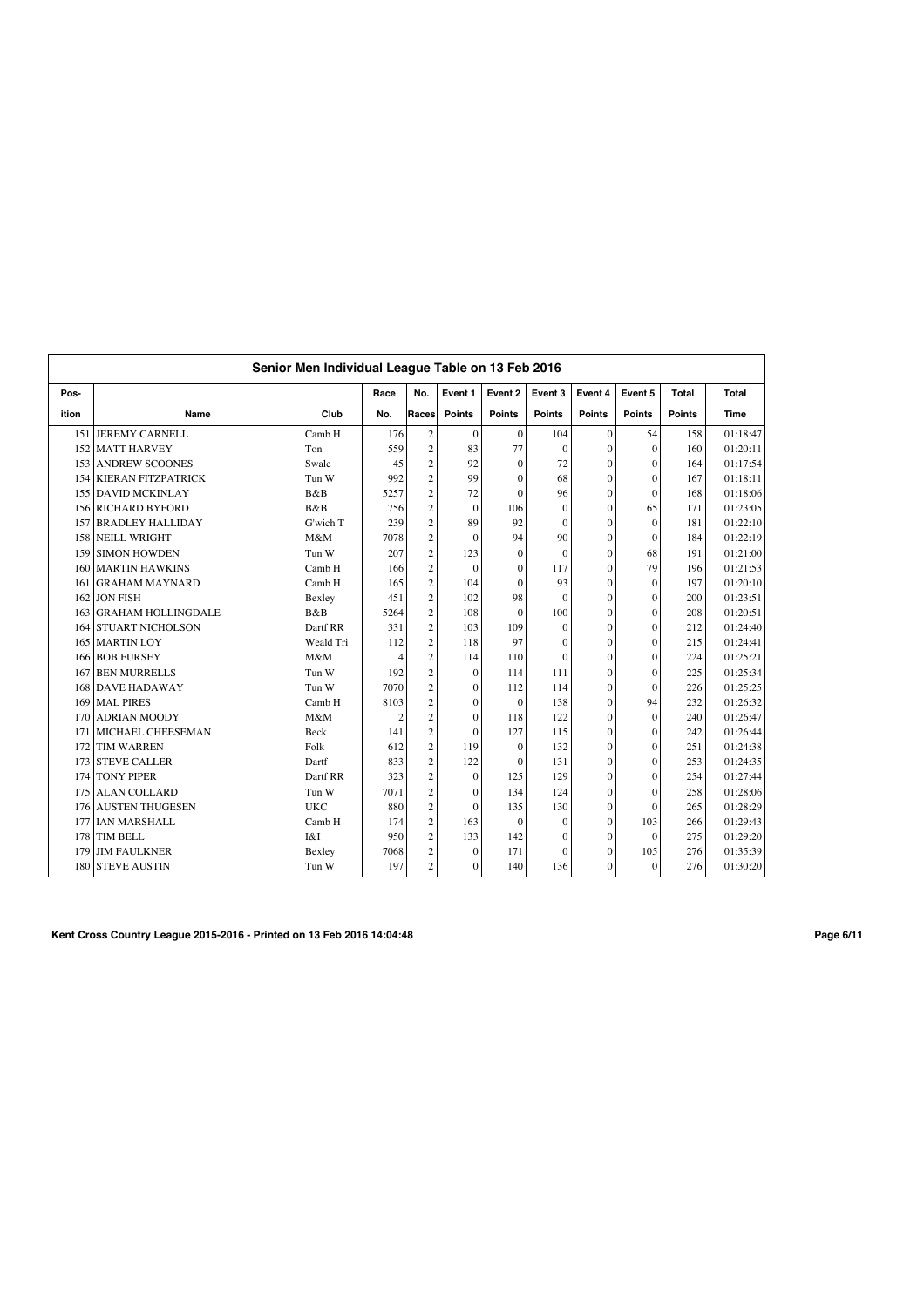|       | Senior Men Individual League Table on 13 Feb 2016 |            |      |                |                  |               |               |               |                |               |          |  |
|-------|---------------------------------------------------|------------|------|----------------|------------------|---------------|---------------|---------------|----------------|---------------|----------|--|
| Pos-  |                                                   |            | Race | No.            | Event 1          | Event 2       | Event 3       | Event 4       | Event 5        | <b>Total</b>  | Total    |  |
| ition | Name                                              | Club       | No.  | Races          | <b>Points</b>    | <b>Points</b> | <b>Points</b> | <b>Points</b> | <b>Points</b>  | <b>Points</b> | Time     |  |
| 151   | <b>JEREMY CARNELL</b>                             | Camb H     | 176  | $\sqrt{2}$     | $\mathbf{0}$     | $\Omega$      | 104           | $\mathbf{0}$  | 54             | 158           | 01:18:47 |  |
| 152   | <b>MATT HARVEY</b>                                | Ton        | 559  | $\overline{c}$ | 83               | 77            | $\theta$      | $\Omega$      | $\mathbf{0}$   | 160           | 01:20:11 |  |
| 153   | <b>ANDREW SCOONES</b>                             | Swale      | 45   | $\overline{2}$ | 92               | $\Omega$      | 72            | $\mathbf{0}$  | $\theta$       | 164           | 01:17:54 |  |
| 154   | <b>KIERAN FITZPATRICK</b>                         | Tun W      | 992  | $\overline{c}$ | 99               | $\theta$      | 68            | $\mathbf{0}$  | $\theta$       | 167           | 01:18:11 |  |
| 155   | <b>DAVID MCKINLAY</b>                             | B&B        | 5257 | $\overline{c}$ | 72               | $\theta$      | 96            | $\mathbf{0}$  | $\theta$       | 168           | 01:18:06 |  |
| 156   | <b>RICHARD BYFORD</b>                             | B&B        | 756  | $\overline{c}$ | $\mathbf{0}$     | 106           | $\Omega$      | $\mathbf{0}$  | 65             | 171           | 01:23:05 |  |
| 157   | <b>BRADLEY HALLIDAY</b>                           | G'wich T   | 239  | $\overline{c}$ | 89               | 92            | $\mathbf{0}$  | $\mathbf{0}$  | $\overline{0}$ | 181           | 01:22:10 |  |
| 158   | <b>NEILL WRIGHT</b>                               | M&M        | 7078 | $\overline{c}$ | $\mathbf{0}$     | 94            | 90            | $\mathbf{0}$  | $\theta$       | 184           | 01:22:19 |  |
| 159   | <b>SIMON HOWDEN</b>                               | Tun W      | 207  | $\overline{c}$ | 123              | $\Omega$      | $\Omega$      | $\Omega$      | 68             | 191           | 01:21:00 |  |
| 160   | <b>MARTIN HAWKINS</b>                             | Camb H     | 166  | $\sqrt{2}$     | $\mathbf{0}$     | $\theta$      | 117           | $\mathbf{0}$  | 79             | 196           | 01:21:53 |  |
| 161   | <b>GRAHAM MAYNARD</b>                             | Camb H     | 165  | $\overline{c}$ | 104              | $\theta$      | 93            | $\theta$      | $\theta$       | 197           | 01:20:10 |  |
| 162   | <b>JON FISH</b>                                   | Bexley     | 451  | $\overline{c}$ | 102              | 98            | $\theta$      | $\mathbf{0}$  | $\theta$       | 200           | 01:23:51 |  |
| 163   | <b>GRAHAM HOLLINGDALE</b>                         | B&B        | 5264 | $\overline{c}$ | 108              | $\theta$      | 100           | $\mathbf{0}$  | $\theta$       | 208           | 01:20:51 |  |
| 164   | <b>STUART NICHOLSON</b>                           | Dartf RR   | 331  | $\overline{c}$ | 103              | 109           | $\theta$      | $\mathbf{0}$  | $\theta$       | 212           | 01:24:40 |  |
| 165   | <b>MARTIN LOY</b>                                 | Weald Tri  | 112  | $\overline{c}$ | 118              | 97            | $\theta$      | $\mathbf{0}$  | $\theta$       | 215           | 01:24:41 |  |
| 166   | <b>BOB FURSEY</b>                                 | M&M        | 4    | $\overline{c}$ | 114              | 110           | $\theta$      | $\mathbf{0}$  | $\theta$       | 224           | 01:25:21 |  |
| 167   | <b>BEN MURRELLS</b>                               | Tun W      | 192  | $\overline{2}$ | $\mathbf{0}$     | 114           | 111           | $\mathbf{0}$  | $\overline{0}$ | 225           | 01:25:34 |  |
| 168   | <b>DAVE HADAWAY</b>                               | Tun W      | 7070 | $\overline{2}$ | $\boldsymbol{0}$ | 112           | 114           | $\mathbf{0}$  | $\theta$       | 226           | 01:25:25 |  |
| 169   | <b>MAL PIRES</b>                                  | Camb H     | 8103 | $\sqrt{2}$     | $\mathbf{0}$     | $\mathbf{0}$  | 138           | $\mathbf{0}$  | 94             | 232           | 01:26:32 |  |
| 170   | <b>ADRIAN MOODY</b>                               | M&M        | 2    | $\overline{c}$ | $\mathbf{0}$     | 118           | 122           | $\mathbf{0}$  | $\theta$       | 240           | 01:26:47 |  |
| 171   | MICHAEL CHEESEMAN                                 | Beck       | 141  | $\overline{c}$ | $\theta$         | 127           | 115           | $\mathbf{0}$  | $\theta$       | 242           | 01:26:44 |  |
| 172   | <b>TIM WARREN</b>                                 | Folk       | 612  | $\overline{c}$ | 119              | $\theta$      | 132           | $\theta$      | $\theta$       | 251           | 01:24:38 |  |
| 173   | <b>STEVE CALLER</b>                               | Dartf      | 833  | $\overline{c}$ | 122              | $\theta$      | 131           | $\mathbf{0}$  | $\theta$       | 253           | 01:24:35 |  |
| 174   | <b>TONY PIPER</b>                                 | Dartf RR   | 323  | $\overline{c}$ | $\mathbf{0}$     | 125           | 129           | $\mathbf{0}$  | $\theta$       | 254           | 01:27:44 |  |
| 175   | <b>ALAN COLLARD</b>                               | Tun W      | 7071 | $\overline{c}$ | $\mathbf{0}$     | 134           | 124           | $\mathbf{0}$  | $\theta$       | 258           | 01:28:06 |  |
| 176   | <b>AUSTEN THUGESEN</b>                            | <b>UKC</b> | 880  | $\overline{2}$ | $\mathbf{0}$     | 135           | 130           | $\mathbf{0}$  | $\theta$       | 265           | 01:28:29 |  |
| 177   | <b>IAN MARSHALL</b>                               | Camb H     | 174  | $\overline{c}$ | 163              | $\mathbf{0}$  | $\Omega$      | $\mathbf{0}$  | 103            | 266           | 01:29:43 |  |
| 178   | <b>TIM BELL</b>                                   | I&I        | 950  | $\overline{c}$ | 133              | 142           | $\mathbf{0}$  | $\mathbf{0}$  | $\mathbf{0}$   | 275           | 01:29:20 |  |
| 179   | <b>JIM FAULKNER</b>                               | Bexley     | 7068 | $\overline{c}$ | $\mathbf{0}$     | 171           | $\Omega$      | $\Omega$      | 105            | 276           | 01:35:39 |  |
|       | 180 STEVE AUSTIN                                  | Tun W      | 197  | $\sqrt{2}$     | $\mathbf{0}$     | 140           | 136           | $\mathbf{0}$  | $\mathbf{0}$   | 276           | 01:30:20 |  |

**Kent Cross Country League 2015-2016 - Printed on 13 Feb 2016 14:04:48 Page 6/11**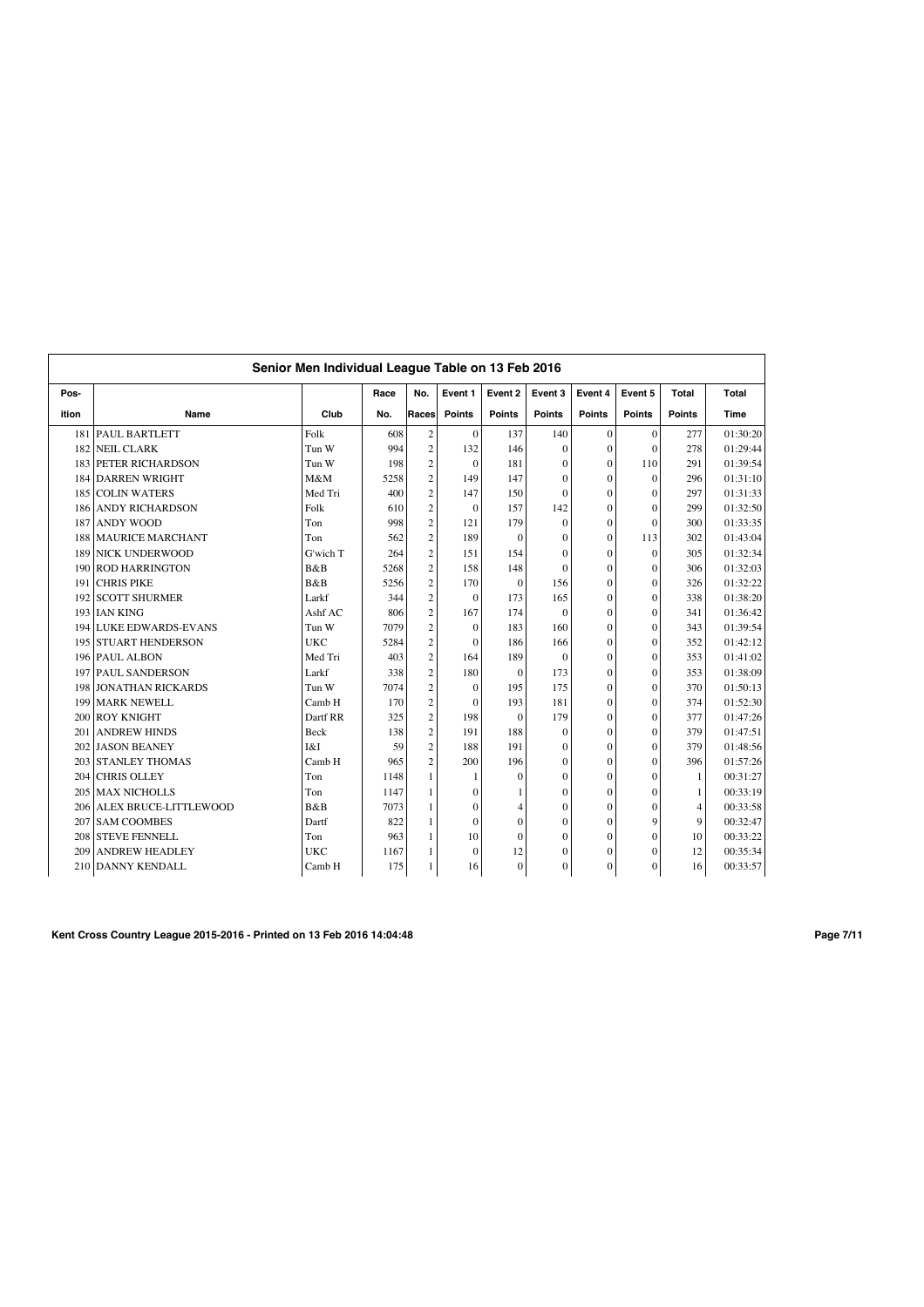|       | Senior Men Individual League Table on 13 Feb 2016 |             |      |                |                  |                |               |                |               |                |          |  |
|-------|---------------------------------------------------|-------------|------|----------------|------------------|----------------|---------------|----------------|---------------|----------------|----------|--|
| Pos-  |                                                   |             | Race | No.            | Event 1          | Event 2        | Event 3       | Event 4        | Event 5       | Total          | Total    |  |
| ition | Name                                              | Club        | No.  | Races          | <b>Points</b>    | <b>Points</b>  | <b>Points</b> | <b>Points</b>  | <b>Points</b> | <b>Points</b>  | Time     |  |
| 181   | <b>PAUL BARTLETT</b>                              | Folk        | 608  | $\sqrt{2}$     | $\mathbf{0}$     | 137            | 140           | $\mathbf{0}$   | $\Omega$      | 277            | 01:30:20 |  |
| 182   | <b>NEIL CLARK</b>                                 | Tun W       | 994  | $\overline{c}$ | 132              | 146            | $\Omega$      | $\overline{0}$ | $\Omega$      | 278            | 01:29:44 |  |
| 183   | PETER RICHARDSON                                  | Tun W       | 198  | $\overline{2}$ | $\mathbf{0}$     | 181            | $\Omega$      | $\mathbf{0}$   | 110           | 291            | 01:39:54 |  |
| 184   | <b>DARREN WRIGHT</b>                              | M&M         | 5258 | $\overline{c}$ | 149              | 147            | $\Omega$      | $\mathbf{0}$   | $\theta$      | 296            | 01:31:10 |  |
| 185   | <b>COLIN WATERS</b>                               | Med Tri     | 400  | $\overline{c}$ | 147              | 150            | $\Omega$      | $\overline{0}$ | $\Omega$      | 297            | 01:31:33 |  |
| 186   | <b>ANDY RICHARDSON</b>                            | Folk        | 610  | $\overline{c}$ | $\mathbf{0}$     | 157            | 142           | $\overline{0}$ | $\theta$      | 299            | 01:32:50 |  |
| 187   | <b>ANDY WOOD</b>                                  | Ton         | 998  | $\overline{c}$ | 121              | 179            | $\Omega$      | $\overline{0}$ | $\theta$      | 300            | 01:33:35 |  |
| 188   | <b>MAURICE MARCHANT</b>                           | Ton         | 562  | $\overline{c}$ | 189              | $\theta$       | $\Omega$      | $\overline{0}$ | 113           | 302            | 01:43:04 |  |
| 189   | <b>NICK UNDERWOOD</b>                             | G'wich T    | 264  | $\overline{c}$ | 151              | 154            | $\Omega$      | $\overline{0}$ | $\theta$      | 305            | 01:32:34 |  |
| 190   | <b>ROD HARRINGTON</b>                             | B&B         | 5268 | $\overline{c}$ | 158              | 148            | $\Omega$      | $\overline{0}$ | $\theta$      | 306            | 01:32:03 |  |
| 191   | <b>CHRIS PIKE</b>                                 | <b>B</b> &B | 5256 | $\overline{c}$ | 170              | $\mathbf{0}$   | 156           | $\overline{0}$ | $\Omega$      | 326            | 01:32:22 |  |
| 192   | <b>SCOTT SHURMER</b>                              | Larkf       | 344  | $\overline{c}$ | $\mathbf{0}$     | 173            | 165           | $\overline{0}$ | $\Omega$      | 338            | 01:38:20 |  |
|       | 193 IAN KING                                      | Ashf AC     | 806  | $\overline{2}$ | 167              | 174            | $\theta$      | $\overline{0}$ | $\theta$      | 341            | 01:36:42 |  |
|       | 194 LUKE EDWARDS-EVANS                            | Tun W       | 7079 | $\overline{c}$ | $\mathbf{0}$     | 183            | 160           | $\theta$       | $\Omega$      | 343            | 01:39:54 |  |
|       | 195 STUART HENDERSON                              | <b>UKC</b>  | 5284 | $\overline{c}$ | $\mathbf{0}$     | 186            | 166           | $\overline{0}$ | $\theta$      | 352            | 01:42:12 |  |
|       | 196 PAUL ALBON                                    | Med Tri     | 403  | $\overline{c}$ | 164              | 189            | $\theta$      | $\overline{0}$ | $\theta$      | 353            | 01:41:02 |  |
| 197   | <b>PAUL SANDERSON</b>                             | Larkf       | 338  | $\overline{c}$ | 180              | $\mathbf{0}$   | 173           | $\overline{0}$ | $\Omega$      | 353            | 01:38:09 |  |
| 198   | <b>JONATHAN RICKARDS</b>                          | Tun W       | 7074 | $\overline{c}$ | $\mathbf{0}$     | 195            | 175           | $\overline{0}$ | $\theta$      | 370            | 01:50:13 |  |
| 199   | <b>MARK NEWELL</b>                                | Camb H      | 170  | $\overline{c}$ | $\mathbf{0}$     | 193            | 181           | $\overline{0}$ | $\mathbf{0}$  | 374            | 01:52:30 |  |
| 200   | <b>ROY KNIGHT</b>                                 | Dartf RR    | 325  | $\overline{c}$ | 198              | $\mathbf{0}$   | 179           | $\overline{0}$ | $\Omega$      | 377            | 01:47:26 |  |
| 201   | <b>ANDREW HINDS</b>                               | Beck        | 138  | $\overline{c}$ | 191              | 188            | $\Omega$      | $\overline{0}$ | $\Omega$      | 379            | 01:47:51 |  |
| 202   | <b>JASON BEANEY</b>                               | I&I         | 59   | $\overline{c}$ | 188              | 191            | $\Omega$      | $\overline{0}$ | $\theta$      | 379            | 01:48:56 |  |
| 203   | <b>STANLEY THOMAS</b>                             | Camb H      | 965  | $\overline{c}$ | 200              | 196            | $\Omega$      | $\theta$       | $\theta$      | 396            | 01:57:26 |  |
| 204   | <b>CHRIS OLLEY</b>                                | Ton         | 1148 | $\mathbf{1}$   | 1                | $\mathbf{0}$   | $\theta$      | $\overline{0}$ | $\theta$      | $\mathbf{1}$   | 00:31:27 |  |
| 205   | <b>MAX NICHOLLS</b>                               | Ton         | 1147 | 1              | $\boldsymbol{0}$ |                | $\Omega$      | $\overline{0}$ | $\theta$      | 1              | 00:33:19 |  |
| 206   | <b>ALEX BRUCE-LITTLEWOOD</b>                      | B&B         | 7073 | 1              | $\mathbf{0}$     | $\overline{4}$ | $\theta$      | $\overline{0}$ | $\Omega$      | $\overline{4}$ | 00:33:58 |  |
| 207   | <b>SAM COOMBES</b>                                | Dartf       | 822  | 1              | $\mathbf{0}$     | $\theta$       | $\Omega$      | $\overline{0}$ | $\mathbf Q$   | 9              | 00:32:47 |  |
|       | 208 STEVE FENNELL                                 | Ton         | 963  | 1              | 10               | $\mathbf{0}$   | $\mathbf{0}$  | $\overline{0}$ | $\mathbf{0}$  | 10             | 00:33:22 |  |
| 209   | <b>ANDREW HEADLEY</b>                             | <b>UKC</b>  | 1167 | 1              | $\mathbf{0}$     | 12             | $\Omega$      | $\overline{0}$ | $\theta$      | 12             | 00:35:34 |  |
|       | 210 DANNY KENDALL                                 | Camb H      | 175  | 1              | 16               | $\mathbf{0}$   | $\mathbf{0}$  | $\overline{0}$ | $\mathbf{0}$  | 16             | 00:33:57 |  |

**Kent Cross Country League 2015-2016 - Printed on 13 Feb 2016 14:04:48 Page 7/11**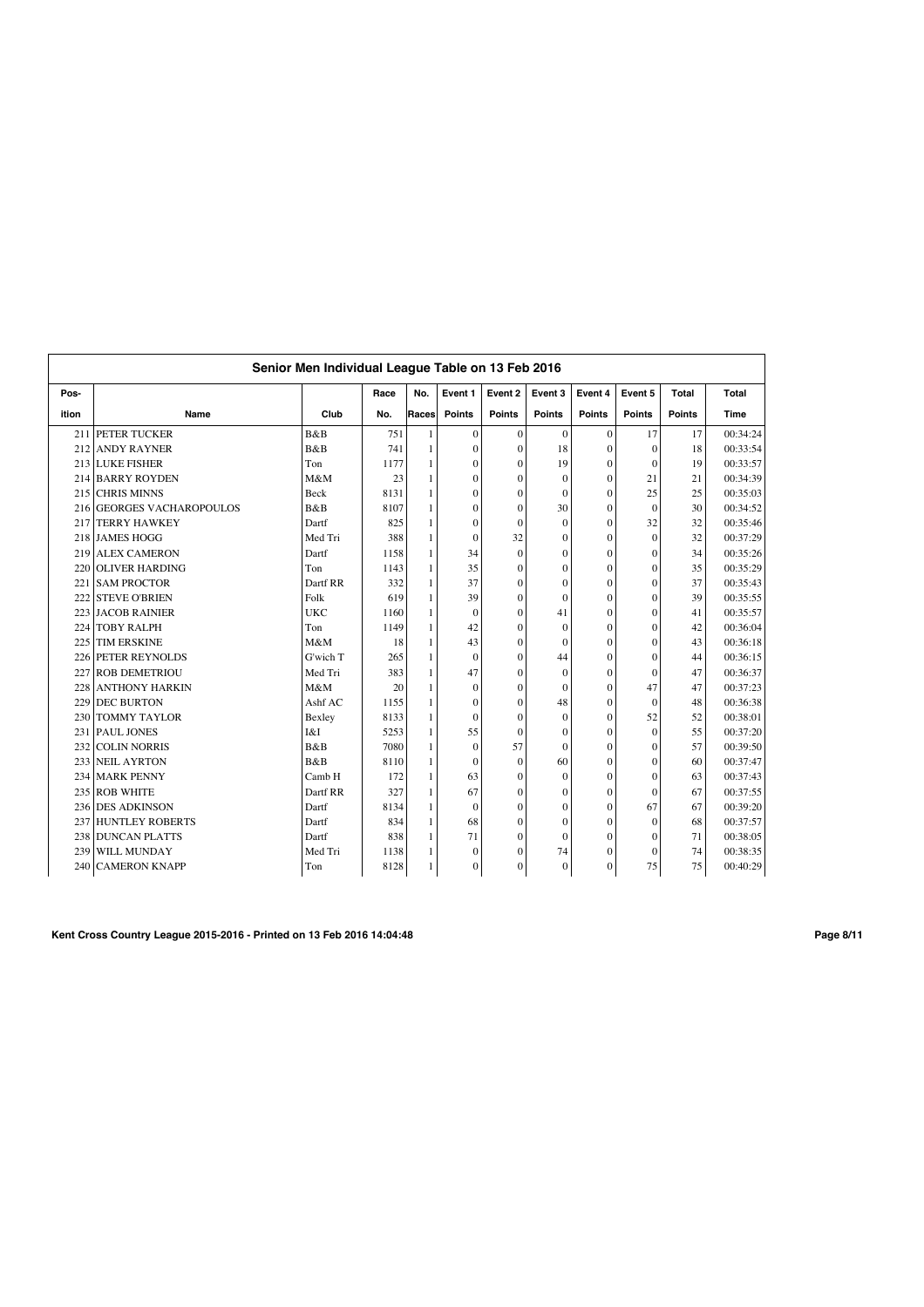|       | Senior Men Individual League Table on 13 Feb 2016 |             |      |       |                  |                |                  |                |               |               |          |  |  |
|-------|---------------------------------------------------|-------------|------|-------|------------------|----------------|------------------|----------------|---------------|---------------|----------|--|--|
| Pos-  |                                                   |             | Race | No.   | Event 1          | Event 2        | Event 3          | Event 4        | Event 5       | Total         | Total    |  |  |
| ition | Name                                              | Club        | No.  | Races | <b>Points</b>    | <b>Points</b>  | <b>Points</b>    | <b>Points</b>  | <b>Points</b> | <b>Points</b> | Time     |  |  |
| 211   | PETER TUCKER                                      | B&B         | 751  | 1     | $\mathbf{0}$     | $\mathbf{0}$   | $\mathbf{0}$     | $\mathbf{0}$   | 17            | 17            | 00:34:24 |  |  |
| 212   | <b>ANDY RAYNER</b>                                | B&B         | 741  | 1     | $\mathbf{0}$     | $\mathbf{0}$   | 18               | $\mathbf{0}$   | $\mathbf{0}$  | 18            | 00:33:54 |  |  |
| 213   | <b>LUKE FISHER</b>                                | Ton         | 1177 | 1     | $\mathbf{0}$     | $\Omega$       | 19               | $\mathbf{0}$   | $\theta$      | 19            | 00:33:57 |  |  |
| 214   | <b>BARRY ROYDEN</b>                               | M&M         | 23   | 1     | $\mathbf{0}$     | $\Omega$       | $\theta$         | $\mathbf{0}$   | 21            | 21            | 00:34:39 |  |  |
| 215   | <b>CHRIS MINNS</b>                                | <b>Beck</b> | 8131 | 1     | $\mathbf{0}$     | $\Omega$       | $\theta$         | $\theta$       | 25            | 25            | 00:35:03 |  |  |
| 216   | <b>GEORGES VACHAROPOULOS</b>                      | B&B         | 8107 | 1     | $\mathbf{0}$     | $\theta$       | 30               | $\overline{0}$ | $\Omega$      | 30            | 00:34:52 |  |  |
| 217   | <b>TERRY HAWKEY</b>                               | Dartf       | 825  | 1     | $\mathbf{0}$     | $\theta$       | $\theta$         | $\overline{0}$ | 32            | 32            | 00:35:46 |  |  |
| 218   | <b>JAMES HOGG</b>                                 | Med Tri     | 388  | 1     | $\mathbf{0}$     | 32             | $\theta$         | $\overline{0}$ | $\Omega$      | 32            | 00:37:29 |  |  |
| 219   | <b>ALEX CAMERON</b>                               | Dartf       | 1158 | 1     | 34               | $\mathbf{0}$   | $\Omega$         | $\overline{0}$ | $\theta$      | 34            | 00:35:26 |  |  |
| 220   | <b>OLIVER HARDING</b>                             | Ton         | 1143 | 1     | 35               | $\overline{0}$ | $\boldsymbol{0}$ | $\overline{0}$ | $\theta$      | 35            | 00:35:29 |  |  |
| 221   | <b>SAM PROCTOR</b>                                | Dartf RR    | 332  | 1     | 37               | $\mathbf{0}$   | $\Omega$         | $\overline{0}$ | $\theta$      | 37            | 00:35:43 |  |  |
| 222   | <b>STEVE O'BRIEN</b>                              | Folk        | 619  | 1     | 39               | $\mathbf{0}$   | $\theta$         | $\overline{0}$ | $\theta$      | 39            | 00:35:55 |  |  |
| 223   | <b>JACOB RAINIER</b>                              | <b>UKC</b>  | 1160 | 1     | $\mathbf{0}$     | $\theta$       | 41               | $\overline{0}$ | $\Omega$      | 41            | 00:35:57 |  |  |
| 224   | <b>TOBY RALPH</b>                                 | Ton         | 1149 | 1     | 42               | $\theta$       | $\Omega$         | $\overline{0}$ | $\theta$      | 42            | 00:36:04 |  |  |
| 225   | <b>TIM ERSKINE</b>                                | M&M         | 18   | 1     | 43               | $\mathbf{0}$   | $\mathbf{0}$     | $\overline{0}$ | $\theta$      | 43            | 00:36:18 |  |  |
| 226   | PETER REYNOLDS                                    | G'wich T    | 265  | 1     | $\mathbf{0}$     | $\theta$       | 44               | $\overline{0}$ | $\theta$      | 44            | 00:36:15 |  |  |
| 227   | <b>ROB DEMETRIOU</b>                              | Med Tri     | 383  | 1     | 47               | $\mathbf{0}$   | $\mathbf{0}$     | $\overline{0}$ | $\theta$      | 47            | 00:36:37 |  |  |
| 228   | <b>ANTHONY HARKIN</b>                             | M&M         | 20   | 1     | $\mathbf{0}$     | $\theta$       | $\theta$         | $\overline{0}$ | 47            | 47            | 00:37:23 |  |  |
| 229   | <b>DEC BURTON</b>                                 | Ashf AC     | 1155 | 1     | $\mathbf{0}$     | $\theta$       | 48               | $\overline{0}$ | $\theta$      | 48            | 00:36:38 |  |  |
| 230   | <b>TOMMY TAYLOR</b>                               | Bexley      | 8133 | 1     | $\mathbf{0}$     | $\mathbf{0}$   | $\mathbf{0}$     | $\overline{0}$ | 52            | 52            | 00:38:01 |  |  |
| 231   | PAUL JONES                                        | I&I         | 5253 | 1     | 55               | $\Omega$       | $\Omega$         | $\overline{0}$ | $\theta$      | 55            | 00:37:20 |  |  |
| 232   | <b>COLIN NORRIS</b>                               | B&B         | 7080 | 1     | $\mathbf{0}$     | 57             | $\Omega$         | $\overline{0}$ | $\theta$      | 57            | 00:39:50 |  |  |
| 233   | <b>NEIL AYRTON</b>                                | <b>B</b> &B | 8110 | 1     | $\mathbf{0}$     | $\Omega$       | 60               | $\overline{0}$ | $\theta$      | 60            | 00:37:47 |  |  |
| 234   | <b>MARK PENNY</b>                                 | Camb H      | 172  | 1     | 63               | $\theta$       | $\Omega$         | $\theta$       | $\theta$      | 63            | 00:37:43 |  |  |
| 235   | <b>ROB WHITE</b>                                  | Dartf RR    | 327  | 1     | 67               | $\overline{0}$ | $\theta$         | $\overline{0}$ | $\theta$      | 67            | 00:37:55 |  |  |
| 236   | <b>DES ADKINSON</b>                               | Dartf       | 8134 | 1     | $\mathbf{0}$     | $\theta$       | $\Omega$         | $\overline{0}$ | 67            | 67            | 00:39:20 |  |  |
| 237   | <b>HUNTLEY ROBERTS</b>                            | Dartf       | 834  | 1     | 68               | $\theta$       | $\Omega$         | $\overline{0}$ | $\Omega$      | 68            | 00:37:57 |  |  |
| 238   | <b>DUNCAN PLATTS</b>                              | Dartf       | 838  | 1     | 71               | $\mathbf{0}$   | $\Omega$         | $\overline{0}$ | $\mathbf{0}$  | 71            | 00:38:05 |  |  |
| 239   | WILL MUNDAY                                       | Med Tri     | 1138 | 1     | $\mathbf{0}$     | $\mathbf{0}$   | 74               | $\overline{0}$ | $\mathbf{0}$  | 74            | 00:38:35 |  |  |
| 240   | <b>CAMERON KNAPP</b>                              | Ton         | 8128 | 1     | $\boldsymbol{0}$ | $\mathbf{0}$   | $\mathbf{0}$     | $\overline{0}$ | 75            | 75            | 00:40:29 |  |  |

**Kent Cross Country League 2015-2016 - Printed on 13 Feb 2016 14:04:48 Page 8/11**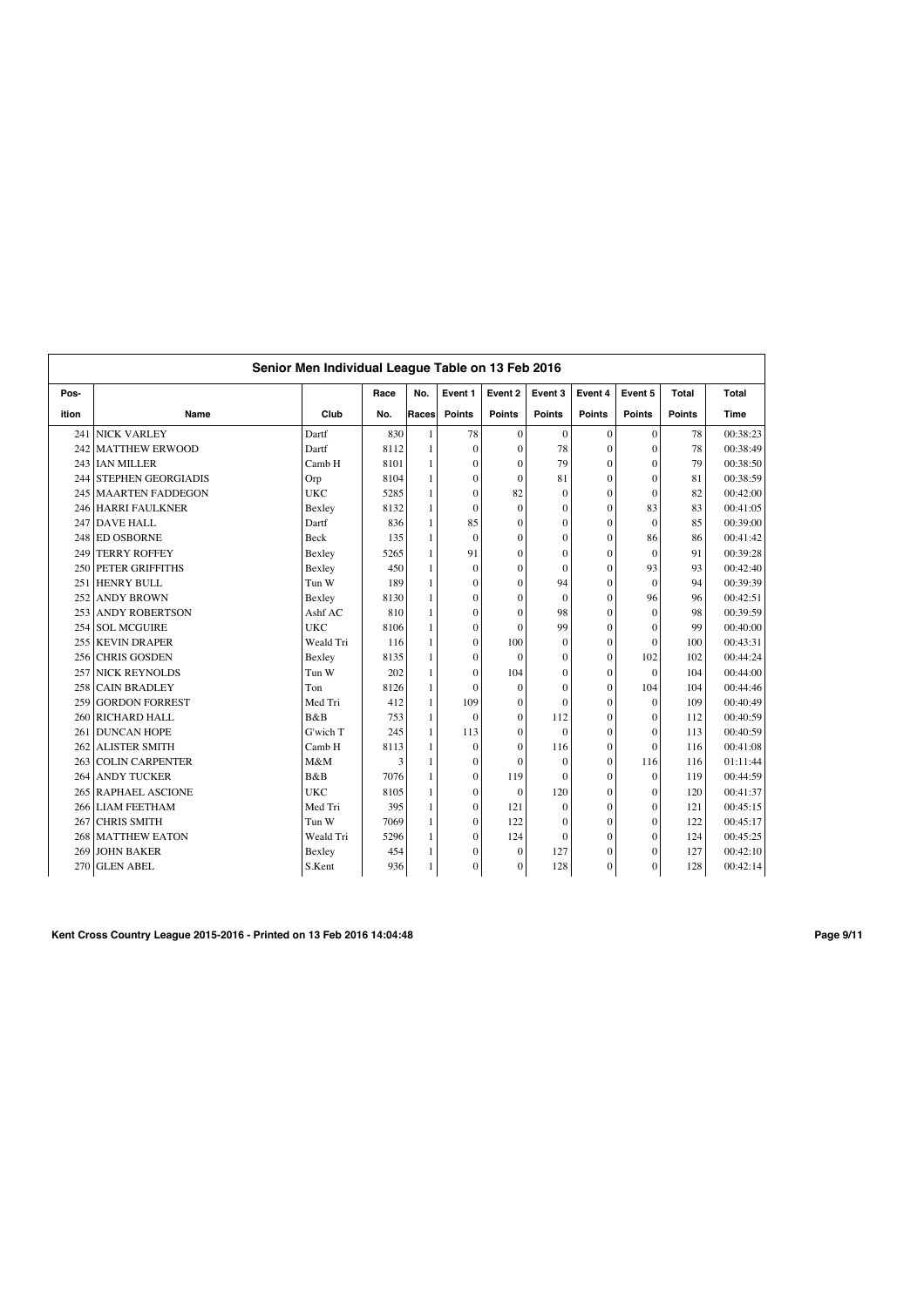|       | Senior Men Individual League Table on 13 Feb 2016 |            |      |              |                  |                |                |                |               |               |          |  |  |
|-------|---------------------------------------------------|------------|------|--------------|------------------|----------------|----------------|----------------|---------------|---------------|----------|--|--|
| Pos-  |                                                   |            | Race | No.          | Event 1          | Event 2        | Event 3        | Event 4        | Event 5       | Total         | Total    |  |  |
| ition | Name                                              | Club       | No.  | Races        | <b>Points</b>    | <b>Points</b>  | <b>Points</b>  | <b>Points</b>  | <b>Points</b> | <b>Points</b> | Time     |  |  |
| 241   | <b>NICK VARLEY</b>                                | Dartf      | 830  |              | 78               | $\overline{0}$ | $\mathbf{0}$   | $\mathbf{0}$   | $\mathbf{0}$  | 78            | 00:38:23 |  |  |
| 242   | <b>MATTHEW ERWOOD</b>                             | Dartf      | 8112 | $\mathbf{1}$ | $\mathbf{0}$     | $\overline{0}$ | 78             | $\mathbf{0}$   | $\mathbf{0}$  | 78            | 00:38:49 |  |  |
| 243   | <b>IAN MILLER</b>                                 | Camb H     | 8101 | $\mathbf{1}$ | $\mathbf{0}$     | $\theta$       | 79             | $\mathbf{0}$   | $\Omega$      | 79            | 00:38:50 |  |  |
| 244   | <b>STEPHEN GEORGIADIS</b>                         | Orp        | 8104 | $\mathbf{1}$ | $\mathbf{0}$     | $\theta$       | 81             | $\Omega$       | $\Omega$      | 81            | 00:38:59 |  |  |
| 245   | <b>MAARTEN FADDEGON</b>                           | <b>UKC</b> | 5285 | 1            | $\mathbf{0}$     | 82             | $\theta$       | $\theta$       | $\Omega$      | 82            | 00:42:00 |  |  |
| 246   | <b>HARRI FAULKNER</b>                             | Bexley     | 8132 |              | $\mathbf{0}$     | $\theta$       | $\theta$       | $\theta$       | 83            | 83            | 00:41:05 |  |  |
| 247   | <b>DAVE HALL</b>                                  | Dartf      | 836  | $\mathbf{1}$ | 85               | $\theta$       | $\overline{0}$ | $\overline{0}$ | $\theta$      | 85            | 00:39:00 |  |  |
| 248   | <b>ED OSBORNE</b>                                 | Beck       | 135  | $\mathbf{1}$ | $\mathbf{0}$     | $\theta$       | $\overline{0}$ | $\overline{0}$ | 86            | 86            | 00:41:42 |  |  |
| 249   | <b>TERRY ROFFEY</b>                               | Bexley     | 5265 | $\mathbf{1}$ | 91               | $\theta$       | $\mathbf{0}$   | $\overline{0}$ | $\Omega$      | 91            | 00:39:28 |  |  |
| 250   | PETER GRIFFITHS                                   | Bexley     | 450  | $\mathbf{1}$ | $\mathbf{0}$     | $\overline{0}$ | $\mathbf{0}$   | $\overline{0}$ | 93            | 93            | 00:42:40 |  |  |
| 251   | <b>HENRY BULL</b>                                 | Tun W      | 189  | $\mathbf{1}$ | $\mathbf{0}$     | $\theta$       | 94             | $\overline{0}$ | $\theta$      | 94            | 00:39:39 |  |  |
| 252   | <b>ANDY BROWN</b>                                 | Bexley     | 8130 | $\mathbf{1}$ | $\mathbf{0}$     | $\theta$       | $\mathbf{0}$   | $\mathbf{0}$   | 96            | 96            | 00:42:51 |  |  |
|       | 253 ANDY ROBERTSON                                | Ashf AC    | 810  | $\mathbf{1}$ | $\mathbf{0}$     | $\Omega$       | 98             | $\overline{0}$ | $\theta$      | 98            | 00:39:59 |  |  |
| 254   | <b>SOL MCGUIRE</b>                                | <b>UKC</b> | 8106 | 1            | $\mathbf{0}$     | $\Omega$       | 99             | $\mathbf{0}$   | $\Omega$      | 99            | 00:40:00 |  |  |
| 255   | <b>KEVIN DRAPER</b>                               | Weald Tri  | 116  |              | $\mathbf{0}$     | 100            | $\mathbf{0}$   | $\overline{0}$ | $\Omega$      | 100           | 00:43:31 |  |  |
| 256   | <b>CHRIS GOSDEN</b>                               | Bexley     | 8135 |              | $\mathbf{0}$     | $\theta$       | $\mathbf{0}$   | $\overline{0}$ | 102           | 102           | 00:44:24 |  |  |
| 257   | <b>NICK REYNOLDS</b>                              | Tun W      | 202  | $\mathbf{1}$ | $\mathbf{0}$     | 104            | $\mathbf{0}$   | $\overline{0}$ | $\Omega$      | 104           | 00:44:00 |  |  |
| 258   | <b>CAIN BRADLEY</b>                               | Ton        | 8126 | $\mathbf{1}$ | $\Omega$         | $\theta$       | $\overline{0}$ | $\mathbf{0}$   | 104           | 104           | 00:44:46 |  |  |
| 259   | <b>GORDON FORREST</b>                             | Med Tri    | 412  | $\mathbf{1}$ | 109              | $\theta$       | $\Omega$       | $\theta$       | $\Omega$      | 109           | 00:40:49 |  |  |
| 260   | <b>RICHARD HALL</b>                               | B&B        | 753  | $\mathbf{1}$ | $\mathbf{0}$     | $\theta$       | 112            | $\overline{0}$ | $\theta$      | 112           | 00:40:59 |  |  |
| 261   | <b>DUNCAN HOPE</b>                                | G'wich T   | 245  | $\mathbf{1}$ | 113              | $\theta$       | $\theta$       | $\mathbf{0}$   | $\Omega$      | 113           | 00:40:59 |  |  |
| 262   | <b>ALISTER SMITH</b>                              | Camb H     | 8113 | $\mathbf{1}$ | $\mathbf{0}$     | $\theta$       | 116            | $\mathbf{0}$   | $\Omega$      | 116           | 00:41:08 |  |  |
| 263   | <b>COLIN CARPENTER</b>                            | M&M        | 3    | $\mathbf{1}$ | $\boldsymbol{0}$ | $\Omega$       | $\theta$       | $\mathbf{0}$   | 116           | 116           | 01:11:44 |  |  |
| 264   | <b>ANDY TUCKER</b>                                | B&B        | 7076 | $\mathbf{1}$ | $\mathbf{0}$     | 119            | $\theta$       | $\theta$       | $\Omega$      | 119           | 00:44:59 |  |  |
| 265   | <b>RAPHAEL ASCIONE</b>                            | <b>UKC</b> | 8105 |              | $\mathbf{0}$     | $\theta$       | 120            | $\overline{0}$ | $\theta$      | 120           | 00:41:37 |  |  |
| 266   | <b>LIAM FEETHAM</b>                               | Med Tri    | 395  | $\mathbf{1}$ | $\boldsymbol{0}$ | 121            | $\theta$       | $\overline{0}$ | $\theta$      | 121           | 00:45:15 |  |  |
| 267   | <b>CHRIS SMITH</b>                                | Tun W      | 7069 | $\mathbf{1}$ | $\mathbf{0}$     | 122            | $\mathbf{0}$   | $\overline{0}$ | $\Omega$      | 122           | 00:45:17 |  |  |
| 268   | <b>MATTHEW EATON</b>                              | Weald Tri  | 5296 | $\mathbf{1}$ | $\boldsymbol{0}$ | 124            | $\Omega$       | $\mathbf{0}$   | $\Omega$      | 124           | 00:45:25 |  |  |
| 269   | <b>JOHN BAKER</b>                                 | Bexley     | 454  | 1            | $\mathbf{0}$     | $\mathbf{0}$   | 127            | $\overline{0}$ | $\mathbf{0}$  | 127           | 00:42:10 |  |  |
| 270   | <b>GLEN ABEL</b>                                  | S.Kent     | 936  | 1            | $\boldsymbol{0}$ | $\mathbf{0}$   | 128            | $\mathbf{0}$   | $\mathbf{0}$  | 128           | 00:42:14 |  |  |

**Kent Cross Country League 2015-2016 - Printed on 13 Feb 2016 14:04:48 Page 9/11**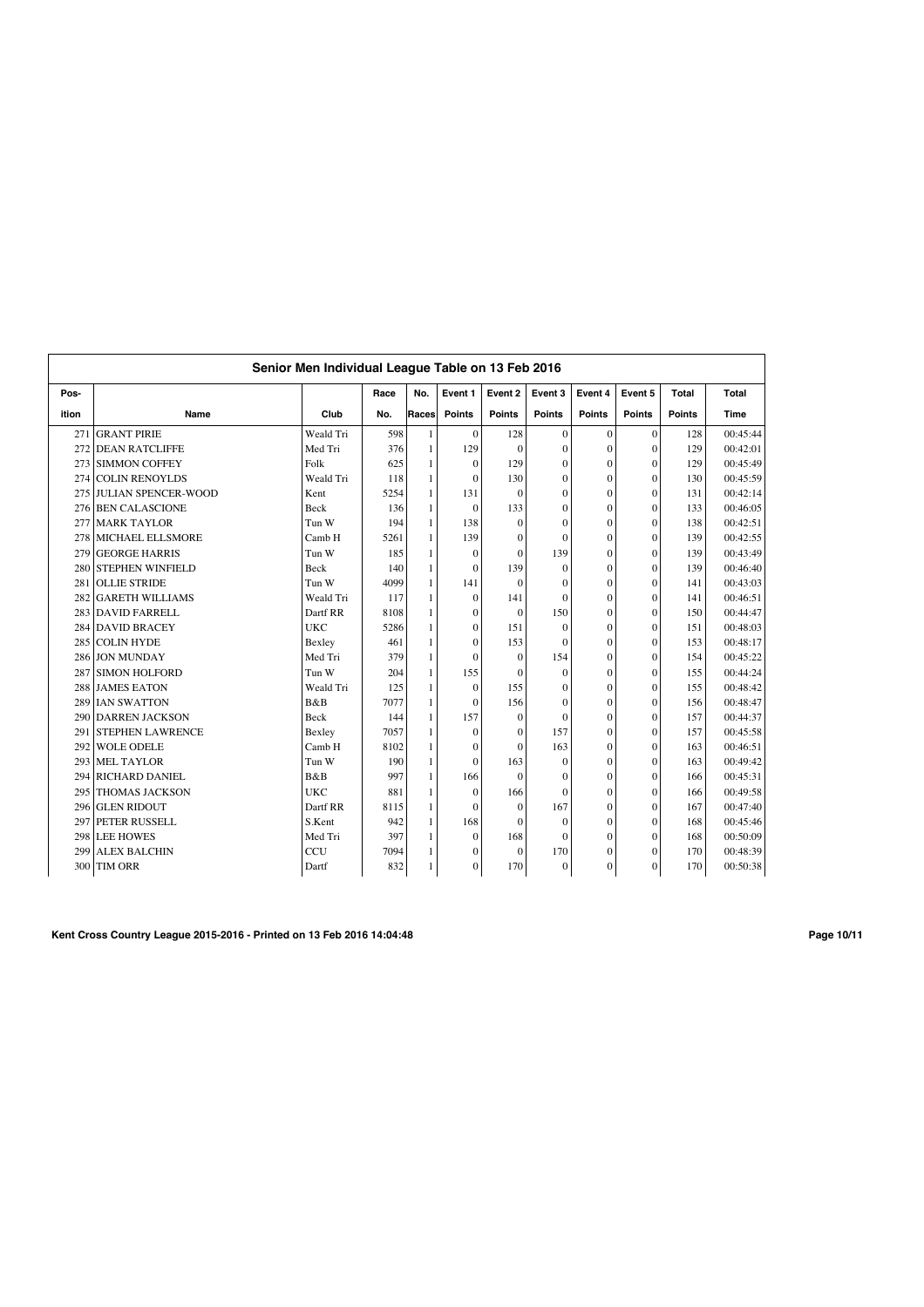|       | Senior Men Individual League Table on 13 Feb 2016 |            |      |                |                  |                |                  |               |               |               |          |  |  |
|-------|---------------------------------------------------|------------|------|----------------|------------------|----------------|------------------|---------------|---------------|---------------|----------|--|--|
| Pos-  |                                                   |            | Race | No.            | Event 1          | Event 2        | Event 3          | Event 4       | Event 5       | Total         | Total    |  |  |
| ition | Name                                              | Club       | No.  | Races          | <b>Points</b>    | <b>Points</b>  | <b>Points</b>    | <b>Points</b> | <b>Points</b> | <b>Points</b> | Time     |  |  |
| 271   | <b>GRANT PIRIE</b>                                | Weald Tri  | 598  | $\mathbf{1}$   | $\mathbf{0}$     | 128            | $\mathbf{0}$     | $\mathbf{0}$  | $\mathbf{0}$  | 128           | 00:45:44 |  |  |
| 272   | <b>DEAN RATCLIFFE</b>                             | Med Tri    | 376  | $\overline{1}$ | 129              | $\mathbf{0}$   | $\mathbf{0}$     | $\mathbf{0}$  | $\mathbf{0}$  | 129           | 00:42:01 |  |  |
| 273   | <b>SIMMON COFFEY</b>                              | Folk       | 625  | $\overline{1}$ | $\mathbf{0}$     | 129            | $\theta$         | $\mathbf{0}$  | $\theta$      | 129           | 00:45:49 |  |  |
| 274   | <b>COLIN RENOYLDS</b>                             | Weald Tri  | 118  | $\mathbf{1}$   | $\mathbf{0}$     | 130            | $\mathbf{0}$     | $\mathbf{0}$  | $\theta$      | 130           | 00:45:59 |  |  |
| 275   | <b>JULIAN SPENCER-WOOD</b>                        | Kent       | 5254 | $\mathbf{1}$   | 131              | $\theta$       | $\theta$         | $\mathbf{0}$  | $\theta$      | 131           | 00:42:14 |  |  |
| 276   | <b>BEN CALASCIONE</b>                             | Beck       | 136  | 1              | $\mathbf{0}$     | 133            | $\mathbf{0}$     | $\mathbf{0}$  | $\theta$      | 133           | 00:46:05 |  |  |
| 277   | <b>MARK TAYLOR</b>                                | Tun W      | 194  | $\mathbf{1}$   | 138              | $\theta$       | $\Omega$         | $\theta$      | $\theta$      | 138           | 00:42:51 |  |  |
| 278   | <b>MICHAEL ELLSMORE</b>                           | Camb H     | 5261 | $\mathbf{1}$   | 139              | $\overline{0}$ | $\theta$         | $\mathbf{0}$  | $\theta$      | 139           | 00:42:55 |  |  |
| 279   | <b>GEORGE HARRIS</b>                              | Tun W      | 185  | $\overline{1}$ | $\mathbf{0}$     | $\theta$       | 139              | $\Omega$      | $\theta$      | 139           | 00:43:49 |  |  |
| 280   | <b>STEPHEN WINFIELD</b>                           | Beck       | 140  | $\overline{1}$ | $\mathbf{0}$     | 139            | $\theta$         | $\mathbf{0}$  | $\theta$      | 139           | 00:46:40 |  |  |
| 281   | <b>OLLIE STRIDE</b>                               | Tun W      | 4099 | $\mathbf{1}$   | 141              | $\mathbf{0}$   | $\boldsymbol{0}$ | $\mathbf{0}$  | $\mathbf{0}$  | 141           | 00:43:03 |  |  |
| 282   | <b>GARETH WILLIAMS</b>                            | Weald Tri  | 117  | $\overline{1}$ | $\mathbf{0}$     | 141            | $\Omega$         | $\mathbf{0}$  | $\theta$      | 141           | 00:46:51 |  |  |
| 283   | <b>DAVID FARRELL</b>                              | Dartf RR   | 8108 | $\overline{1}$ | $\mathbf{0}$     | $\mathbf{0}$   | 150              | $\mathbf{0}$  | $\theta$      | 150           | 00:44:47 |  |  |
| 284   | <b>DAVID BRACEY</b>                               | <b>UKC</b> | 5286 | $\mathbf{1}$   | $\mathbf{0}$     | 151            | $\theta$         | $\Omega$      | $\theta$      | 151           | 00:48:03 |  |  |
| 285   | <b>COLIN HYDE</b>                                 | Bexley     | 461  | $\mathbf{1}$   | $\mathbf{0}$     | 153            | $\theta$         | $\theta$      | $\theta$      | 153           | 00:48:17 |  |  |
| 286   | <b>JON MUNDAY</b>                                 | Med Tri    | 379  | 1              | $\Omega$         | $\theta$       | 154              | $\mathbf{0}$  | $\theta$      | 154           | 00:45:22 |  |  |
| 287   | <b>SIMON HOLFORD</b>                              | Tun W      | 204  | $\mathbf{1}$   | 155              | $\theta$       | $\theta$         | $\mathbf{0}$  | $\theta$      | 155           | 00:44:24 |  |  |
| 288   | <b>JAMES EATON</b>                                | Weald Tri  | 125  | -1             | $\mathbf{0}$     | 155            | $\theta$         | $\mathbf{0}$  | $\theta$      | 155           | 00:48:42 |  |  |
| 289   | <b>IAN SWATTON</b>                                | B&B        | 7077 | $\overline{1}$ | $\mathbf{0}$     | 156            | $\theta$         | $\mathbf{0}$  | $\theta$      | 156           | 00:48:47 |  |  |
| 290   | <b>DARREN JACKSON</b>                             | Beck       | 144  | $\overline{1}$ | 157              | $\overline{0}$ | $\theta$         | $\mathbf{0}$  | $\theta$      | 157           | 00:44:37 |  |  |
| 291   | <b>STEPHEN LAWRENCE</b>                           | Bexley     | 7057 | $\overline{1}$ | $\mathbf{0}$     | $\overline{0}$ | 157              | $\mathbf{0}$  | $\theta$      | 157           | 00:45:58 |  |  |
| 292   | <b>WOLE ODELE</b>                                 | Camb H     | 8102 | $\overline{1}$ | $\mathbf{0}$     | $\theta$       | 163              | $\mathbf{0}$  | $\theta$      | 163           | 00:46:51 |  |  |
| 293   | <b>MEL TAYLOR</b>                                 | Tun W      | 190  | $\mathbf{1}$   | $\mathbf{0}$     | 163            | $\theta$         | $\mathbf{0}$  | $\theta$      | 163           | 00:49:42 |  |  |
| 294   | <b>RICHARD DANIEL</b>                             | B&B        | 997  | $\mathbf{1}$   | 166              | $\theta$       | $\theta$         | $\Omega$      | $\theta$      | 166           | 00:45:31 |  |  |
| 295   | <b>THOMAS JACKSON</b>                             | <b>UKC</b> | 881  | $\mathbf{1}$   | $\mathbf{0}$     | 166            | $\Omega$         | $\mathbf{0}$  | $\theta$      | 166           | 00:49:58 |  |  |
| 296   | <b>GLEN RIDOUT</b>                                | Dartf RR   | 8115 | $\mathbf{1}$   | $\Omega$         | $\theta$       | 167              | $\mathbf{0}$  | $\theta$      | 167           | 00:47:40 |  |  |
| 297   | PETER RUSSELL                                     | S.Kent     | 942  | $\mathbf{1}$   | 168              | $\theta$       | $\theta$         | $\mathbf{0}$  | $\theta$      | 168           | 00:45:46 |  |  |
|       | 298 LEE HOWES                                     | Med Tri    | 397  | $\mathbf{1}$   | $\boldsymbol{0}$ | 168            | $\theta$         | $\mathbf{0}$  | $\theta$      | 168           | 00:50:09 |  |  |
| 299   | <b>ALEX BALCHIN</b>                               | CCU        | 7094 | $\mathbf{1}$   | $\mathbf{0}$     | $\mathbf{0}$   | 170              | $\mathbf{0}$  | $\theta$      | 170           | 00:48:39 |  |  |
| 300   | <b>TIM ORR</b>                                    | Dartf      | 832  | 1              | $\mathbf{0}$     | 170            | $\mathbf{0}$     | $\mathbf{0}$  | $\Omega$      | 170           | 00:50:38 |  |  |

**Kent Cross Country League 2015-2016 - Printed on 13 Feb 2016 14:04:48 Page 10/11**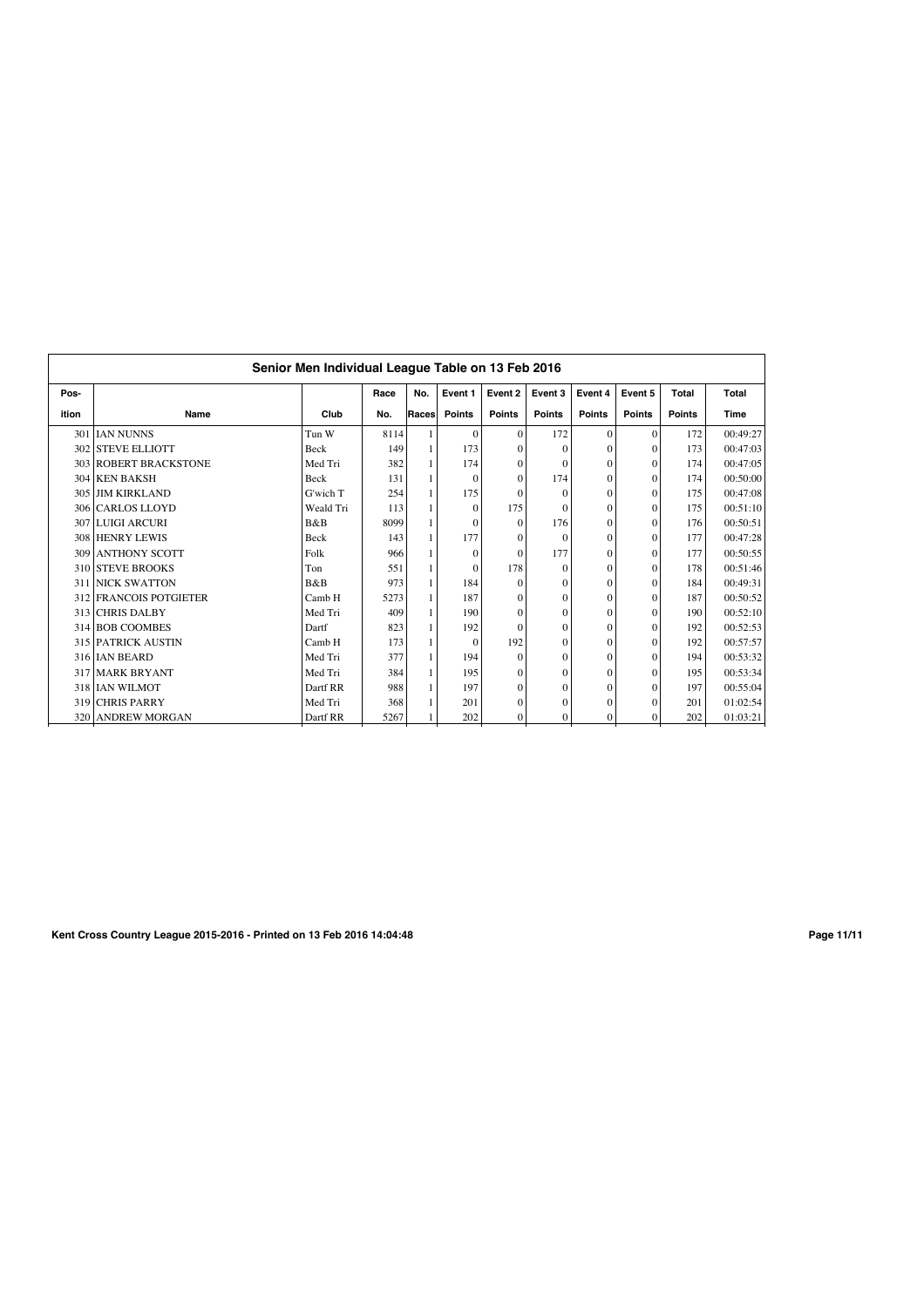| Race<br>Event 2<br>Pos-<br>No.<br>Event 1<br>Event 3<br>Event 4<br>Event 5<br>Total<br><b>Total</b> |                           |             |      |       |               |                  |               |               |               |               |             |  |  |  |
|-----------------------------------------------------------------------------------------------------|---------------------------|-------------|------|-------|---------------|------------------|---------------|---------------|---------------|---------------|-------------|--|--|--|
|                                                                                                     |                           |             |      |       |               |                  |               |               |               |               |             |  |  |  |
| ition                                                                                               | Name                      | Club        | No.  | Races | <b>Points</b> | <b>Points</b>    | <b>Points</b> | <b>Points</b> | <b>Points</b> | <b>Points</b> | <b>Time</b> |  |  |  |
|                                                                                                     | 301 IJAN NUNNS            | Tun W       | 8114 |       | $\Omega$      | $\theta$         | 172           | $\mathbf{0}$  | $\Omega$      | 172           | 00:49:27    |  |  |  |
|                                                                                                     | 302 STEVE ELLIOTT         | Beck        | 149  |       | 173           | $\Omega$         | O             | $\Omega$      | $\Omega$      | 173           | 00:47:03    |  |  |  |
|                                                                                                     | 303 ROBERT BRACKSTONE     | Med Tri     | 382  |       | 174           | $\Omega$         | $\Omega$      | $\mathbf{0}$  | $\Omega$      | 174           | 00:47:05    |  |  |  |
|                                                                                                     | 304 KEN BAKSH             | <b>Beck</b> | 131  |       | $\Omega$      | $\Omega$         | 174           | $\Omega$      | $\Omega$      | 174           | 00:50:00    |  |  |  |
|                                                                                                     | 305 JIM KIRKLAND          | G'wich T    | 254  | 1     | 175           | $\Omega$         | $\theta$      | $\mathbf{0}$  | $\theta$      | 175           | 00:47:08    |  |  |  |
|                                                                                                     | 306 CARLOS LLOYD          | Weald Tri   | 113  | 1     | $\Omega$      | 175              | $\Omega$      | $\mathbf{0}$  | $\theta$      | 175           | 00:51:10    |  |  |  |
|                                                                                                     | 307 LUIGI ARCURI          | B&B         | 8099 |       | $\Omega$      | $\Omega$         | 176           | $\mathbf{0}$  | $\Omega$      | 176           | 00:50:51    |  |  |  |
|                                                                                                     | 308 HENRY LEWIS           | Beck        | 143  | 1     | 177           | $\boldsymbol{0}$ | $\theta$      | $\mathbf{0}$  | $\Omega$      | 177           | 00:47:28    |  |  |  |
|                                                                                                     | <b>309 ANTHONY SCOTT</b>  | Folk        | 966  | 1     | $\Omega$      | $\theta$         | 177           | $\mathbf{0}$  | $\Omega$      | 177           | 00:50:55    |  |  |  |
|                                                                                                     | 310 STEVE BROOKS          | Ton         | 551  | 1     | $\mathbf{0}$  | 178              | $\theta$      | $\mathbf{0}$  | $\Omega$      | 178           | 00:51:46    |  |  |  |
|                                                                                                     | <b>311 NICK SWATTON</b>   | B&B         | 973  | 1     | 184           | $\Omega$         | $\theta$      | $\Omega$      | $\Omega$      | 184           | 00:49:31    |  |  |  |
|                                                                                                     | 312 FRANCOIS POTGIETER    | Camb H      | 5273 |       | 187           | $\theta$         | $\theta$      | $\mathbf{0}$  | $\theta$      | 187           | 00:50:52    |  |  |  |
|                                                                                                     | 313 CHRIS DALBY           | Med Tri     | 409  | 1     | 190           | $\Omega$         | $\theta$      | $\mathbf{0}$  | $\Omega$      | 190           | 00:52:10    |  |  |  |
|                                                                                                     | 314 BOB COOMBES           | Dartf       | 823  | 1     | 192           | $\Omega$         | $\theta$      | $\mathbf{0}$  | $\Omega$      | 192           | 00:52:53    |  |  |  |
|                                                                                                     | <b>315 PATRICK AUSTIN</b> | Camb H      | 173  |       | $\Omega$      | 192              | $\theta$      | $\mathbf{0}$  | $\Omega$      | 192           | 00:57:57    |  |  |  |
|                                                                                                     | 316 IAN BEARD             | Med Tri     | 377  | 1     | 194           | $\Omega$         | $\theta$      | $\Omega$      | $\Omega$      | 194           | 00:53:32    |  |  |  |
|                                                                                                     | 317 MARK BRYANT           | Med Tri     | 384  | 1     | 195           | $\theta$         | $\Omega$      | $\mathbf{0}$  | $\Omega$      | 195           | 00:53:34    |  |  |  |
|                                                                                                     | 318 IAN WILMOT            | Dartf RR    | 988  | 1     | 197           | $\Omega$         | $\theta$      | $\mathbf{0}$  | $\Omega$      | 197           | 00:55:04    |  |  |  |
|                                                                                                     | 319 CHRIS PARRY           | Med Tri     | 368  |       | 201           | $\theta$         | $\Omega$      | $\mathbf{0}$  | $\Omega$      | 201           | 01:02:54    |  |  |  |
| 320                                                                                                 | <b>ANDREW MORGAN</b>      | Dartf RR    | 5267 |       | 202           | $\Omega$         | $\mathbf{0}$  | $\mathbf{0}$  | $\Omega$      | 202           | 01:03:21    |  |  |  |

**Kent Cross Country League 2015-2016 - Printed on 13 Feb 2016 14:04:48 Page 11/11**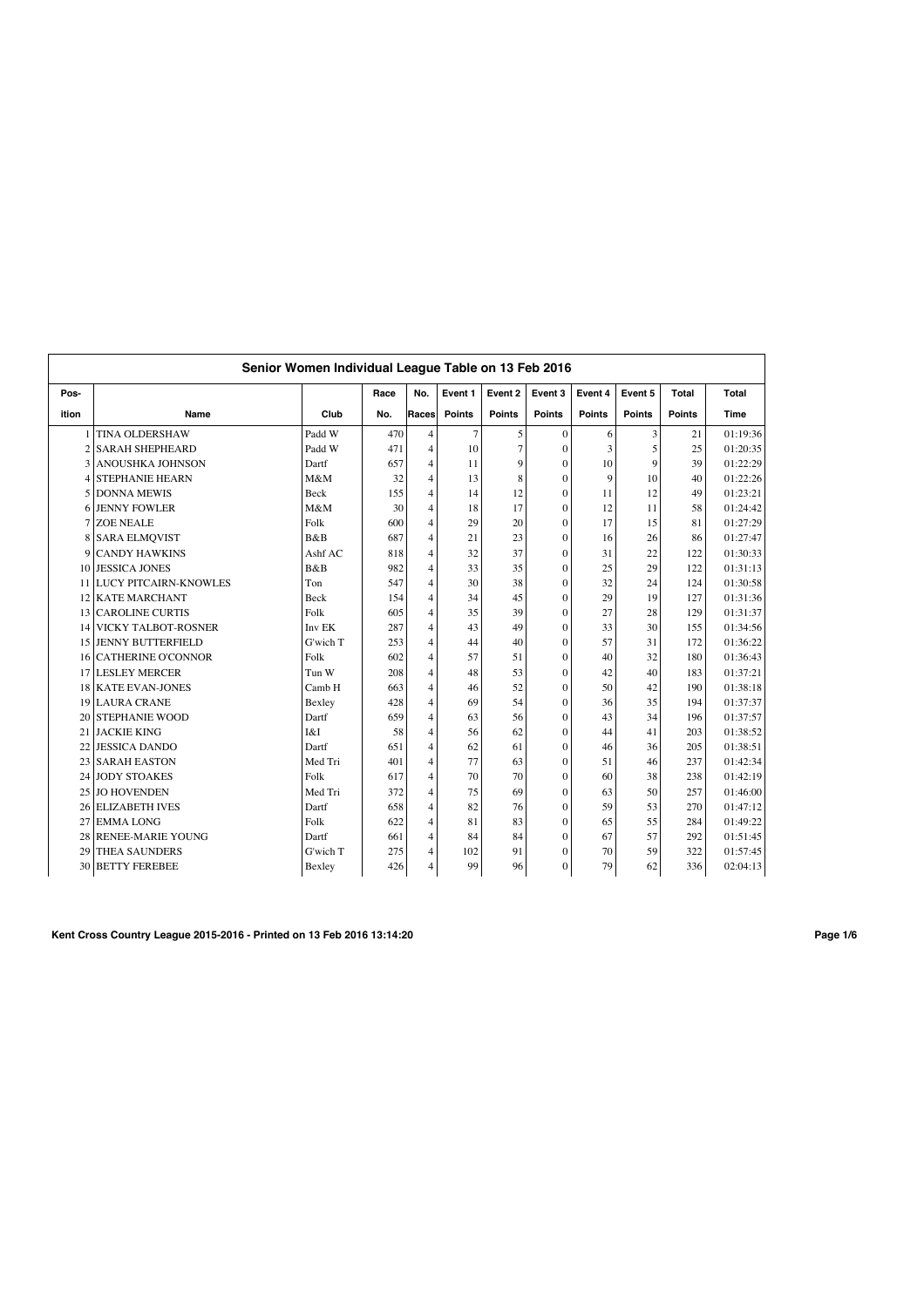|                 | Senior Women Individual League Table on 13 Feb 2016 |             |      |                |                |                |               |               |               |              |             |  |
|-----------------|-----------------------------------------------------|-------------|------|----------------|----------------|----------------|---------------|---------------|---------------|--------------|-------------|--|
| Pos-            |                                                     |             | Race | No.            | Event 1        | Event 2        | Event 3       | Event 4       | Event 5       | <b>Total</b> | Total       |  |
| ition           | Name                                                | Club        | No.  | Races          | <b>Points</b>  | <b>Points</b>  | <b>Points</b> | <b>Points</b> | <b>Points</b> | Points       | <b>Time</b> |  |
|                 | <b>TINA OLDERSHAW</b>                               | Padd W      | 470  | $\overline{4}$ | $\overline{7}$ | 5              | $\Omega$      | 6             | 3             | 21           | 01:19:36    |  |
| $\overline{c}$  | <b>SARAH SHEPHEARD</b>                              | Padd W      | 471  | $\overline{4}$ | 10             | $\overline{7}$ | $\mathbf{0}$  | 3             | 5             | 25           | 01:20:35    |  |
| 3               | ANOUSHKA JOHNSON                                    | Dartf       | 657  | $\overline{4}$ | 11             | 9              | $\Omega$      | 10            | 9             | 39           | 01:22:29    |  |
| 4               | <b>STEPHANIE HEARN</b>                              | M&M         | 32   | $\overline{4}$ | 13             | 8              | $\Omega$      | 9             | 10            | 40           | 01:22:26    |  |
| 5               | <b>DONNA MEWIS</b>                                  | <b>Beck</b> | 155  | $\overline{4}$ | 14             | 12             | $\theta$      | 11            | 12            | 49           | 01:23:21    |  |
| 6               | <b>JENNY FOWLER</b>                                 | M&M         | 30   | $\overline{4}$ | 18             | 17             | $\theta$      | 12            | 11            | 58           | 01:24:42    |  |
| 7               | <b>ZOE NEALE</b>                                    | Folk        | 600  | $\overline{4}$ | 29             | 20             | $\theta$      | 17            | 15            | 81           | 01:27:29    |  |
| 8               | <b>SARA ELMQVIST</b>                                | <b>B</b> &B | 687  | $\overline{4}$ | 21             | 23             | $\theta$      | 16            | 26            | 86           | 01:27:47    |  |
| 9               | <b>CANDY HAWKINS</b>                                | Ashf AC     | 818  | 4              | 32             | 37             | $\theta$      | 31            | 22            | 122          | 01:30:33    |  |
| 10              | <b>JESSICA JONES</b>                                | B&B         | 982  | $\overline{4}$ | 33             | 35             | $\mathbf{0}$  | 25            | 29            | 122          | 01:31:13    |  |
| 11              | <b>LUCY PITCAIRN-KNOWLES</b>                        | Ton         | 547  | $\overline{4}$ | 30             | 38             | $\mathbf{0}$  | 32            | 24            | 124          | 01:30:58    |  |
| 12              | <b>KATE MARCHANT</b>                                | Beck        | 154  | $\overline{4}$ | 34             | 45             | $\mathbf{0}$  | 29            | 19            | 127          | 01:31:36    |  |
| 13 <sup>1</sup> | <b>CAROLINE CURTIS</b>                              | Folk        | 605  | $\overline{4}$ | 35             | 39             | $\Omega$      | 27            | 28            | 129          | 01:31:37    |  |
| 14              | <b>VICKY TALBOT-ROSNER</b>                          | Inv EK      | 287  | $\overline{4}$ | 43             | 49             | $\theta$      | 33            | 30            | 155          | 01:34:56    |  |
| 15 <sup>1</sup> | <b>JENNY BUTTERFIELD</b>                            | G'wich T    | 253  | 4              | 44             | 40             | $\mathbf{0}$  | 57            | 31            | 172          | 01:36:22    |  |
| 16              | <b>CATHERINE O'CONNOR</b>                           | Folk        | 602  | $\overline{4}$ | 57             | 51             | $\theta$      | 40            | 32            | 180          | 01:36:43    |  |
| 17              | <b>LESLEY MERCER</b>                                | Tun W       | 208  | 4              | 48             | 53             | $\mathbf{0}$  | 42            | 40            | 183          | 01:37:21    |  |
| 18 <sup>1</sup> | <b>KATE EVAN-JONES</b>                              | Camb H      | 663  | $\overline{4}$ | 46             | 52             | $\theta$      | 50            | 42            | 190          | 01:38:18    |  |
| 19              | <b>LAURA CRANE</b>                                  | Bexley      | 428  | 4              | 69             | 54             | $\Omega$      | 36            | 35            | 194          | 01:37:37    |  |
| 20              | <b>STEPHANIE WOOD</b>                               | Dartf       | 659  | $\overline{4}$ | 63             | 56             | $\mathbf{0}$  | 43            | 34            | 196          | 01:37:57    |  |
| 21              | <b>JACKIE KING</b>                                  | I&I         | 58   | $\overline{4}$ | 56             | 62             | $\Omega$      | 44            | 41            | 203          | 01:38:52    |  |
| 22              | <b>JESSICA DANDO</b>                                | Dartf       | 651  | $\overline{4}$ | 62             | 61             | $\Omega$      | 46            | 36            | 205          | 01:38:51    |  |
| 23              | <b>SARAH EASTON</b>                                 | Med Tri     | 401  | $\overline{4}$ | 77             | 63             | $\theta$      | 51            | 46            | 237          | 01:42:34    |  |
| 24              | <b>JODY STOAKES</b>                                 | Folk        | 617  | $\overline{4}$ | 70             | 70             | $\theta$      | 60            | 38            | 238          | 01:42:19    |  |
| 25              | <b>JO HOVENDEN</b>                                  | Med Tri     | 372  | $\overline{4}$ | 75             | 69             | $\theta$      | 63            | 50            | 257          | 01:46:00    |  |
| 26              | <b>ELIZABETH IVES</b>                               | Dartf       | 658  | $\overline{4}$ | 82             | 76             | $\theta$      | 59            | 53            | 270          | 01:47:12    |  |
| 27              | <b>EMMALONG</b>                                     | Folk        | 622  | $\overline{4}$ | 81             | 83             | $\theta$      | 65            | 55            | 284          | 01:49:22    |  |
| 28              | <b>RENEE-MARIE YOUNG</b>                            | Dartf       | 661  | 4              | 84             | 84             | $\mathbf{0}$  | 67            | 57            | 292          | 01:51:45    |  |
| 29              | <b>THEA SAUNDERS</b>                                | G'wich T    | 275  | 4              | 102            | 91             | $\mathbf{0}$  | 70            | 59            | 322          | 01:57:45    |  |
|                 | <b>30 BETTY FEREBEE</b>                             | Bexley      | 426  | 4              | 99             | 96             | $\mathbf{0}$  | 79            | 62            | 336          | 02:04:13    |  |

**Kent Cross Country League 2015-2016 - Printed on 13 Feb 2016 13:14:20 Page 1/6**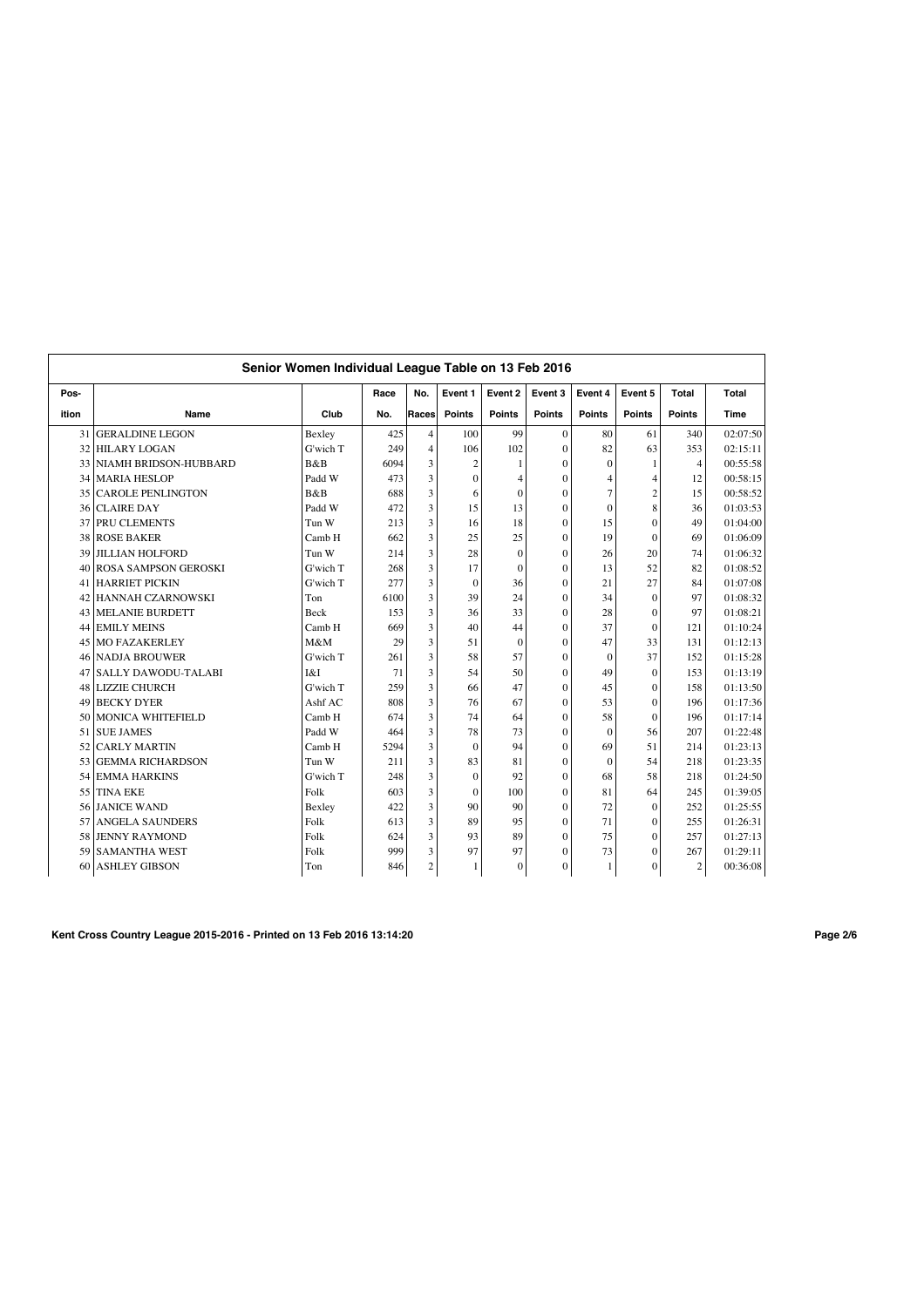|                 |                              | Senior Women Individual League Table on 13 Feb 2016 |      |                |                |               |                |               |                |                  |             |
|-----------------|------------------------------|-----------------------------------------------------|------|----------------|----------------|---------------|----------------|---------------|----------------|------------------|-------------|
| Pos-            |                              |                                                     | Race | No.            | Event 1        | Event 2       | Event 3        | Event 4       | Event 5        | <b>Total</b>     | Total       |
| ition           | Name                         | Club                                                | No.  | Races          | <b>Points</b>  | <b>Points</b> | <b>Points</b>  | <b>Points</b> | <b>Points</b>  | <b>Points</b>    | <b>Time</b> |
| 31              | <b>GERALDINE LEGON</b>       | Bexley                                              | 425  | $\overline{4}$ | 100            | 99            | $\mathbf{0}$   | 80            | 61             | 340              | 02:07:50    |
| 32              | <b>HILARY LOGAN</b>          | G'wich T                                            | 249  | $\overline{4}$ | 106            | 102           | $\overline{0}$ | 82            | 63             | 353              | 02:15:11    |
| 33              | <b>NIAMH BRIDSON-HUBBARD</b> | B&B                                                 | 6094 | 3              | $\overline{c}$ | 1             | $\overline{0}$ | $\mathbf{0}$  | 1              | $\overline{4}$   | 00:55:58    |
| 34              | <b>MARIA HESLOP</b>          | Padd W                                              | 473  | 3              | $\mathbf{0}$   | 4             | $\overline{0}$ | 4             | $\overline{4}$ | 12               | 00:58:15    |
| 35              | <b>CAROLE PENLINGTON</b>     | B&B                                                 | 688  | 3              | 6              | $\mathbf{0}$  | $\theta$       | 7             | $\overline{2}$ | 15               | 00:58:52    |
| 36              | <b>CLAIRE DAY</b>            | Padd W                                              | 472  | 3              | 15             | 13            | $\theta$       | $\theta$      | 8              | 36               | 01:03:53    |
| 37              | PRU CLEMENTS                 | Tun W                                               | 213  | 3              | 16             | 18            | $\theta$       | 15            | $\theta$       | 49               | 01:04:00    |
| 38              | <b>ROSE BAKER</b>            | Camb H                                              | 662  | 3              | 25             | 25            | $\theta$       | 19            | $\theta$       | 69               | 01:06:09    |
| 39              | <b>JILLIAN HOLFORD</b>       | Tun W                                               | 214  | 3              | 28             | $\theta$      | $\theta$       | 26            | 20             | 74               | 01:06:32    |
| 40              | <b>ROSA SAMPSON GEROSKI</b>  | G'wich T                                            | 268  | 3              | 17             | $\theta$      | $\theta$       | 13            | 52             | 82               | 01:08:52    |
| 41              | <b>HARRIET PICKIN</b>        | G'wich T                                            | 277  | 3              | $\mathbf{0}$   | 36            | $\overline{0}$ | 21            | 27             | 84               | 01:07:08    |
| 42              | <b>HANNAH CZARNOWSKI</b>     | Ton                                                 | 6100 | 3              | 39             | 24            | $\theta$       | 34            | $\mathbf{0}$   | 97               | 01:08:32    |
| 43 <sup>1</sup> | <b>MELANIE BURDETT</b>       | <b>Beck</b>                                         | 153  | 3              | 36             | 33            | $\theta$       | 28            | $\theta$       | 97               | 01:08:21    |
| 44              | <b>EMILY MEINS</b>           | Camb H                                              | 669  | 3              | 40             | 44            | $\theta$       | 37            | $\theta$       | 121              | 01:10:24    |
| 45              | <b>MO FAZAKERLEY</b>         | M&M                                                 | 29   | 3              | 51             | $\theta$      | $\theta$       | 47            | 33             | 131              | 01:12:13    |
| 46              | <b>NADJA BROUWER</b>         | G'wich T                                            | 261  | 3              | 58             | 57            | $\theta$       | $\mathbf{0}$  | 37             | 152              | 01:15:28    |
| 47              | <b>SALLY DAWODU-TALABI</b>   | I&I                                                 | 71   | 3              | 54             | 50            | $\theta$       | 49            | $\mathbf{0}$   | 153              | 01:13:19    |
| 48              | <b>LIZZIE CHURCH</b>         | G'wich T                                            | 259  | 3              | 66             | 47            | $\theta$       | 45            | $\overline{0}$ | 158              | 01:13:50    |
| 49              | <b>BECKY DYER</b>            | Ashf AC                                             | 808  | 3              | 76             | 67            | $\theta$       | 53            | $\overline{0}$ | 196              | 01:17:36    |
| 50              | <b>MONICA WHITEFIELD</b>     | Camb H                                              | 674  | 3              | 74             | 64            | $\mathbf{0}$   | 58            | $\overline{0}$ | 196              | 01:17:14    |
| 51              | <b>SUE JAMES</b>             | Padd W                                              | 464  | 3              | 78             | 73            | $\theta$       | $\Omega$      | 56             | 207              | 01:22:48    |
| 52              | <b>CARLY MARTIN</b>          | Camb H                                              | 5294 | 3              | $\mathbf{0}$   | 94            | $\overline{0}$ | 69            | 51             | 214              | 01:23:13    |
| 53              | <b>GEMMA RICHARDSON</b>      | Tun W                                               | 211  | 3              | 83             | 81            | $\theta$       | $\mathbf{0}$  | 54             | 218              | 01:23:35    |
| 54              | <b>EMMA HARKINS</b>          | G'wich T                                            | 248  | 3              | $\mathbf{0}$   | 92            | $\theta$       | 68            | 58             | 218              | 01:24:50    |
| 55              | <b>TINA EKE</b>              | Folk                                                | 603  | 3              | $\mathbf{0}$   | 100           | $\theta$       | 81            | 64             | 245              | 01:39:05    |
| 56              | <b>JANICE WAND</b>           | Bexley                                              | 422  | 3              | 90             | 90            | $\theta$       | 72            | $\theta$       | 252              | 01:25:55    |
| 57              | <b>ANGELA SAUNDERS</b>       | Folk                                                | 613  | 3              | 89             | 95            | $\theta$       | 71            | $\theta$       | 255              | 01:26:31    |
| 58              | <b>JENNY RAYMOND</b>         | Folk                                                | 624  | 3              | 93             | 89            | $\theta$       | 75            | $\theta$       | 257              | 01:27:13    |
| 59              | <b>SAMANTHA WEST</b>         | Folk                                                | 999  | 3              | 97             | 97            | $\overline{0}$ | 73            | $\theta$       | 267              | 01:29:11    |
| 60              | <b>ASHLEY GIBSON</b>         | Ton                                                 | 846  | 2              | $\mathbf{1}$   | $\mathbf{0}$  | $\mathbf{0}$   | $\mathbf{1}$  | $\mathbf{0}$   | $\boldsymbol{2}$ | 00:36:08    |

**Kent Cross Country League 2015-2016 - Printed on 13 Feb 2016 13:14:20 Page 2/6**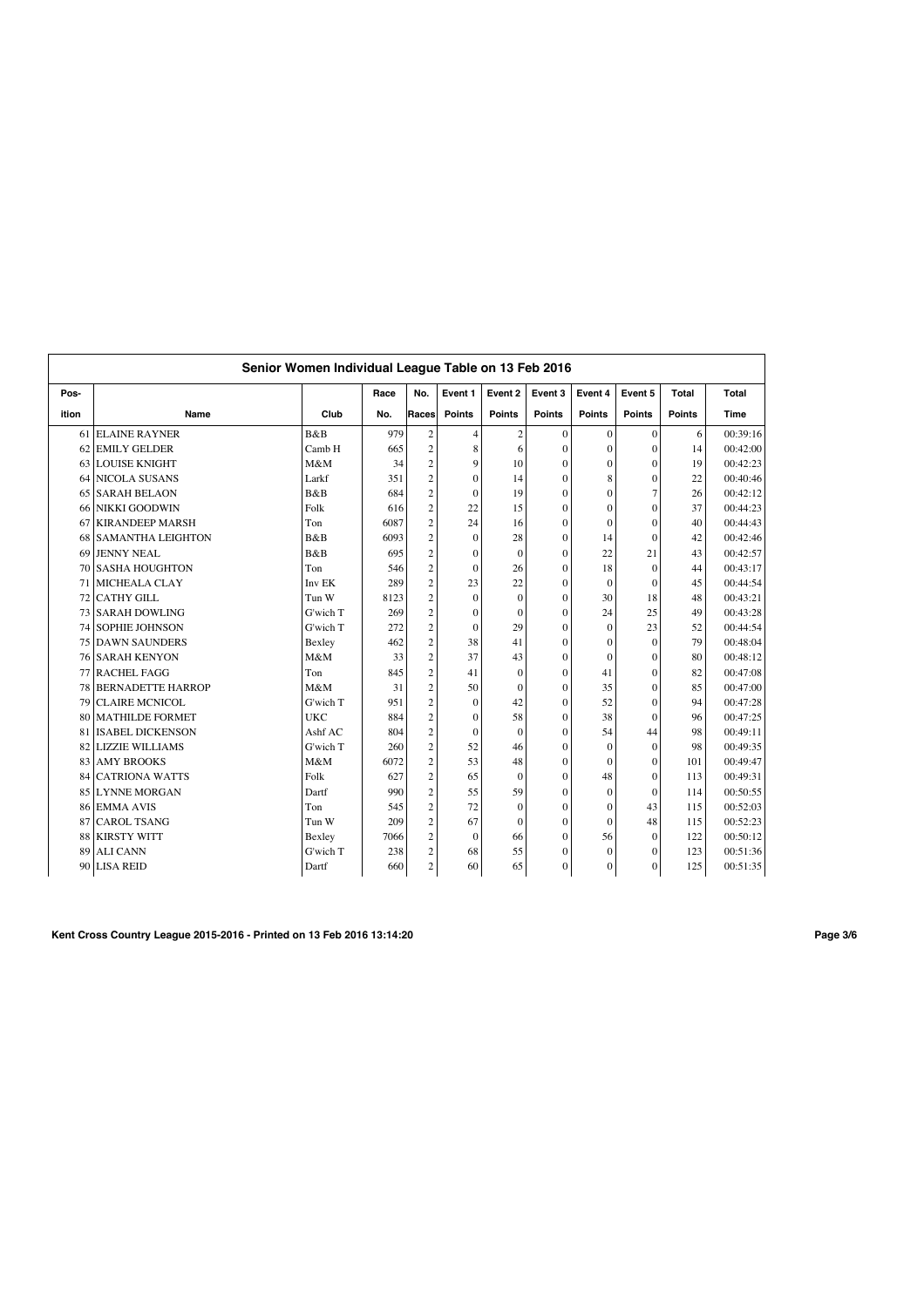|       |                          | Senior Women Individual League Table on 13 Feb 2016 |      |                         |                |                |                  |                |                |              |             |
|-------|--------------------------|-----------------------------------------------------|------|-------------------------|----------------|----------------|------------------|----------------|----------------|--------------|-------------|
| Pos-  |                          |                                                     | Race | No.                     | Event 1        | Event 2        | Event 3          | Event 4        | Event 5        | <b>Total</b> | Total       |
| ition | Name                     | Club                                                | No.  | Races                   | <b>Points</b>  | <b>Points</b>  | Points           | <b>Points</b>  | <b>Points</b>  | Points       | <b>Time</b> |
|       | 61 ELAINE RAYNER         | B&B                                                 | 979  | $\overline{2}$          | $\overline{4}$ | $\overline{c}$ | $\mathbf{0}$     | $\mathbf{0}$   | $\mathbf{0}$   | 6            | 00:39:16    |
| 62    | <b>EMILY GELDER</b>      | Camb H                                              | 665  | $\overline{c}$          | 8              | 6              | $\mathbf{0}$     | $\mathbf{0}$   | $\theta$       | 14           | 00:42:00    |
| 63    | <b>LOUISE KNIGHT</b>     | M&M                                                 | 34   | $\overline{c}$          | 9              | 10             | $\mathbf{0}$     | $\mathbf{0}$   | $\Omega$       | 19           | 00:42:23    |
| 64    | <b>NICOLA SUSANS</b>     | Larkf                                               | 351  | $\overline{2}$          | $\mathbf{0}$   | 14             | $\theta$         | 8              | $\Omega$       | 22           | 00:40:46    |
| 65    | <b>SARAH BELAON</b>      | B&B                                                 | 684  | $\overline{c}$          | $\mathbf{0}$   | 19             | $\Omega$         | $\theta$       | $\overline{7}$ | 26           | 00:42:12    |
| 66    | <b>NIKKI GOODWIN</b>     | Folk                                                | 616  | $\overline{c}$          | 22             | 15             | $\boldsymbol{0}$ | $\overline{0}$ | $\theta$       | 37           | 00:44:23    |
| 67    | <b>KIRANDEEP MARSH</b>   | Ton                                                 | 6087 | $\overline{c}$          | 24             | 16             | $\Omega$         | $\theta$       | $\Omega$       | 40           | 00:44:43    |
| 68    | <b>SAMANTHA LEIGHTON</b> | B&B                                                 | 6093 | $\overline{c}$          | $\mathbf{0}$   | 28             | 0                | 14             | $\theta$       | 42           | 00:42:46    |
| 69    | JENNY NEAL               | <b>B</b> &B                                         | 695  | $\overline{2}$          | $\Omega$       | $\theta$       | $\Omega$         | 22             | 21             | 43           | 00:42:57    |
| 70    | <b>SASHA HOUGHTON</b>    | Ton                                                 | 546  | $\overline{\mathbf{c}}$ | $\Omega$       | 26             | $\Omega$         | 18             | $\Omega$       | 44           | 00:43:17    |
| 71    | <b>MICHEALA CLAY</b>     | Inv EK                                              | 289  | $\overline{c}$          | 23             | 22             | $\boldsymbol{0}$ | $\mathbf{0}$   | $\Omega$       | 45           | 00:44:54    |
| 72    | <b>CATHY GILL</b>        | Tun W                                               | 8123 | $\overline{c}$          | $\Omega$       | $\theta$       | $\Omega$         | 30             | 18             | 48           | 00:43:21    |
| 73    | <b>SARAH DOWLING</b>     | G'wich T                                            | 269  | $\overline{c}$          | $\mathbf{0}$   | $\theta$       | $\Omega$         | 24             | 25             | 49           | 00:43:28    |
| 74    | <b>SOPHIE JOHNSON</b>    | G'wich T                                            | 272  | $\overline{c}$          | $\mathbf{0}$   | 29             | $\theta$         | $\Omega$       | 23             | 52           | 00:44:54    |
|       | <b>75 DAWN SAUNDERS</b>  | Bexley                                              | 462  | $\overline{c}$          | 38             | 41             | $\theta$         | $\theta$       | $\Omega$       | 79           | 00:48:04    |
| 761   | <b>SARAH KENYON</b>      | M&M                                                 | 33   | $\overline{c}$          | 37             | 43             | $\theta$         | $\theta$       | $\theta$       | 80           | 00:48:12    |
| 77    | <b>RACHEL FAGG</b>       | Ton                                                 | 845  | $\overline{c}$          | 41             | $\theta$       | $\theta$         | 41             | $\theta$       | 82           | 00:47:08    |
| 78    | <b>BERNADETTE HARROP</b> | M&M                                                 | 31   | $\overline{c}$          | 50             | $\theta$       | $\theta$         | 35             | $\Omega$       | 85           | 00:47:00    |
| 79    | <b>CLAIRE MCNICOL</b>    | G'wich T                                            | 951  | $\overline{2}$          | $\mathbf{0}$   | 42             | $\theta$         | 52             | $\Omega$       | 94           | 00:47:28    |
| 80    | <b>MATHILDE FORMET</b>   | <b>UKC</b>                                          | 884  | $\overline{c}$          | $\mathbf{0}$   | 58             | $\mathbf{0}$     | 38             | $\Omega$       | 96           | 00:47:25    |
| 81    | <b>ISABEL DICKENSON</b>  | Ashf AC                                             | 804  | $\overline{c}$          | $\mathbf{0}$   | $\theta$       | $\Omega$         | 54             | 44             | 98           | 00:49:11    |
| 82    | <b>LIZZIE WILLIAMS</b>   | G'wich T                                            | 260  | $\overline{c}$          | 52             | 46             | $\Omega$         | $\mathbf{0}$   | $\Omega$       | 98           | 00:49:35    |
| 83    | <b>AMY BROOKS</b>        | M&M                                                 | 6072 | $\overline{2}$          | 53             | 48             | $\theta$         | $\Omega$       | $\Omega$       | 101          | 00:49:47    |
| 84    | <b>CATRIONA WATTS</b>    | Folk                                                | 627  | $\overline{c}$          | 65             | $\theta$       | $\theta$         | 48             | $\theta$       | 113          | 00:49:31    |
| 85    | <b>LYNNE MORGAN</b>      | Dartf                                               | 990  | $\overline{c}$          | 55             | 59             | $\theta$         | $\Omega$       | $\Omega$       | 114          | 00:50:55    |
| 86    | <b>EMMA AVIS</b>         | Ton                                                 | 545  | $\overline{c}$          | 72             | $\overline{0}$ | $\theta$         | $\theta$       | 43             | 115          | 00:52:03    |
| 87    | <b>CAROL TSANG</b>       | Tun W                                               | 209  | $\overline{c}$          | 67             | $\theta$       | $\theta$         | $\theta$       | 48             | 115          | 00:52:23    |
| 88    | <b>KIRSTY WITT</b>       | Bexley                                              | 7066 | $\overline{2}$          | $\mathbf{0}$   | 66             | $\theta$         | 56             | $\Omega$       | 122          | 00:50:12    |
| 89    | <b>ALI CANN</b>          | G'wich T                                            | 238  | $\overline{c}$          | 68             | 55             | $\mathbf{0}$     | $\mathbf{0}$   | $\Omega$       | 123          | 00:51:36    |
|       | 90 LISA REID             | Dartf                                               | 660  | $\overline{\mathbf{c}}$ | 60             | 65             | $\mathbf{0}$     | $\overline{0}$ | $\mathbf{0}$   | 125          | 00:51:35    |

**Kent Cross Country League 2015-2016 - Printed on 13 Feb 2016 13:14:20 Page 3/6**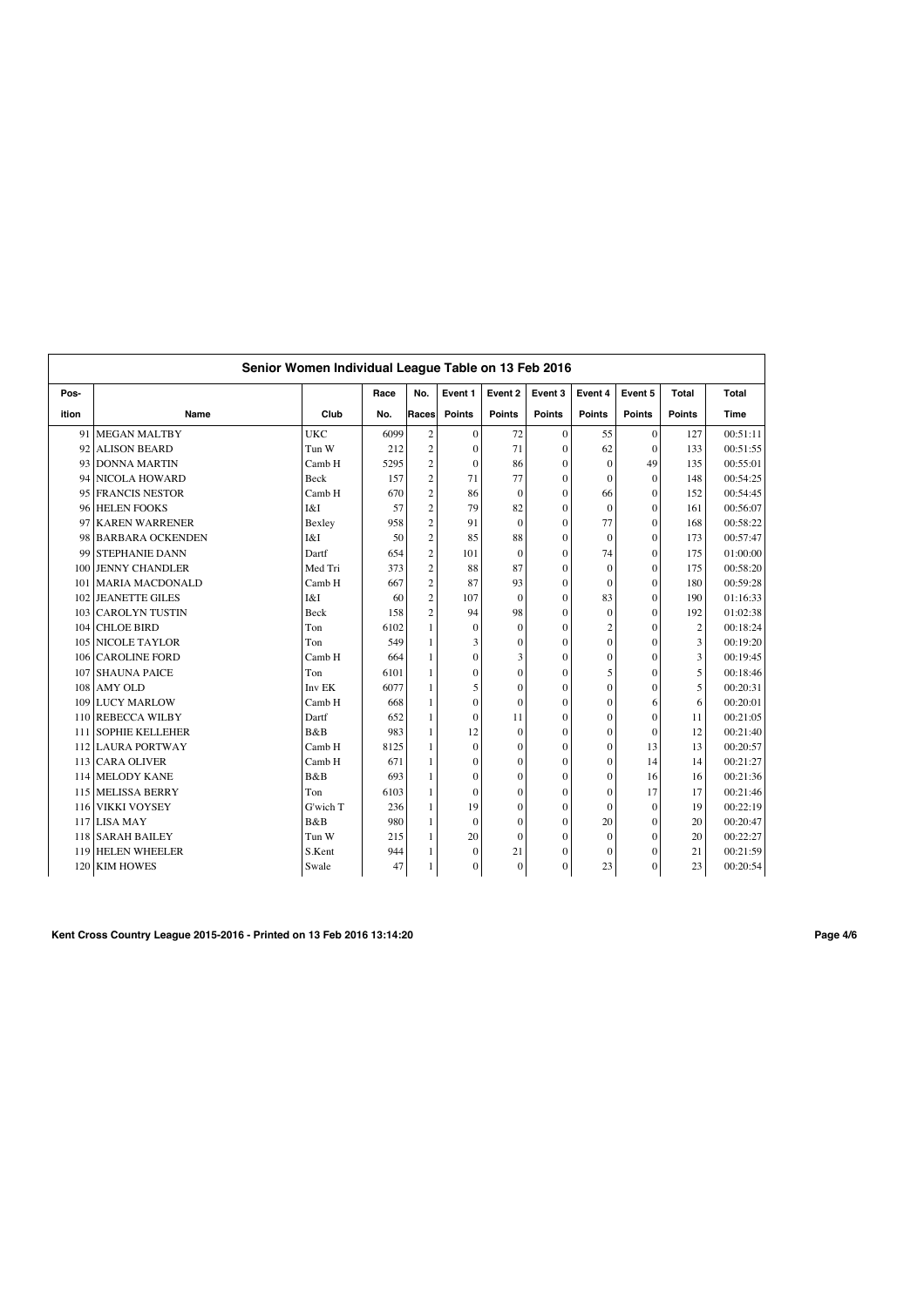|       |                         | Senior Women Individual League Table on 13 Feb 2016 |      |                |               |               |                  |                |               |                |          |
|-------|-------------------------|-----------------------------------------------------|------|----------------|---------------|---------------|------------------|----------------|---------------|----------------|----------|
| Pos-  |                         |                                                     | Race | No.            | Event 1       | Event 2       | Event 3          | Event 4        | Event 5       | Total          | Total    |
| ition | Name                    | Club                                                | No.  | Races          | <b>Points</b> | <b>Points</b> | <b>Points</b>    | <b>Points</b>  | <b>Points</b> | <b>Points</b>  | Time     |
| 91    | <b>MEGAN MALTBY</b>     | <b>UKC</b>                                          | 6099 | $\overline{c}$ | $\mathbf{0}$  | 72            | $\mathbf{0}$     | 55             | $\mathbf{0}$  | 127            | 00:51:11 |
| 92    | <b>ALISON BEARD</b>     | Tun W                                               | 212  | $\overline{c}$ | $\mathbf{0}$  | 71            | $\Omega$         | 62             | $\Omega$      | 133            | 00:51:55 |
| 93    | <b>DONNA MARTIN</b>     | Camb H                                              | 5295 | $\overline{2}$ | $\mathbf{0}$  | 86            | $\theta$         | $\mathbf{0}$   | 49            | 135            | 00:55:01 |
| 94    | <b>NICOLA HOWARD</b>    | <b>Beck</b>                                         | 157  | $\overline{c}$ | 71            | 77            | $\theta$         | $\mathbf{0}$   | $\theta$      | 148            | 00:54:25 |
| 95    | <b>FRANCIS NESTOR</b>   | Camb H                                              | 670  | $\overline{c}$ | 86            | $\Omega$      | $\Omega$         | 66             | $\Omega$      | 152            | 00:54:45 |
| 96    | <b>HELEN FOOKS</b>      | I&I                                                 | 57   | $\overline{c}$ | 79            | 82            | $\Omega$         | $\mathbf{0}$   | $\theta$      | 161            | 00:56:07 |
| 97    | <b>KAREN WARRENER</b>   | Bexley                                              | 958  | $\overline{c}$ | 91            | $\theta$      | $\Omega$         | 77             | $\theta$      | 168            | 00:58:22 |
| 98    | <b>BARBARA OCKENDEN</b> | I&I                                                 | 50   | $\overline{c}$ | 85            | 88            | $\Omega$         | $\mathbf{0}$   | $\theta$      | 173            | 00:57:47 |
| 99    | <b>STEPHANIE DANN</b>   | Dartf                                               | 654  | $\overline{c}$ | 101           | $\mathbf{0}$  | $\theta$         | 74             | $\theta$      | 175            | 01:00:00 |
| 100   | <b>JENNY CHANDLER</b>   | Med Tri                                             | 373  | $\overline{c}$ | 88            | 87            | $\boldsymbol{0}$ | $\mathbf{0}$   | $\mathbf{0}$  | 175            | 00:58:20 |
| 101   | <b>MARIA MACDONALD</b>  | Camb H                                              | 667  | $\overline{c}$ | 87            | 93            | $\theta$         | $\mathbf{0}$   | $\theta$      | 180            | 00:59:28 |
| 102   | <b>JEANETTE GILES</b>   | I&I                                                 | 60   | $\overline{c}$ | 107           | $\mathbf{0}$  | $\theta$         | 83             | $\theta$      | 190            | 01:16:33 |
| 103   | <b>CAROLYN TUSTIN</b>   | Beck                                                | 158  | $\overline{c}$ | 94            | 98            | $\Omega$         | $\mathbf{0}$   | $\Omega$      | 192            | 01:02:38 |
| 104   | <b>CHLOE BIRD</b>       | Ton                                                 | 6102 | $\mathbf{1}$   | $\mathbf{0}$  | $\theta$      | $\theta$         | $\overline{2}$ | $\theta$      | $\overline{c}$ | 00:18:24 |
| 105   | <b>NICOLE TAYLOR</b>    | Ton                                                 | 549  | 1              | 3             | $\theta$      | $\Omega$         | $\theta$       | $\Omega$      | 3              | 00:19:20 |
| 106   | <b>CAROLINE FORD</b>    | Camb H                                              | 664  | $\mathbf{1}$   | $\theta$      | 3             | $\theta$         | $\theta$       | $\theta$      | 3              | 00:19:45 |
| 107   | <b>SHAUNA PAICE</b>     | Ton                                                 | 6101 | 1              | $\mathbf{0}$  | $\theta$      | $\theta$         | 5              | $\theta$      | 5              | 00:18:46 |
| 108   | <b>AMY OLD</b>          | Inv <sub>EK</sub>                                   | 6077 | 1              | 5             | $\theta$      | $\theta$         | $\overline{0}$ | $\theta$      | 5              | 00:20:31 |
| 109   | <b>LUCY MARLOW</b>      | Camb H                                              | 668  | 1              | $\mathbf{0}$  | $\theta$      | $\theta$         | $\overline{0}$ | 6             | 6              | 00:20:01 |
| 110   | <b>REBECCA WILBY</b>    | Dartf                                               | 652  | 1              | $\mathbf{0}$  | 11            | $\mathbf{0}$     | $\overline{0}$ | $\theta$      | 11             | 00:21:05 |
| 111   | <b>SOPHIE KELLEHER</b>  | B&B                                                 | 983  | 1              | 12            | $\mathbf{0}$  | $\mathbf{0}$     | $\overline{0}$ | $\mathbf{0}$  | 12             | 00:21:40 |
|       | 112 LAURA PORTWAY       | Camb H                                              | 8125 | 1              | $\mathbf{0}$  | $\mathbf{0}$  | $\mathbf{0}$     | $\mathbf{0}$   | 13            | 13             | 00:20:57 |
| 113   | <b>CARA OLIVER</b>      | Camb H                                              | 671  | 1              | $\mathbf{0}$  | $\mathbf{0}$  | $\Omega$         | $\mathbf{0}$   | 14            | 14             | 00:21:27 |
| 114   | <b>MELODY KANE</b>      | B&B                                                 | 693  | 1              | $\mathbf{0}$  | $\theta$      | $\theta$         | $\mathbf{0}$   | 16            | 16             | 00:21:36 |
| 115   | <b>MELISSA BERRY</b>    | Ton                                                 | 6103 | 1              | $\mathbf{0}$  | $\theta$      | $\theta$         | $\overline{0}$ | 17            | 17             | 00:21:46 |
| 116   | <b>VIKKI VOYSEY</b>     | G'wich T                                            | 236  | 1              | 19            | $\mathbf{0}$  | $\theta$         | $\overline{0}$ | $\theta$      | 19             | 00:22:19 |
| 117   | <b>LISA MAY</b>         | B&B                                                 | 980  | 1              | $\Omega$      | $\theta$      | $\theta$         | 20             | $\theta$      | 20             | 00:20:47 |
|       | 118 SARAH BAILEY        | Tun W                                               | 215  | 1              | 20            | $\theta$      | $\Omega$         | $\theta$       | $\theta$      | 20             | 00:22:27 |
| 119   | <b>HELEN WHEELER</b>    | S.Kent                                              | 944  | 1              | $\mathbf{0}$  | 21            | $\theta$         | $\theta$       | $\theta$      | 21             | 00:21:59 |
|       | 120 KIM HOWES           | Swale                                               | 47   | 1              | $\mathbf{0}$  | $\mathbf{0}$  | $\mathbf{0}$     | 23             | $\theta$      | 23             | 00:20:54 |

**Kent Cross Country League 2015-2016 - Printed on 13 Feb 2016 13:14:20 Page 4/6**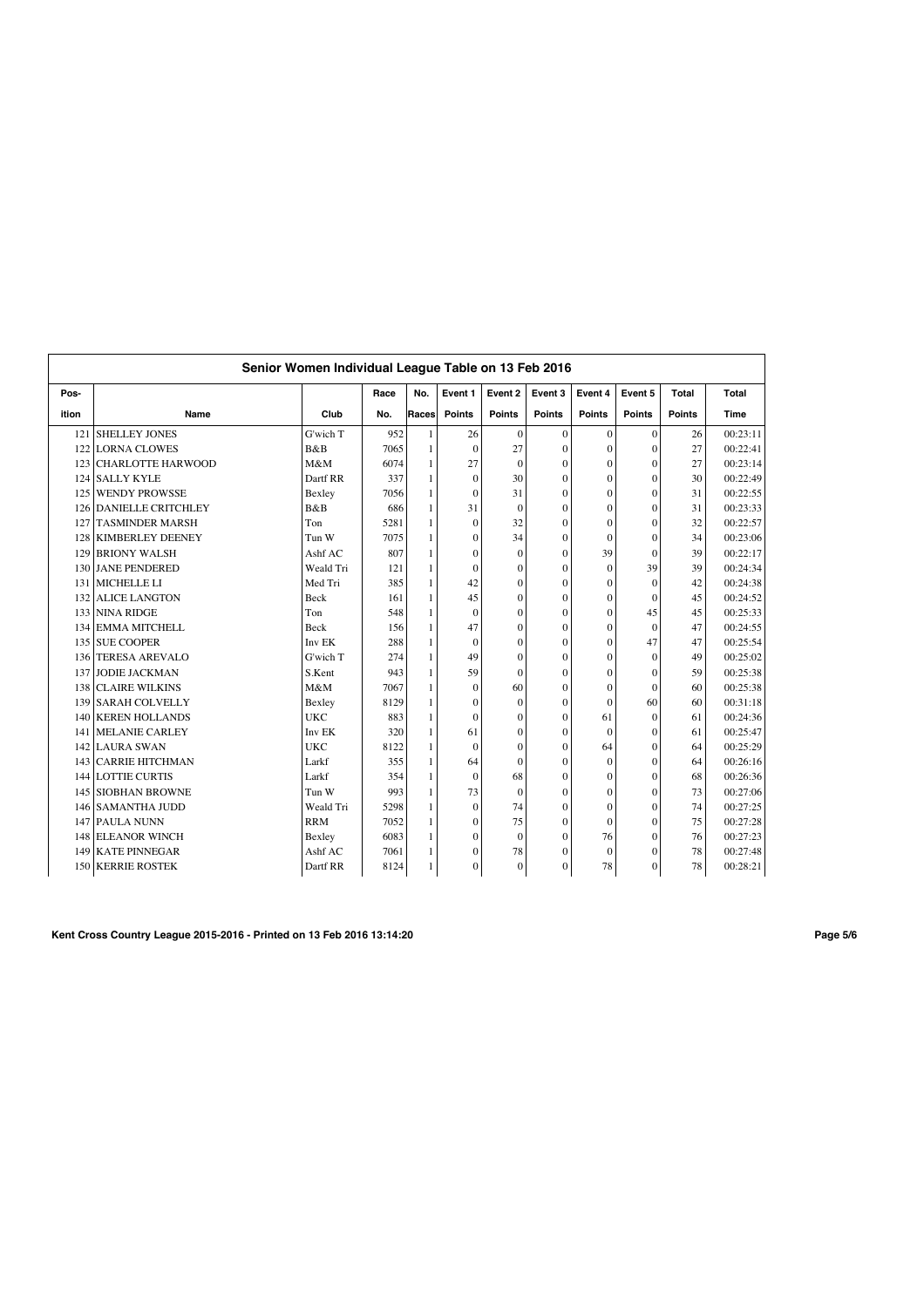|       |                           | Senior Women Individual League Table on 13 Feb 2016 |      |       |                  |                |                  |                |               |               |          |
|-------|---------------------------|-----------------------------------------------------|------|-------|------------------|----------------|------------------|----------------|---------------|---------------|----------|
| Pos-  |                           |                                                     | Race | No.   | Event 1          | Event 2        | Event 3          | Event 4        | Event 5       | Total         | Total    |
| ition | Name                      | Club                                                | No.  | Races | <b>Points</b>    | <b>Points</b>  | <b>Points</b>    | <b>Points</b>  | <b>Points</b> | <b>Points</b> | Time     |
| 121   | SHELLEY JONES             | G'wich T                                            | 952  | 1     | 26               | $\mathbf{0}$   | $\mathbf{0}$     | $\mathbf{0}$   | $\mathbf{0}$  | 26            | 00:23:11 |
| 122   | <b>LORNA CLOWES</b>       | B&B                                                 | 7065 | 1     | $\mathbf{0}$     | 27             | $\theta$         | $\overline{0}$ | $\Omega$      | 27            | 00:22:41 |
| 123   | <b>CHARLOTTE HARWOOD</b>  | M&M                                                 | 6074 | 1     | 27               | $\mathbf{0}$   | $\theta$         | $\mathbf{0}$   | $\theta$      | 27            | 00:23:14 |
| 124   | <b>SALLY KYLE</b>         | Dartf RR                                            | 337  | 1     | $\mathbf{0}$     | 30             | $\theta$         | $\overline{0}$ | $\theta$      | 30            | 00:22:49 |
| 125   | <b>WENDY PROWSSE</b>      | Bexley                                              | 7056 | 1     | $\mathbf{0}$     | 31             | $\theta$         | $\overline{0}$ | $\theta$      | 31            | 00:22:55 |
| 126   | <b>DANIELLE CRITCHLEY</b> | B&B                                                 | 686  | 1     | 31               | $\overline{0}$ | $\theta$         | $\overline{0}$ | $\theta$      | 31            | 00:23:33 |
| 127   | <b>TASMINDER MARSH</b>    | Ton                                                 | 5281 | 1     | $\mathbf{0}$     | 32             | $\Omega$         | $\mathbf{0}$   | $\theta$      | 32            | 00:22:57 |
| 128   | <b>KIMBERLEY DEENEY</b>   | Tun W                                               | 7075 | 1     | $\mathbf{0}$     | 34             | $\theta$         | $\mathbf{0}$   | $\Omega$      | 34            | 00:23:06 |
| 129   | <b>BRIONY WALSH</b>       | Ashf AC                                             | 807  | 1     | $\mathbf{0}$     | $\mathbf{0}$   | $\mathbf{0}$     | 39             | $\theta$      | 39            | 00:22:17 |
| 130   | <b>JANE PENDERED</b>      | Weald Tri                                           | 121  | 1     | $\mathbf{0}$     | $\mathbf{0}$   | $\boldsymbol{0}$ | $\mathbf{0}$   | 39            | 39            | 00:24:34 |
| 131   | MICHELLE LI               | Med Tri                                             | 385  | 1     | 42               | $\mathbf{0}$   | $\Omega$         | $\overline{0}$ | $\theta$      | 42            | 00:24:38 |
| 132   | <b>ALICE LANGTON</b>      | Beck                                                | 161  | 1     | 45               | $\overline{0}$ | $\theta$         | $\overline{0}$ | $\theta$      | 45            | 00:24:52 |
| 133   | <b>NINA RIDGE</b>         | Ton                                                 | 548  | 1     | $\mathbf{0}$     | $\theta$       | $\theta$         | $\overline{0}$ | 45            | 45            | 00:25:33 |
| 134   | <b>EMMA MITCHELL</b>      | <b>Beck</b>                                         | 156  | 1     | 47               | $\theta$       | $\theta$         | $\overline{0}$ | $\theta$      | 47            | 00:24:55 |
|       | 135 SUE COOPER            | Inv EK                                              | 288  | 1     | $\mathbf{0}$     | $\overline{0}$ | $\theta$         | $\overline{0}$ | 47            | 47            | 00:25:54 |
| 136   | <b>TERESA AREVALO</b>     | G'wich T                                            | 274  | 1     | 49               | $\theta$       | $\theta$         | $\overline{0}$ | $\Omega$      | 49            | 00:25:02 |
| 137   | <b>JODIE JACKMAN</b>      | S.Kent                                              | 943  | 1     | 59               | $\theta$       | $\theta$         | $\overline{0}$ | $\theta$      | 59            | 00:25:38 |
| 138   | <b>CLAIRE WILKINS</b>     | M&M                                                 | 7067 | 1     | $\mathbf{0}$     | 60             | $\theta$         | $\mathbf{0}$   | $\theta$      | 60            | 00:25:38 |
| 139   | <b>SARAH COLVELLY</b>     | Bexley                                              | 8129 | 1     | $\boldsymbol{0}$ | $\mathbf{0}$   | $\theta$         | $\overline{0}$ | 60            | 60            | 00:31:18 |
| 140   | <b>KEREN HOLLANDS</b>     | <b>UKC</b>                                          | 883  | 1     | $\mathbf{0}$     | $\overline{0}$ | $\overline{0}$   | 61             | $\mathbf{0}$  | 61            | 00:24:36 |
| 141   | <b>MELANIE CARLEY</b>     | Inv EK                                              | 320  | 1     | 61               | $\mathbf{0}$   | $\Omega$         | $\mathbf{0}$   | $\theta$      | 61            | 00:25:47 |
| 142   | <b>LAURA SWAN</b>         | <b>UKC</b>                                          | 8122 | 1     | $\mathbf{0}$     | $\theta$       | $\theta$         | 64             | $\theta$      | 64            | 00:25:29 |
| 143   | <b>CARRIE HITCHMAN</b>    | Larkf                                               | 355  | 1     | 64               | $\theta$       | $\Omega$         | $\mathbf{0}$   | $\theta$      | 64            | 00:26:16 |
| 144   | <b>LOTTIE CURTIS</b>      | Larkf                                               | 354  | 1     | $\mathbf{0}$     | 68             | $\theta$         | $\theta$       | $\theta$      | 68            | 00:26:36 |
| 145   | <b>SIOBHAN BROWNE</b>     | Tun W                                               | 993  | 1     | 73               | $\overline{0}$ | $\theta$         | $\overline{0}$ | $\theta$      | 73            | 00:27:06 |
| 146   | <b>SAMANTHA JUDD</b>      | Weald Tri                                           | 5298 | 1     | $\mathbf{0}$     | 74             | $\theta$         | $\overline{0}$ | $\theta$      | 74            | 00:27:25 |
| 147   | PAULA NUNN                | <b>RRM</b>                                          | 7052 | 1     | $\mathbf{0}$     | 75             | $\Omega$         | $\overline{0}$ | $\Omega$      | 75            | 00:27:28 |
| 148   | <b>ELEANOR WINCH</b>      | Bexley                                              | 6083 | 1     | $\mathbf{0}$     | $\overline{0}$ | $\theta$         | 76             | $\theta$      | 76            | 00:27:23 |
| 149   | <b>KATE PINNEGAR</b>      | Ashf AC                                             | 7061 | 1     | $\boldsymbol{0}$ | 78             | $\boldsymbol{0}$ | $\mathbf{0}$   | $\theta$      | 78            | 00:27:48 |
|       | 150 KERRIE ROSTEK         | Dartf RR                                            | 8124 | 1     | $\mathbf{0}$     | $\mathbf{0}$   | $\mathbf{0}$     | 78             | $\mathbf{0}$  | 78            | 00:28:21 |

**Kent Cross Country League 2015-2016 - Printed on 13 Feb 2016 13:14:20 Page 5/6**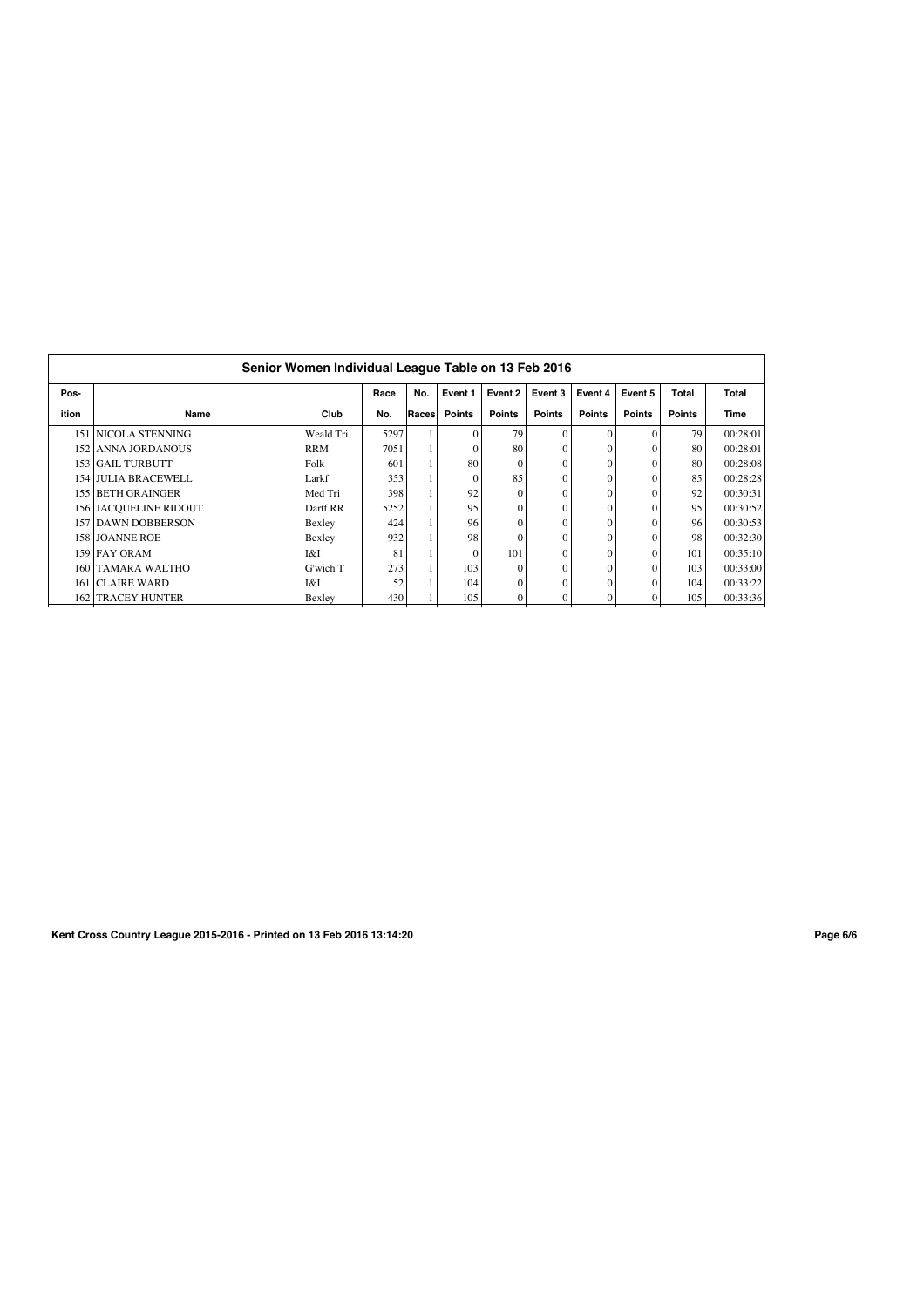| Senior Women Individual League Table on 13 Feb 2016 |                       |            |      |       |          |          |               |               |          |               |              |  |  |
|-----------------------------------------------------|-----------------------|------------|------|-------|----------|----------|---------------|---------------|----------|---------------|--------------|--|--|
| Pos-                                                |                       |            | Race | No.   | Event 1  | Event 2  | Event 3       | Event 4       | Event 5  | Total         | <b>Total</b> |  |  |
| ition                                               | Name                  | Club       | No.  | Races | Points   | Points   | <b>Points</b> | <b>Points</b> | Points   | <b>Points</b> | Time         |  |  |
|                                                     | 151 NICOLA STENNING   | Weald Tri  | 5297 |       | $\Omega$ | 79       | $\Omega$      | $\Omega$      | $\Omega$ | 79            | 00:28:01     |  |  |
|                                                     | 152 ANNA JORDANOUS    | <b>RRM</b> | 7051 |       |          | 80       | $\mathbf{0}$  | $\Omega$      | $\Omega$ | 80            | 00:28:01     |  |  |
|                                                     | 153 GAIL TURBUTT      | Folk       | 601  |       | 80       | $\Omega$ | $\mathbf{0}$  | $\Omega$      | $\Omega$ | 80            | 00:28:08     |  |  |
|                                                     | 154 JULIA BRACEWELL   | Larkf      | 353  |       | $\Omega$ | 85       | $\mathbf{0}$  | $\Omega$      | $\theta$ | 85            | 00:28:28     |  |  |
|                                                     | 155 BETH GRAINGER     | Med Tri    | 398  |       | 92       | $\Omega$ | $\mathbf{0}$  | $\Omega$      | $\theta$ | 92            | 00:30:31     |  |  |
|                                                     | 156 JACQUELINE RIDOUT | Dartf RR   | 5252 |       | 95       | $\Omega$ | $\Omega$      | $\Omega$      | $\Omega$ | 95            | 00:30:52     |  |  |
|                                                     | 157 DAWN DOBBERSON    | Bexley     | 424  |       | 96       | $\Omega$ | $\theta$      | $\Omega$      | $\Omega$ | 96            | 00:30:53     |  |  |
|                                                     | 158 JOANNE ROE        | Bexley     | 932  |       | 98       | $\Omega$ | $\theta$      | $\Omega$      |          | 98            | 00:32:30     |  |  |
|                                                     | 159 FAY ORAM          | I&I        | 81   |       | $\Omega$ | 101      | $\mathbf{0}$  | $\Omega$      | $\theta$ | 101           | 00:35:10     |  |  |
|                                                     | 160 TAMARA WALTHO     | G'wich T   | 273  |       | 103      | $\Omega$ | $\mathbf{0}$  | $\Omega$      | $\theta$ | 103           | 00:33:00     |  |  |
|                                                     | 161 CLAIRE WARD       | I&I        | 52   |       | 104      | $\theta$ | $\mathbf{0}$  | $\Omega$      | $\theta$ | 104           | 00:33:22     |  |  |
|                                                     | 162 TRACEY HUNTER     | Bexley     | 430  |       | 105      | $\theta$ | $\mathbf{0}$  | $\Omega$      | $\Omega$ | 105           | 00:33:36     |  |  |

**Kent Cross Country League 2015-2016 - Printed on 13 Feb 2016 13:14:20 Page 6/6**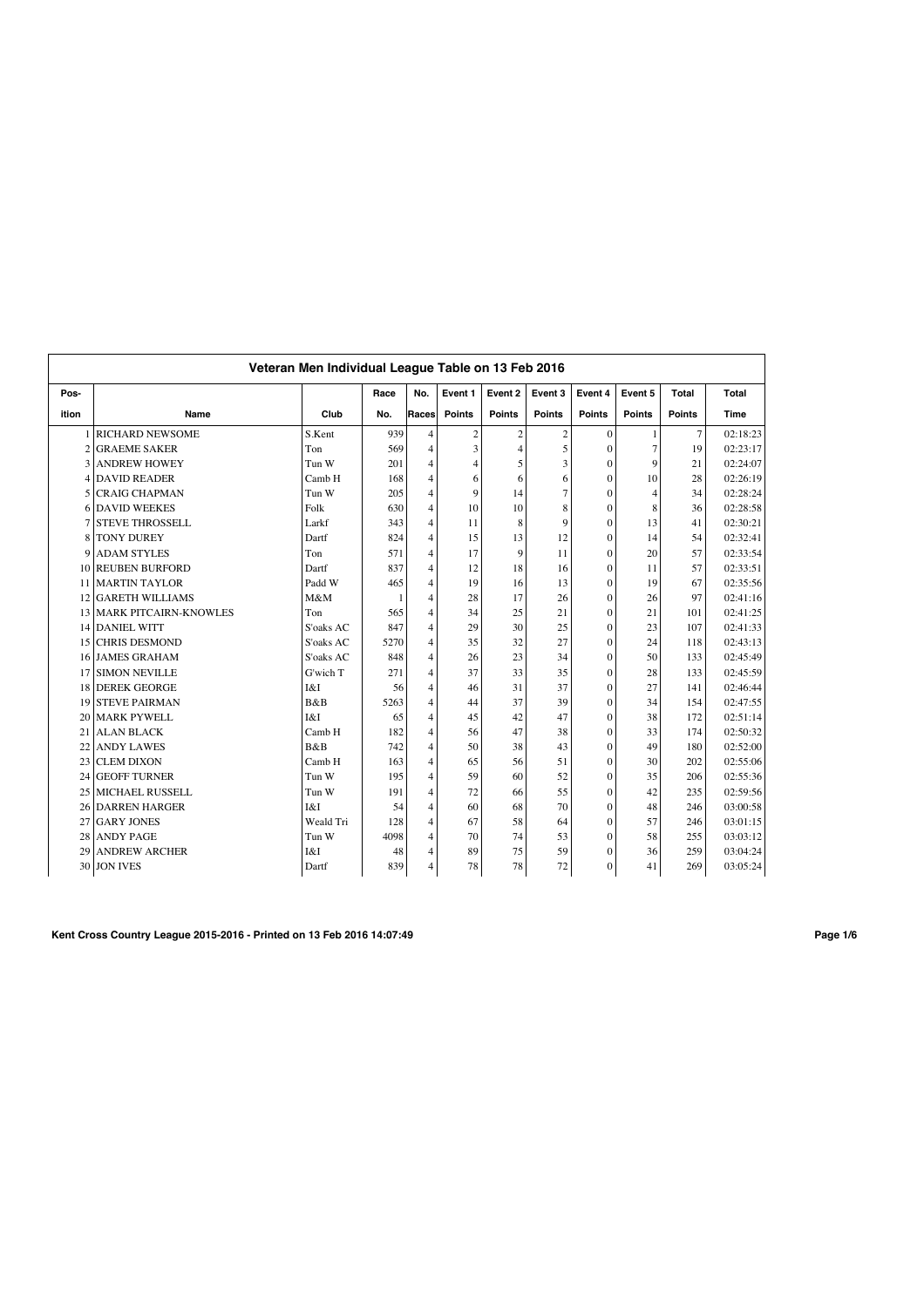|                 | Veteran Men Individual League Table on 13 Feb 2016 |           |              |                |                |                |               |                |                |               |          |  |
|-----------------|----------------------------------------------------|-----------|--------------|----------------|----------------|----------------|---------------|----------------|----------------|---------------|----------|--|
| Pos-            |                                                    |           | Race         | No.            | Event 1        | Event 2        | Event 3       | Event 4        | Event 5        | Total         | Total    |  |
| ition           | Name                                               | Club      | No.          | Races          | <b>Points</b>  | <b>Points</b>  | <b>Points</b> | <b>Points</b>  | <b>Points</b>  | <b>Points</b> | Time     |  |
|                 | <b>RICHARD NEWSOME</b>                             | S.Kent    | 939          | $\overline{4}$ | $\sqrt{2}$     | $\overline{c}$ | $\mathbf{2}$  | $\mathbf{0}$   | $\mathbf{1}$   | 7             | 02:18:23 |  |
|                 | <b>GRAEME SAKER</b>                                | Ton       | 569          | 4              | 3              | $\overline{4}$ | 5             | $\mathbf{0}$   | $\overline{7}$ | 19            | 02:23:17 |  |
|                 | <b>ANDREW HOWEY</b>                                | Tun W     | 201          | 4              | $\overline{4}$ | 5              | 3             | $\mathbf{0}$   | 9              | 21            | 02:24:07 |  |
| 4               | <b>DAVID READER</b>                                | Camb H    | 168          | 4              | 6              | 6              | 6             | $\mathbf{0}$   | 10             | 28            | 02:26:19 |  |
| 5               | <b>CRAIG CHAPMAN</b>                               | Tun W     | 205          | $\overline{4}$ | 9              | 14             | 7             | $\Omega$       | $\overline{4}$ | 34            | 02:28:24 |  |
| 6               | <b>DAVID WEEKES</b>                                | Folk      | 630          | $\overline{4}$ | 10             | 10             | 8             | $\overline{0}$ | 8              | 36            | 02:28:58 |  |
|                 | <b>STEVE THROSSELL</b>                             | Larkf     | 343          | $\overline{4}$ | 11             | 8              | $\mathbf Q$   | $\overline{0}$ | 13             | 41            | 02:30:21 |  |
| 8               | <b>TONY DUREY</b>                                  | Dartf     | 824          | 4              | 15             | 13             | 12            | $\theta$       | 14             | 54            | 02:32:41 |  |
| 9               | <b>ADAM STYLES</b>                                 | Ton       | 571          | $\overline{4}$ | 17             | 9              | 11            | $\theta$       | 20             | 57            | 02:33:54 |  |
| 10              | <b>REUBEN BURFORD</b>                              | Dartf     | 837          | $\overline{4}$ | 12             | 18             | 16            | $\theta$       | 11             | 57            | 02:33:51 |  |
| 11              | <b>MARTIN TAYLOR</b>                               | Padd W    | 465          | 4              | 19             | 16             | 13            | $\overline{0}$ | 19             | 67            | 02:35:56 |  |
| 12              | <b>GARETH WILLIAMS</b>                             | M&M       | $\mathbf{1}$ | $\overline{4}$ | 28             | 17             | 26            | $\mathbf{0}$   | 26             | 97            | 02:41:16 |  |
| 13 <sup>1</sup> | <b>MARK PITCAIRN-KNOWLES</b>                       | Ton       | 565          | $\overline{4}$ | 34             | 25             | 21            | $\mathbf{0}$   | 21             | 101           | 02:41:25 |  |
| 14              | <b>DANIEL WITT</b>                                 | S'oaks AC | 847          | 4              | 29             | 30             | 25            | $\mathbf{0}$   | 23             | 107           | 02:41:33 |  |
| 15              | <b>CHRIS DESMOND</b>                               | S'oaks AC | 5270         | $\overline{4}$ | 35             | 32             | 27            | $\theta$       | 24             | 118           | 02:43:13 |  |
| 16              | <b>JAMES GRAHAM</b>                                | S'oaks AC | 848          | $\overline{4}$ | 26             | 23             | 34            | $\theta$       | 50             | 133           | 02:45:49 |  |
| 17              | <b>SIMON NEVILLE</b>                               | G'wich T  | 271          | 4              | 37             | 33             | 35            | $\theta$       | 28             | 133           | 02:45:59 |  |
| 18              | <b>DEREK GEORGE</b>                                | I&I       | 56           | $\overline{4}$ | 46             | 31             | 37            | $\theta$       | 27             | 141           | 02:46:44 |  |
| 19              | <b>STEVE PAIRMAN</b>                               | B&B       | 5263         | 4              | 44             | 37             | 39            | $\overline{0}$ | 34             | 154           | 02:47:55 |  |
| 20              | <b>MARK PYWELL</b>                                 | I&I       | 65           | $\overline{4}$ | 45             | 42             | 47            | $\mathbf{0}$   | 38             | 172           | 02:51:14 |  |
| 21              | <b>ALAN BLACK</b>                                  | Camb H    | 182          | $\overline{4}$ | 56             | 47             | 38            | $\mathbf{0}$   | 33             | 174           | 02:50:32 |  |
| 22              | <b>ANDY LAWES</b>                                  | B&B       | 742          | $\overline{4}$ | 50             | 38             | 43            | $\overline{0}$ | 49             | 180           | 02:52:00 |  |
| 23              | <b>CLEM DIXON</b>                                  | Camb H    | 163          | $\overline{4}$ | 65             | 56             | 51            | $\mathbf{0}$   | 30             | 202           | 02:55:06 |  |
| 24              | <b>GEOFF TURNER</b>                                | Tun W     | 195          | $\overline{4}$ | 59             | 60             | 52            | $\mathbf{0}$   | 35             | 206           | 02:55:36 |  |
| 25              | <b>MICHAEL RUSSELL</b>                             | Tun W     | 191          | $\overline{4}$ | 72             | 66             | 55            | $\theta$       | 42             | 235           | 02:59:56 |  |
| 26              | <b>DARREN HARGER</b>                               | I&I       | 54           | $\overline{4}$ | 60             | 68             | 70            | $\theta$       | 48             | 246           | 03:00:58 |  |
| 27              | <b>GARY JONES</b>                                  | Weald Tri | 128          | $\overline{4}$ | 67             | 58             | 64            | $\overline{0}$ | 57             | 246           | 03:01:15 |  |
| 28              | <b>ANDY PAGE</b>                                   | Tun W     | 4098         | $\overline{4}$ | 70             | 74             | 53            | $\overline{0}$ | 58             | 255           | 03:03:12 |  |
| 29              | <b>ANDREW ARCHER</b>                               | I&I       | 48           | $\overline{4}$ | 89             | 75             | 59            | $\mathbf{0}$   | 36             | 259           | 03:04:24 |  |
|                 | 30 JON IVES                                        | Dartf     | 839          | 4              | 78             | 78             | 72            | $\overline{0}$ | 41             | 269           | 03:05:24 |  |

**Kent Cross Country League 2015-2016 - Printed on 13 Feb 2016 14:07:49 Page 1/6**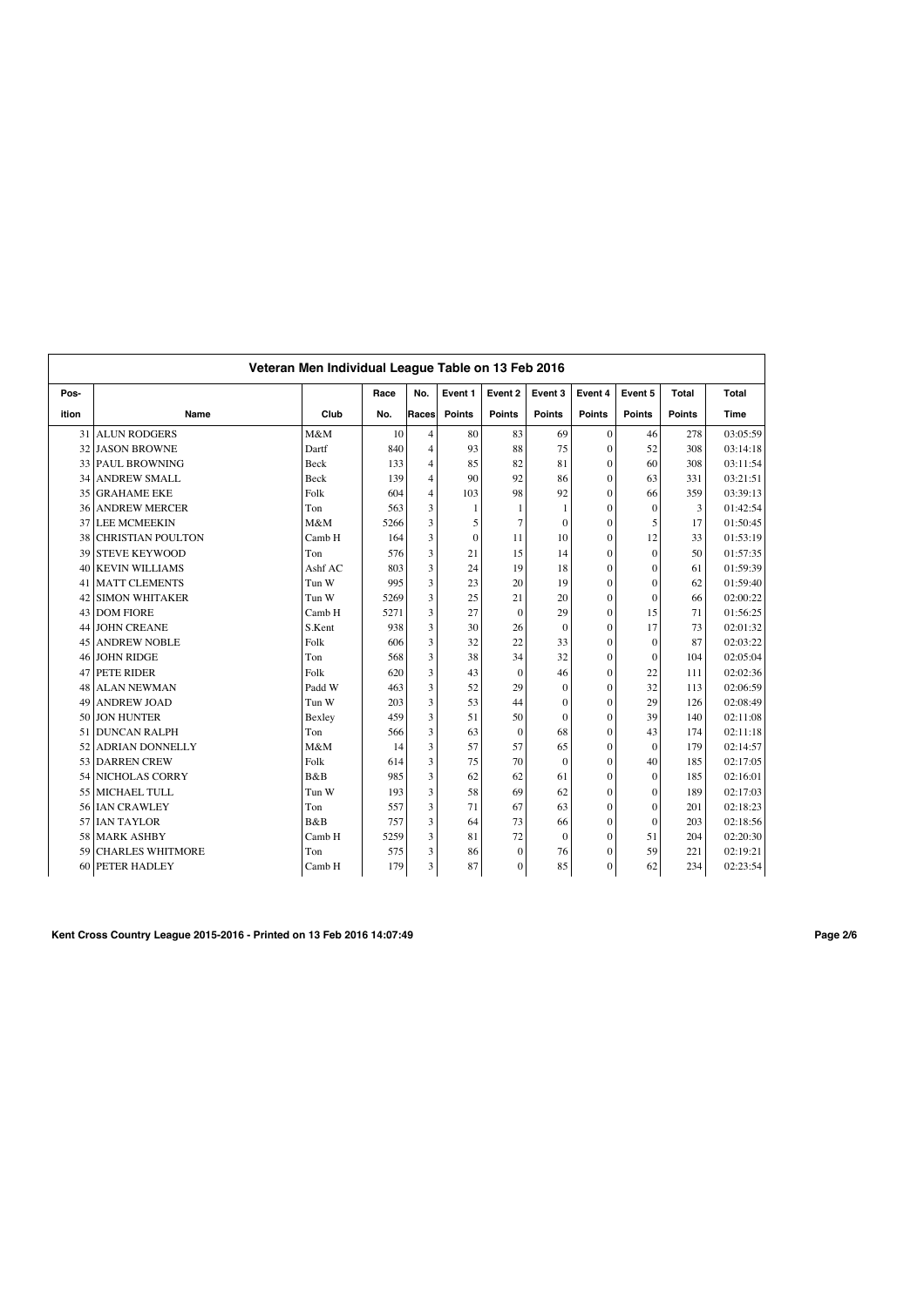|       |                          | Veteran Men Individual League Table on 13 Feb 2016 |      |                |               |                |               |                |               |               |             |
|-------|--------------------------|----------------------------------------------------|------|----------------|---------------|----------------|---------------|----------------|---------------|---------------|-------------|
| Pos-  |                          |                                                    | Race | No.            | Event 1       | Event 2        | Event 3       | Event 4        | Event 5       | <b>Total</b>  | Total       |
| ition | Name                     | Club                                               | No.  | Races          | <b>Points</b> | <b>Points</b>  | <b>Points</b> | <b>Points</b>  | <b>Points</b> | <b>Points</b> | <b>Time</b> |
| 31    | <b>ALUN RODGERS</b>      | M&M                                                | 10   | $\overline{4}$ | 80            | 83             | 69            | $\mathbf{0}$   | 46            | 278           | 03:05:59    |
| 32    | <b>JASON BROWNE</b>      | Dartf                                              | 840  | $\overline{4}$ | 93            | 88             | 75            | $\mathbf{0}$   | 52            | 308           | 03:14:18    |
|       | 33 PAUL BROWNING         | Beck                                               | 133  | $\overline{4}$ | 85            | 82             | 81            | $\mathbf{0}$   | 60            | 308           | 03:11:54    |
| 34    | <b>ANDREW SMALL</b>      | Beck                                               | 139  | $\overline{4}$ | 90            | 92             | 86            | $\mathbf{0}$   | 63            | 331           | 03:21:51    |
| 35    | <b>GRAHAME EKE</b>       | Folk                                               | 604  | $\overline{4}$ | 103           | 98             | 92            | $\overline{0}$ | 66            | 359           | 03:39:13    |
| 36    | <b>ANDREW MERCER</b>     | Ton                                                | 563  | 3              | $\mathbf{1}$  | $\mathbf{1}$   |               | $\overline{0}$ | $\Omega$      | 3             | 01:42:54    |
| 37    | <b>LEE MCMEEKIN</b>      | M&M                                                | 5266 | 3              | 5             | $\overline{7}$ | $\mathbf{0}$  | $\mathbf{0}$   | 5             | 17            | 01:50:45    |
| 38    | <b>CHRISTIAN POULTON</b> | Camb H                                             | 164  | 3              | $\mathbf{0}$  | 11             | 10            | $\overline{0}$ | 12            | 33            | 01:53:19    |
| 39    | <b>STEVE KEYWOOD</b>     | Ton                                                | 576  | 3              | 21            | 15             | 14            | $\mathbf{0}$   | $\Omega$      | 50            | 01:57:35    |
| 40    | <b>KEVIN WILLIAMS</b>    | Ashf AC                                            | 803  | 3              | 24            | 19             | 18            | $\overline{0}$ | $\mathbf{0}$  | 61            | 01:59:39    |
| 41    | <b>MATT CLEMENTS</b>     | Tun W                                              | 995  | 3              | 23            | 20             | 19            | $\mathbf{0}$   | $\theta$      | 62            | 01:59:40    |
| 42    | <b>SIMON WHITAKER</b>    | Tun W                                              | 5269 | 3              | 25            | 21             | 20            | $\mathbf{0}$   | $\theta$      | 66            | 02:00:22    |
| 43    | <b>DOM FIORE</b>         | Camb H                                             | 5271 | 3              | 27            | $\theta$       | 29            | $\theta$       | 15            | 71            | 01:56:25    |
| 44    | <b>JOHN CREANE</b>       | S.Kent                                             | 938  | 3              | 30            | 26             | $\theta$      | $\theta$       | 17            | 73            | 02:01:32    |
| 45    | <b>ANDREW NOBLE</b>      | Folk                                               | 606  | 3              | 32            | 22             | 33            | $\overline{0}$ | $\theta$      | 87            | 02:03:22    |
| 46    | <b>JOHN RIDGE</b>        | Ton                                                | 568  | 3              | 38            | 34             | 32            | $\theta$       | $\Omega$      | 104           | 02:05:04    |
| 47    | PETE RIDER               | Folk                                               | 620  | 3              | 43            | $\theta$       | 46            | $\mathbf{0}$   | 22            | 111           | 02:02:36    |
| 48    | <b>ALAN NEWMAN</b>       | Padd W                                             | 463  | 3              | 52            | 29             | $\mathbf{0}$  | $\mathbf{0}$   | 32            | 113           | 02:06:59    |
| 49    | <b>ANDREW JOAD</b>       | Tun W                                              | 203  | 3              | 53            | 44             | $\mathbf{0}$  | $\mathbf{0}$   | 29            | 126           | 02:08:49    |
| 50    | <b>JON HUNTER</b>        | Bexley                                             | 459  | 3              | 51            | 50             | $\mathbf{0}$  | $\overline{0}$ | 39            | 140           | 02:11:08    |
| 51    | <b>DUNCAN RALPH</b>      | Ton                                                | 566  | 3              | 63            | $\theta$       | 68            | $\mathbf{0}$   | 43            | 174           | 02:11:18    |
| 52    | <b>ADRIAN DONNELLY</b>   | M&M                                                | 14   | 3              | 57            | 57             | 65            | $\mathbf{0}$   | $\Omega$      | 179           | 02:14:57    |
| 53    | <b>DARREN CREW</b>       | Folk                                               | 614  | 3              | 75            | 70             | $\theta$      | $\mathbf{0}$   | 40            | 185           | 02:17:05    |
| 54    | <b>NICHOLAS CORRY</b>    | B&B                                                | 985  | 3              | 62            | 62             | 61            | $\overline{0}$ | $\Omega$      | 185           | 02:16:01    |
| 55    | MICHAEL TULL             | Tun W                                              | 193  | 3              | 58            | 69             | 62            | $\overline{0}$ | $\theta$      | 189           | 02:17:03    |
| 56    | <b>IAN CRAWLEY</b>       | Ton                                                | 557  | 3              | 71            | 67             | 63            | $\overline{0}$ | $\theta$      | 201           | 02:18:23    |
| 57    | <b>IAN TAYLOR</b>        | B&B                                                | 757  | 3              | 64            | 73             | 66            | $\overline{0}$ | $\theta$      | 203           | 02:18:56    |
| 58    | <b>MARK ASHBY</b>        | Camb H                                             | 5259 | 3              | 81            | 72             | $\mathbf{0}$  | $\mathbf{0}$   | 51            | 204           | 02:20:30    |
| 59    | <b>CHARLES WHITMORE</b>  | Ton                                                | 575  | 3              | 86            | $\overline{0}$ | 76            | $\mathbf{0}$   | 59            | 221           | 02:19:21    |
| 60    | <b>PETER HADLEY</b>      | Camb H                                             | 179  | 3              | 87            | $\overline{0}$ | 85            | $\overline{0}$ | 62            | 234           | 02:23:54    |

**Kent Cross Country League 2015-2016 - Printed on 13 Feb 2016 14:07:49 Page 2/6**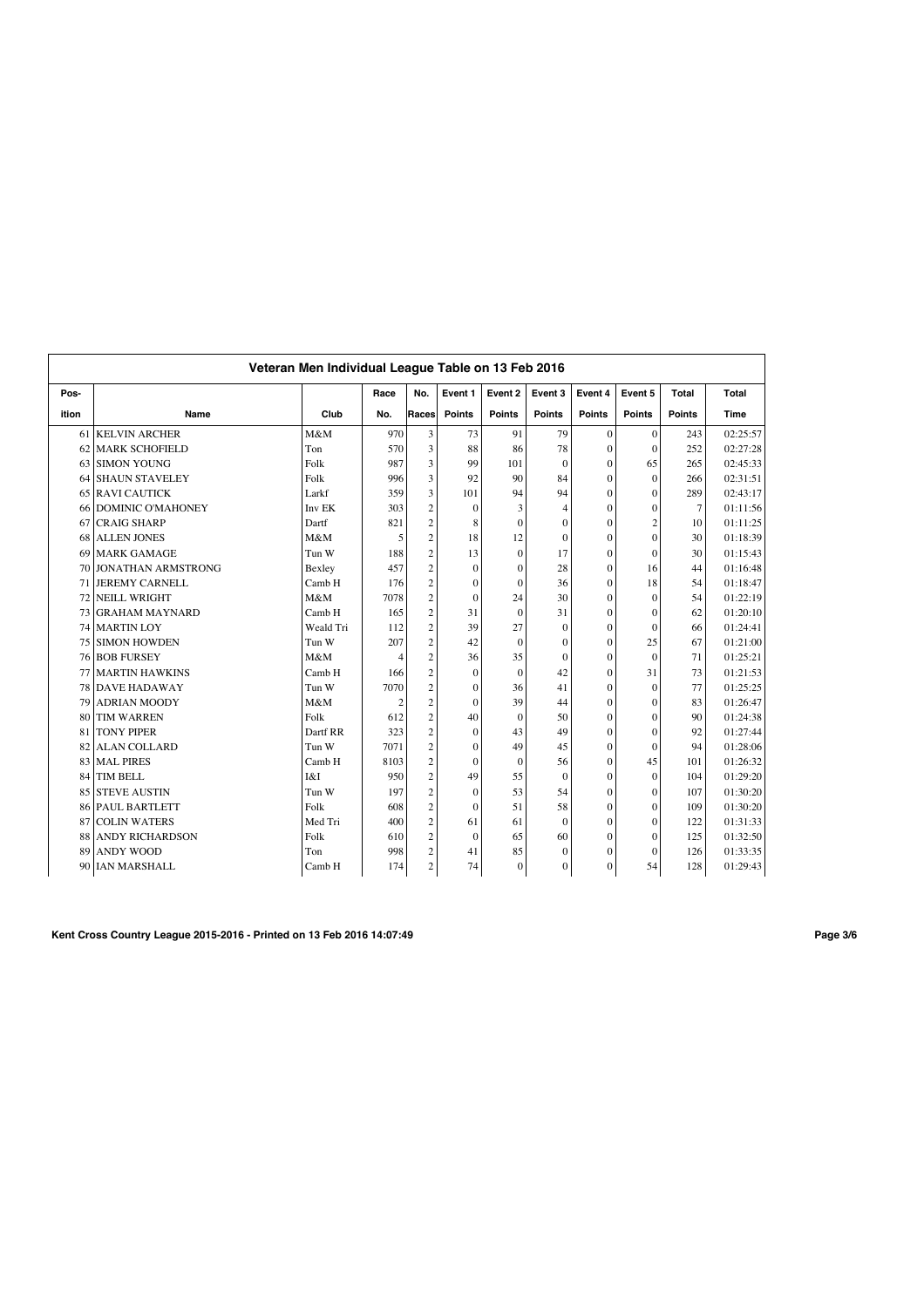|       | Veteran Men Individual League Table on 13 Feb 2016 |           |                |                |               |               |                  |                |                |               |          |  |
|-------|----------------------------------------------------|-----------|----------------|----------------|---------------|---------------|------------------|----------------|----------------|---------------|----------|--|
| Pos-  |                                                    |           | Race           | No.            | Event 1       | Event 2       | Event 3          | Event 4        | Event 5        | Total         | Total    |  |
| ition | Name                                               | Club      | No.            | Races          | <b>Points</b> | <b>Points</b> | <b>Points</b>    | <b>Points</b>  | <b>Points</b>  | <b>Points</b> | Time     |  |
| 61    | <b>KELVIN ARCHER</b>                               | M&M       | 970            | 3              | 73            | 91            | 79               | $\overline{0}$ | $\Omega$       | 243           | 02:25:57 |  |
| 62    | <b>MARK SCHOFIELD</b>                              | Ton       | 570            | 3              | 88            | 86            | 78               | $\mathbf{0}$   | $\mathbf{0}$   | 252           | 02:27:28 |  |
| 63    | <b>SIMON YOUNG</b>                                 | Folk      | 987            | 3              | 99            | 101           | $\theta$         | $\mathbf{0}$   | 65             | 265           | 02:45:33 |  |
| 64    | <b>SHAUN STAVELEY</b>                              | Folk      | 996            | 3              | 92            | 90            | 84               | $\theta$       | $\theta$       | 266           | 02:31:51 |  |
| 65    | <b>RAVI CAUTICK</b>                                | Larkf     | 359            | 3              | 101           | 94            | 94               | $\theta$       | $\theta$       | 289           | 02:43:17 |  |
| 66    | <b>DOMINIC O'MAHONEY</b>                           | Inv EK    | 303            | $\overline{c}$ | $\mathbf{0}$  | 3             | 4                | $\overline{0}$ | $\Omega$       | 7             | 01:11:56 |  |
| 67    | <b>CRAIG SHARP</b>                                 | Dartf     | 821            | $\overline{c}$ | 8             | $\theta$      | $\Omega$         | $\overline{0}$ | $\overline{c}$ | 10            | 01:11:25 |  |
| 68    | <b>ALLEN JONES</b>                                 | M&M       | 5              | $\overline{2}$ | 18            | 12            | $\Omega$         | $\overline{0}$ | $\Omega$       | 30            | 01:18:39 |  |
| 69    | <b>MARK GAMAGE</b>                                 | Tun W     | 188            | $\overline{c}$ | 13            | $\mathbf{0}$  | 17               | $\overline{0}$ | $\theta$       | 30            | 01:15:43 |  |
| 70    | <b>JONATHAN ARMSTRONG</b>                          | Bexley    | 457            | $\overline{c}$ | $\mathbf{0}$  | $\mathbf{0}$  | 28               | $\overline{0}$ | 16             | 44            | 01:16:48 |  |
| 71    | <b>JEREMY CARNELL</b>                              | Camb H    | 176            | $\overline{c}$ | $\mathbf{0}$  | $\mathbf{0}$  | 36               | $\overline{0}$ | 18             | 54            | 01:18:47 |  |
| 72    | <b>NEILL WRIGHT</b>                                | M&M       | 7078           | $\overline{c}$ | $\mathbf{0}$  | 24            | 30               | $\overline{0}$ | $\theta$       | 54            | 01:22:19 |  |
| 73    | <b>GRAHAM MAYNARD</b>                              | Camb H    | 165            | $\overline{c}$ | 31            | $\theta$      | 31               | $\overline{0}$ | $\Omega$       | 62            | 01:20:10 |  |
| 74    | <b>MARTIN LOY</b>                                  | Weald Tri | 112            | $\overline{c}$ | 39            | 27            | $\Omega$         | $\overline{0}$ | $\theta$       | 66            | 01:24:41 |  |
| 75    | <b>SIMON HOWDEN</b>                                | Tun W     | 207            | $\overline{c}$ | 42            | $\mathbf{0}$  | $\mathbf{0}$     | $\overline{0}$ | 25             | 67            | 01:21:00 |  |
| 76    | <b>BOB FURSEY</b>                                  | M&M       | $\overline{4}$ | $\overline{c}$ | 36            | 35            | $\Omega$         | $\overline{0}$ | $\Omega$       | 71            | 01:25:21 |  |
| 77    | <b>MARTIN HAWKINS</b>                              | Camb H    | 166            | $\overline{c}$ | $\mathbf{0}$  | $\mathbf{0}$  | 42               | $\overline{0}$ | 31             | 73            | 01:21:53 |  |
| 78    | <b>DAVE HADAWAY</b>                                | Tun W     | 7070           | $\sqrt{2}$     | $\mathbf{0}$  | 36            | 41               | $\overline{0}$ | $\theta$       | 77            | 01:25:25 |  |
| 79    | <b>ADRIAN MOODY</b>                                | M&M       | $\overline{2}$ | $\overline{c}$ | $\Omega$      | 39            | 44               | $\overline{0}$ | $\theta$       | 83            | 01:26:47 |  |
| 80    | <b>TIM WARREN</b>                                  | Folk      | 612            | $\overline{c}$ | 40            | $\mathbf{0}$  | 50               | $\overline{0}$ | $\theta$       | 90            | 01:24:38 |  |
| 81    | <b>TONY PIPER</b>                                  | Dartf RR  | 323            | $\overline{c}$ | $\mathbf{0}$  | 43            | 49               | $\overline{0}$ | $\Omega$       | 92            | 01:27:44 |  |
| 82    | <b>ALAN COLLARD</b>                                | Tun W     | 7071           | $\overline{c}$ | $\mathbf{0}$  | 49            | 45               | $\overline{0}$ | $\Omega$       | 94            | 01:28:06 |  |
| 83    | <b>MAL PIRES</b>                                   | Camb H    | 8103           | $\overline{c}$ | $\mathbf{0}$  | $\theta$      | 56               | $\overline{0}$ | 45             | 101           | 01:26:32 |  |
| 84    | <b>TIM BELL</b>                                    | I&I       | 950            | $\overline{c}$ | 49            | 55            | $\theta$         | $\theta$       | $\theta$       | 104           | 01:29:20 |  |
| 85    | <b>STEVE AUSTIN</b>                                | Tun W     | 197            | $\overline{c}$ | $\mathbf{0}$  | 53            | 54               | $\overline{0}$ | $\Omega$       | 107           | 01:30:20 |  |
| 86    | <b>PAUL BARTLETT</b>                               | Folk      | 608            | $\overline{c}$ | $\mathbf{0}$  | 51            | 58               | $\overline{0}$ | $\theta$       | 109           | 01:30:20 |  |
| 87    | <b>COLIN WATERS</b>                                | Med Tri   | 400            | $\overline{c}$ | 61            | 61            | $\Omega$         | $\overline{0}$ | $\Omega$       | 122           | 01:31:33 |  |
| 88    | <b>ANDY RICHARDSON</b>                             | Folk      | 610            | $\overline{c}$ | $\mathbf{0}$  | 65            | 60               | $\overline{0}$ | $\theta$       | 125           | 01:32:50 |  |
| 89    | <b>ANDY WOOD</b>                                   | Ton       | 998            | $\overline{c}$ | 41            | 85            | $\mathbf{0}$     | $\overline{0}$ | $\theta$       | 126           | 01:33:35 |  |
|       | 90 IAN MARSHALL                                    | Camb H    | 174            | $\overline{c}$ | 74            | $\mathbf{0}$  | $\boldsymbol{0}$ | $\overline{0}$ | 54             | 128           | 01:29:43 |  |

**Kent Cross Country League 2015-2016 - Printed on 13 Feb 2016 14:07:49 Page 3/6**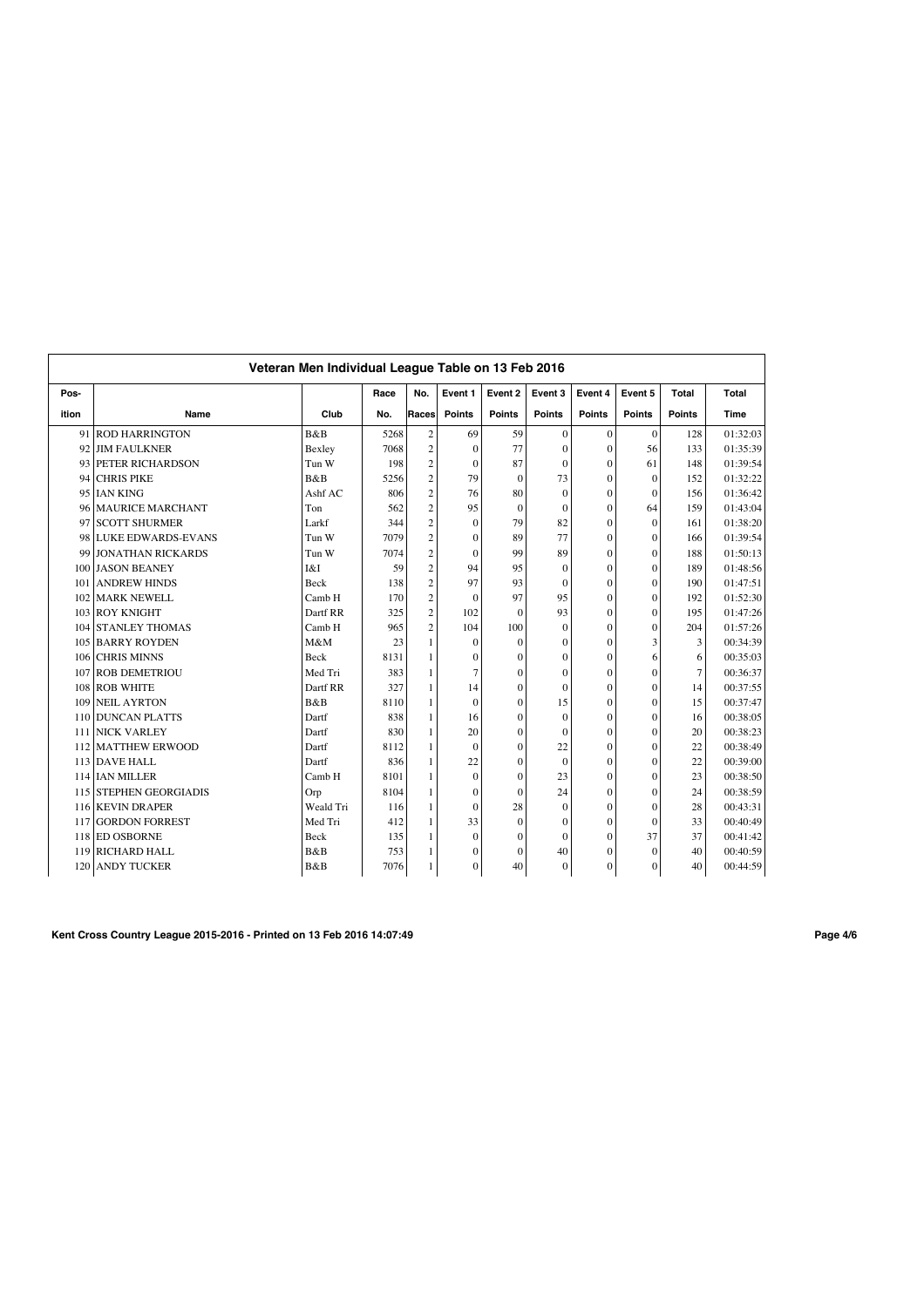|       |                           | Veteran Men Individual League Table on 13 Feb 2016 |      |                |                  |                |               |                |                  |                |          |
|-------|---------------------------|----------------------------------------------------|------|----------------|------------------|----------------|---------------|----------------|------------------|----------------|----------|
| Pos-  |                           |                                                    | Race | No.            | Event 1          | Event 2        | Event 3       | Event 4        | Event 5          | <b>Total</b>   | Total    |
| ition | Name                      | Club                                               | No.  | Races          | <b>Points</b>    | <b>Points</b>  | <b>Points</b> | <b>Points</b>  | <b>Points</b>    | <b>Points</b>  | Time     |
|       | 91 ROD HARRINGTON         | B&B                                                | 5268 | $\overline{c}$ | 69               | 59             | $\mathbf{0}$  | $\mathbf{0}$   | $\mathbf{0}$     | 128            | 01:32:03 |
| 92    | <b>JIM FAULKNER</b>       | Bexley                                             | 7068 | $\overline{c}$ | $\mathbf{0}$     | 77             | $\mathbf{0}$  | $\mathbf{0}$   | 56               | 133            | 01:35:39 |
| 93    | <b>PETER RICHARDSON</b>   | Tun W                                              | 198  | $\overline{c}$ | $\mathbf{0}$     | 87             | $\mathbf{0}$  | $\mathbf{0}$   | 61               | 148            | 01:39:54 |
| 94    | <b>CHRIS PIKE</b>         | B&B                                                | 5256 | $\overline{c}$ | 79               | $\theta$       | 73            | $\mathbf{0}$   | $\Omega$         | 152            | 01:32:22 |
| 95    | <b>IAN KING</b>           | Ashf AC                                            | 806  | $\overline{c}$ | 76               | 80             | $\theta$      | $\mathbf{0}$   | $\Omega$         | 156            | 01:36:42 |
| 96    | <b>MAURICE MARCHANT</b>   | Ton                                                | 562  | $\overline{c}$ | 95               | $\overline{0}$ | $\mathbf{0}$  | $\overline{0}$ | 64               | 159            | 01:43:04 |
| 97    | <b>SCOTT SHURMER</b>      | Larkf                                              | 344  | $\overline{c}$ | $\mathbf{0}$     | 79             | 82            | $\mathbf{0}$   | $\Omega$         | 161            | 01:38:20 |
| 98    | <b>LUKE EDWARDS-EVANS</b> | Tun W                                              | 7079 | $\overline{c}$ | $\mathbf{0}$     | 89             | 77            | $\mathbf{0}$   | $\Omega$         | 166            | 01:39:54 |
| 99    | <b>JONATHAN RICKARDS</b>  | Tun W                                              | 7074 | $\overline{c}$ | $\mathbf{0}$     | 99             | 89            | $\mathbf{0}$   | $\Omega$         | 188            | 01:50:13 |
|       | 100 JASON BEANEY          | I&I                                                | 59   | $\overline{c}$ | 94               | 95             | $\mathbf{0}$  | $\overline{0}$ | $\theta$         | 189            | 01:48:56 |
| 101   | <b>ANDREW HINDS</b>       | Beck                                               | 138  | $\overline{c}$ | 97               | 93             | $\mathbf{0}$  | $\mathbf{0}$   | $\theta$         | 190            | 01:47:51 |
| 102   | <b>MARK NEWELL</b>        | Camb H                                             | 170  | $\overline{c}$ | $\mathbf{0}$     | 97             | 95            | $\mathbf{0}$   | $\theta$         | 192            | 01:52:30 |
|       | 103 ROY KNIGHT            | Dartf RR                                           | 325  | $\overline{c}$ | 102              | $\Omega$       | 93            | $\mathbf{0}$   | $\Omega$         | 195            | 01:47:26 |
| 104   | <b>STANLEY THOMAS</b>     | Camb H                                             | 965  | $\overline{c}$ | 104              | 100            | $\theta$      | $\theta$       | $\theta$         | 204            | 01:57:26 |
|       | 105 BARRY ROYDEN          | M&M                                                | 23   | 1              | $\mathbf{0}$     | $\overline{0}$ | $\Omega$      | $\overline{0}$ | 3                | 3              | 00:34:39 |
| 106   | <b>CHRIS MINNS</b>        | Beck                                               | 8131 | 1              | $\boldsymbol{0}$ | $\theta$       | $\theta$      | $\overline{0}$ | 6                | 6              | 00:35:03 |
| 107   | <b>ROB DEMETRIOU</b>      | Med Tri                                            | 383  | 1              | $\overline{7}$   | $\theta$       | $\mathbf{0}$  | $\mathbf{0}$   | $\Omega$         | $\overline{7}$ | 00:36:37 |
|       | 108 ROB WHITE             | Dartf RR                                           | 327  | 1              | 14               | $\theta$       | $\mathbf{0}$  | $\overline{0}$ | $\Omega$         | 14             | 00:37:55 |
| 109   | <b>NEIL AYRTON</b>        | B&B                                                | 8110 | 1              | $\mathbf{0}$     | $\theta$       | 15            | $\mathbf{0}$   | $\Omega$         | 15             | 00:37:47 |
| 110   | <b>DUNCAN PLATTS</b>      | Dartf                                              | 838  | 1              | 16               | $\overline{0}$ | $\mathbf{0}$  | $\mathbf{0}$   | $\theta$         | 16             | 00:38:05 |
| 111   | <b>NICK VARLEY</b>        | Dartf                                              | 830  | 1              | 20               | $\mathbf{0}$   | $\mathbf{0}$  | $\mathbf{0}$   | $\theta$         | 20             | 00:38:23 |
| 112   | <b>MATTHEW ERWOOD</b>     | Dartf                                              | 8112 | 1              | $\mathbf{0}$     | $\theta$       | 22            | $\mathbf{0}$   | $\Omega$         | 22             | 00:38:49 |
|       | 113 DAVE HALL             | Dartf                                              | 836  | 1              | 22               | $\theta$       | $\theta$      | $\mathbf{0}$   | $\Omega$         | 22             | 00:39:00 |
|       | 114 IAN MILLER            | Camb H                                             | 8101 | 1              | $\mathbf{0}$     | $\theta$       | 23            | $\theta$       | $\Omega$         | 23             | 00:38:50 |
|       | 115 STEPHEN GEORGIADIS    | Orp                                                | 8104 | 1              | $\mathbf{0}$     | $\theta$       | 24            | $\overline{0}$ | $\Omega$         | 24             | 00:38:59 |
|       | 116 KEVIN DRAPER          | Weald Tri                                          | 116  | 1              | $\mathbf{0}$     | 28             | $\Omega$      | $\theta$       | $\theta$         | 28             | 00:43:31 |
| 117   | <b>GORDON FORREST</b>     | Med Tri                                            | 412  | 1              | 33               | $\theta$       | $\theta$      | $\theta$       | $\Omega$         | 33             | 00:40:49 |
|       | 118 ED OSBORNE            | Beck                                               | 135  | 1              | $\mathbf{0}$     | $\theta$       | $\Omega$      | $\overline{0}$ | 37               | 37             | 00:41:42 |
|       | 119 RICHARD HALL          | B&B                                                | 753  | 1              | $\mathbf{0}$     | $\theta$       | 40            | $\overline{0}$ | $\Omega$         | 40             | 00:40:59 |
|       | 120 ANDY TUCKER           | B&B                                                | 7076 | 1              | $\mathbf{0}$     | 40             | $\mathbf{0}$  | $\overline{0}$ | $\boldsymbol{0}$ | 40             | 00:44:59 |

**Kent Cross Country League 2015-2016 - Printed on 13 Feb 2016 14:07:49 Page 4/6**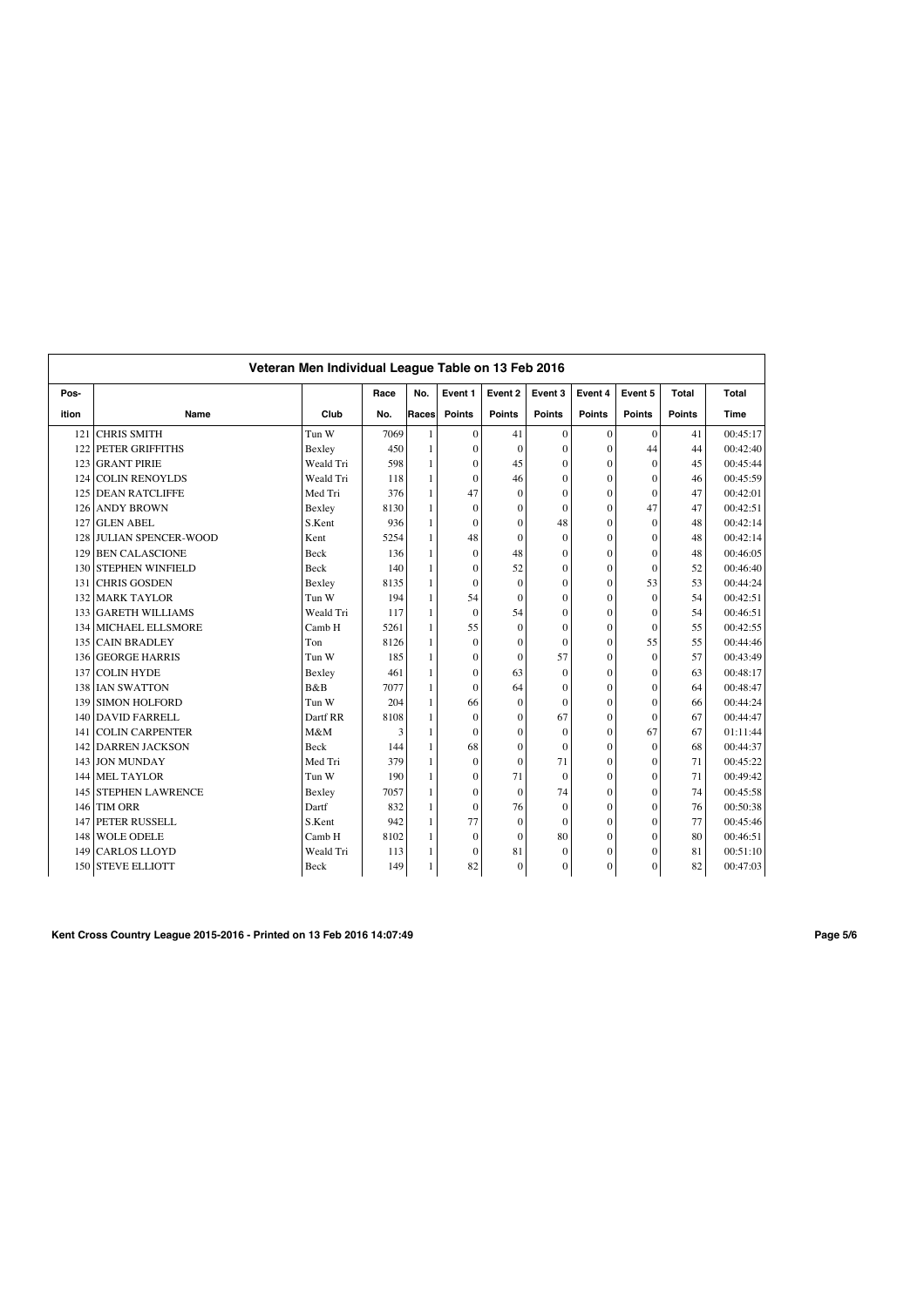|       | Veteran Men Individual League Table on 13 Feb 2016 |           |      |                |                  |                |                |                |               |               |          |  |
|-------|----------------------------------------------------|-----------|------|----------------|------------------|----------------|----------------|----------------|---------------|---------------|----------|--|
| Pos-  |                                                    |           | Race | No.            | Event 1          | Event 2        | Event 3        | Event 4        | Event 5       | Total         | Total    |  |
| ition | Name                                               | Club      | No.  | Races          | <b>Points</b>    | <b>Points</b>  | <b>Points</b>  | <b>Points</b>  | <b>Points</b> | <b>Points</b> | Time     |  |
| 121   | <b>CHRIS SMITH</b>                                 | Tun W     | 7069 | $\mathbf{1}$   | $\mathbf{0}$     | 41             | $\mathbf{0}$   | $\mathbf{0}$   | $\mathbf{0}$  | 41            | 00:45:17 |  |
| 122   | PETER GRIFFITHS                                    | Bexley    | 450  | $\mathbf{1}$   | $\mathbf{0}$     | $\overline{0}$ | $\mathbf{0}$   | $\mathbf{0}$   | 44            | 44            | 00:42:40 |  |
| 123   | <b>GRANT PIRIE</b>                                 | Weald Tri | 598  | $\mathbf{1}$   | $\mathbf{0}$     | 45             | $\overline{0}$ | $\mathbf{0}$   | $\Omega$      | 45            | 00:45:44 |  |
| 124   | <b>COLIN RENOYLDS</b>                              | Weald Tri | 118  | $\mathbf{1}$   | $\mathbf{0}$     | 46             | $\mathbf{0}$   | $\mathbf{0}$   | $\Omega$      | 46            | 00:45:59 |  |
| 125   | <b>DEAN RATCLIFFE</b>                              | Med Tri   | 376  | $\mathbf{1}$   | 47               | $\theta$       | $\mathbf{0}$   | $\overline{0}$ | $\Omega$      | 47            | 00:42:01 |  |
| 126   | <b>ANDY BROWN</b>                                  | Bexley    | 8130 |                | $\mathbf{0}$     | $\theta$       | $\mathbf{0}$   | $\overline{0}$ | 47            | 47            | 00:42:51 |  |
| 127   | <b>GLEN ABEL</b>                                   | S.Kent    | 936  | $\mathbf{1}$   | $\mathbf{0}$     | $\theta$       | 48             | $\overline{0}$ | $\theta$      | 48            | 00:42:14 |  |
| 128   | <b>JULIAN SPENCER-WOOD</b>                         | Kent      | 5254 |                | 48               | $\theta$       | $\mathbf{0}$   | $\overline{0}$ | $\Omega$      | 48            | 00:42:14 |  |
| 129   | <b>BEN CALASCIONE</b>                              | Beck      | 136  | $\mathbf{1}$   | $\mathbf{0}$     | 48             | $\mathbf{0}$   | $\mathbf{0}$   | $\Omega$      | 48            | 00:46:05 |  |
| 130   | <b>STEPHEN WINFIELD</b>                            | Beck      | 140  | $\mathbf{1}$   | $\mathbf{0}$     | 52             | $\overline{0}$ | $\overline{0}$ | $\mathbf{0}$  | 52            | 00:46:40 |  |
| 131   | <b>CHRIS GOSDEN</b>                                | Bexley    | 8135 | $\mathbf{1}$   | $\mathbf{0}$     | $\overline{0}$ | $\overline{0}$ | $\mathbf{0}$   | 53            | 53            | 00:44:24 |  |
| 132   | <b>MARK TAYLOR</b>                                 | Tun W     | 194  | $\overline{1}$ | 54               | $\theta$       | $\mathbf{0}$   | $\mathbf{0}$   | $\theta$      | 54            | 00:42:51 |  |
|       | 133 GARETH WILLIAMS                                | Weald Tri | 117  | $\mathbf{1}$   | $\mathbf{0}$     | 54             | $\overline{0}$ | $\overline{0}$ | $\Omega$      | 54            | 00:46:51 |  |
|       | 134 MICHAEL ELLSMORE                               | Camb H    | 5261 | $\mathbf{1}$   | 55               | $\theta$       | $\theta$       | $\mathbf{0}$   | $\Omega$      | 55            | 00:42:55 |  |
| 135   | <b>CAIN BRADLEY</b>                                | Ton       | 8126 |                | $\mathbf{0}$     | $\theta$       | $\mathbf{0}$   | $\overline{0}$ | 55            | 55            | 00:44:46 |  |
| 136   | <b>GEORGE HARRIS</b>                               | Tun W     | 185  |                | $\mathbf{0}$     | $\theta$       | 57             | $\overline{0}$ | $\theta$      | 57            | 00:43:49 |  |
| 137   | <b>COLIN HYDE</b>                                  | Bexley    | 461  | $\blacksquare$ | $\boldsymbol{0}$ | 63             | $\mathbf{0}$   | $\overline{0}$ | $\Omega$      | 63            | 00:48:17 |  |
|       | 138 IAN SWATTON                                    | B&B       | 7077 | $\mathbf{1}$   | $\mathbf{0}$     | 64             | $\mathbf{0}$   | $\mathbf{0}$   | $\theta$      | 64            | 00:48:47 |  |
| 139   | <b>SIMON HOLFORD</b>                               | Tun W     | 204  | $\mathbf{1}$   | 66               | $\theta$       | $\mathbf{0}$   | $\mathbf{0}$   | $\theta$      | 66            | 00:44:24 |  |
| 140   | <b>DAVID FARRELL</b>                               | Dartf RR  | 8108 |                | $\boldsymbol{0}$ | $\theta$       | 67             | $\mathbf{0}$   | $\Omega$      | 67            | 00:44:47 |  |
| 141   | <b>COLIN CARPENTER</b>                             | M&M       | 3    | $\mathbf{1}$   | $\mathbf{0}$     | $\theta$       | $\mathbf{0}$   | $\mathbf{0}$   | 67            | 67            | 01:11:44 |  |
| 142   | <b>DARREN JACKSON</b>                              | Beck      | 144  | $\mathbf{1}$   | 68               | $\theta$       | $\theta$       | $\mathbf{0}$   | $\theta$      | 68            | 00:44:37 |  |
| 143   | <b>JON MUNDAY</b>                                  | Med Tri   | 379  | $\mathbf{1}$   | $\mathbf{0}$     | $\theta$       | 71             | $\overline{0}$ | $\Omega$      | 71            | 00:45:22 |  |
| 144   | <b>MEL TAYLOR</b>                                  | Tun W     | 190  | $\mathbf{1}$   | $\mathbf{0}$     | 71             | $\theta$       | $\theta$       | $\Omega$      | 71            | 00:49:42 |  |
|       | 145 STEPHEN LAWRENCE                               | Bexley    | 7057 |                | $\boldsymbol{0}$ | $\theta$       | 74             | $\overline{0}$ | $\Omega$      | 74            | 00:45:58 |  |
| 146   | <b>TIM ORR</b>                                     | Dartf     | 832  | 1              | $\mathbf{0}$     | 76             | $\mathbf{0}$   | $\overline{0}$ | $\theta$      | 76            | 00:50:38 |  |
| 147   | PETER RUSSELL                                      | S.Kent    | 942  | $\mathbf{1}$   | 77               | $\theta$       | $\theta$       | $\theta$       | $\Omega$      | 77            | 00:45:46 |  |
| 148   | <b>WOLE ODELE</b>                                  | Camb H    | 8102 | $\mathbf{1}$   | $\boldsymbol{0}$ | $\theta$       | 80             | $\mathbf{0}$   | $\theta$      | 80            | 00:46:51 |  |
| 149   | <b>CARLOS LLOYD</b>                                | Weald Tri | 113  | 1              | $\mathbf{0}$     | 81             | $\mathbf{0}$   | $\mathbf{0}$   | $\theta$      | 81            | 00:51:10 |  |
|       | 150 STEVE ELLIOTT                                  | Beck      | 149  |                | 82               | $\overline{0}$ | $\mathbf{0}$   | $\overline{0}$ | $\mathbf{0}$  | 82            | 00:47:03 |  |

**Kent Cross Country League 2015-2016 - Printed on 13 Feb 2016 14:07:49 Page 5/6**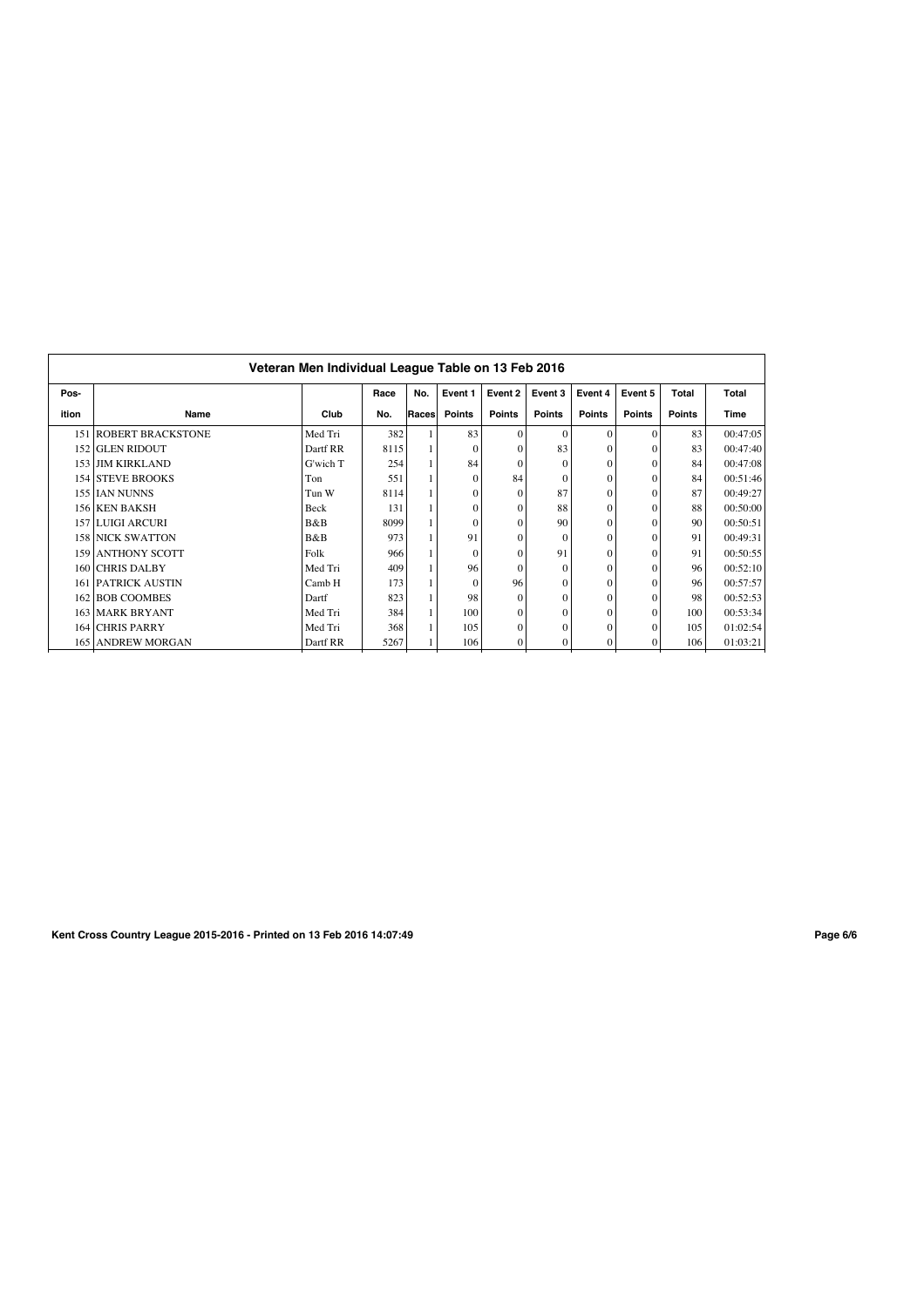|       | Veteran Men Individual League Table on 13 Feb 2016 |          |      |       |               |               |                  |               |               |               |          |  |  |  |
|-------|----------------------------------------------------|----------|------|-------|---------------|---------------|------------------|---------------|---------------|---------------|----------|--|--|--|
| Pos-  |                                                    |          | Race | No.   | Event 1       | Event 2       | Event 3          | Event 4       | Event 5       | Total         | Total    |  |  |  |
| ition | Name                                               | Club     | No.  | Races | <b>Points</b> | <b>Points</b> | <b>Points</b>    | <b>Points</b> | <b>Points</b> | <b>Points</b> | Time     |  |  |  |
|       | 151 ROBERT BRACKSTONE                              | Med Tri  | 382  |       | 83            | $\Omega$      | $\Omega$         | $\Omega$      | $\Omega$      | 83            | 00:47:05 |  |  |  |
|       | 152 GLEN RIDOUT                                    | Dartf RR | 8115 |       | $\Omega$      | $\Omega$      | 83               | $\Omega$      |               | 83            | 00:47:40 |  |  |  |
|       | 153 JIM KIRKLAND                                   | G'wich T | 254  |       | 84            | $\Omega$      | $\theta$         | $\Omega$      |               | 84            | 00:47:08 |  |  |  |
|       | <b>154 STEVE BROOKS</b>                            | Ton      | 551  |       | $\theta$      | 84            | $\Omega$         | $\Omega$      |               | 84            | 00:51:46 |  |  |  |
|       | 155 LAN NUNNS                                      | Tun W    | 8114 |       | $\theta$      | $\Omega$      | 87               | $\Omega$      |               | 87            | 00:49:27 |  |  |  |
|       | 156 KEN BAKSH                                      | Beck     | 131  |       | $\Omega$      | $\Omega$      | 88               | $\Omega$      |               | 88            | 00:50:00 |  |  |  |
|       | 157 LUIGI ARCURI                                   | B&B      | 8099 |       | $\Omega$      | $\Omega$      | 90               | $\Omega$      |               | 90            | 00:50:51 |  |  |  |
|       | <b>158 NICK SWATTON</b>                            | B&B      | 973  |       | 91            | $\Omega$      | $\Omega$         | $\Omega$      |               | 91            | 00:49:31 |  |  |  |
|       | 159 ANTHONY SCOTT                                  | Folk     | 966  |       | $\Omega$      | $\Omega$      | 91               | $\Omega$      |               | 91            | 00:50:55 |  |  |  |
|       | 160 CHRIS DALBY                                    | Med Tri  | 409  |       | 96            | $\Omega$      | $\Omega$         | $\Omega$      |               | 96            | 00:52:10 |  |  |  |
|       | <b>161 PATRICK AUSTIN</b>                          | Camb H   | 173  |       | $\Omega$      | 96            | $\Omega$         | $\Omega$      |               | 96            | 00:57:57 |  |  |  |
|       | 162 BOB COOMBES                                    | Dartf    | 823  |       | 98            | $\Omega$      | $\boldsymbol{0}$ | $\Omega$      |               | 98            | 00:52:53 |  |  |  |
|       | <b>163 MARK BRYANT</b>                             | Med Tri  | 384  |       | 100           | $\Omega$      | $\theta$         | $\Omega$      |               | 100           | 00:53:34 |  |  |  |
|       | 164 CHRIS PARRY                                    | Med Tri  | 368  |       | 105           | $\Omega$      | $\Omega$         | $\Omega$      |               | 105           | 01:02:54 |  |  |  |
|       | <b>165 ANDREW MORGAN</b>                           | Dartf RR | 5267 |       | 106           | $\mathbf{0}$  | $\Omega$         | $\Omega$      |               | 106           | 01:03:21 |  |  |  |

**Kent Cross Country League 2015-2016 - Printed on 13 Feb 2016 14:07:49 Page 6/6**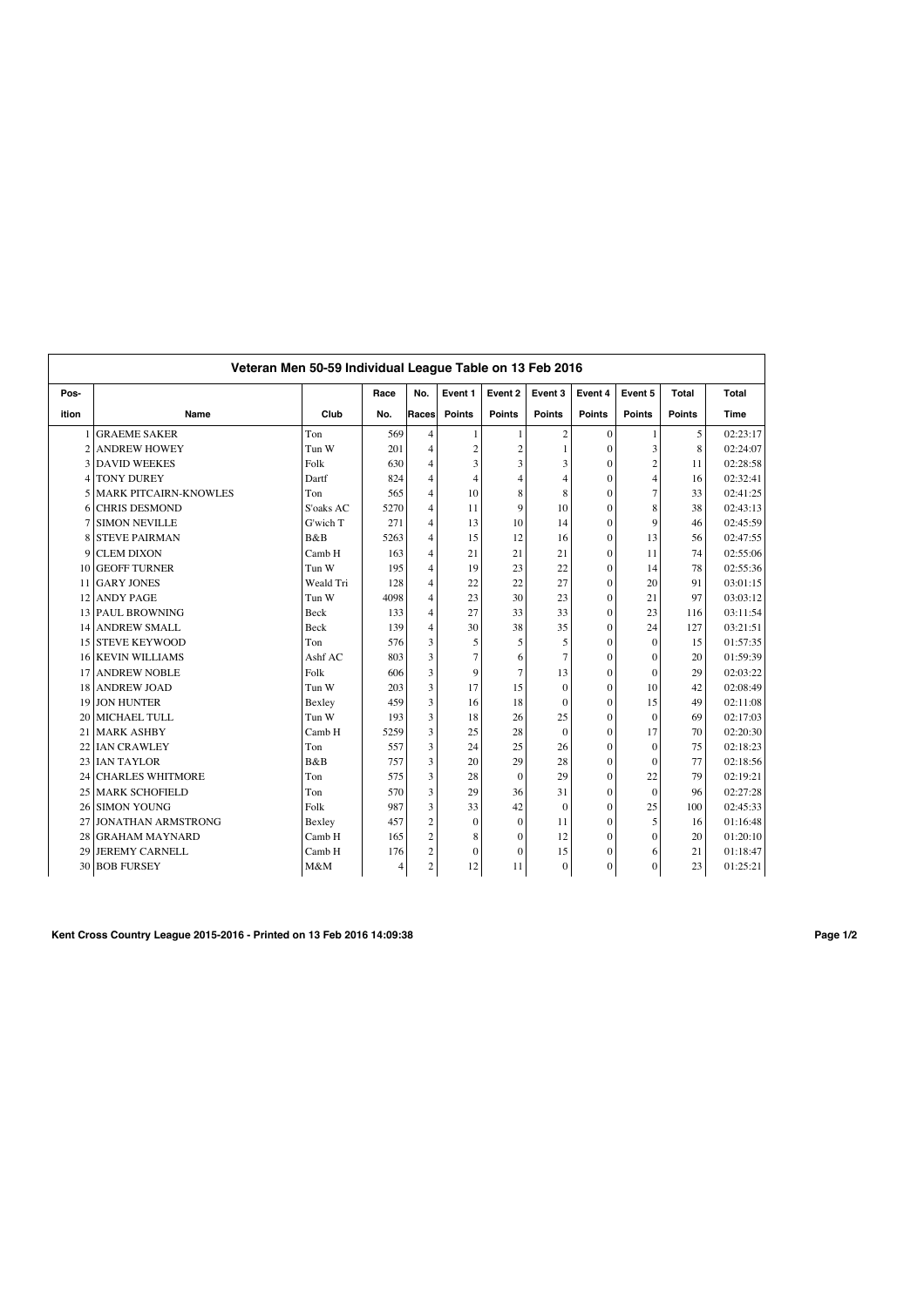|                 | Veteran Men 50-59 Individual League Table on 13 Feb 2016 |           |                |                |                  |                |                |                |                |               |             |  |
|-----------------|----------------------------------------------------------|-----------|----------------|----------------|------------------|----------------|----------------|----------------|----------------|---------------|-------------|--|
| Pos-            |                                                          |           | Race           | No.            | Event 1          | Event 2        | Event 3        | Event 4        | Event 5        | <b>Total</b>  | Total       |  |
| ition           | Name                                                     | Club      | No.            | Races          | <b>Points</b>    | <b>Points</b>  | <b>Points</b>  | <b>Points</b>  | <b>Points</b>  | <b>Points</b> | <b>Time</b> |  |
|                 | <b>GRAEME SAKER</b>                                      | Ton       | 569            | $\overline{4}$ | $\mathbf{1}$     | $\mathbf{1}$   | $\overline{c}$ | $\mathbf{0}$   | $\mathbf{1}$   | 5             | 02:23:17    |  |
| $\overline{c}$  | <b>ANDREW HOWEY</b>                                      | Tun W     | 201            | $\overline{4}$ | $\boldsymbol{2}$ | $\overline{c}$ |                | $\theta$       | 3              | 8             | 02:24:07    |  |
| 3               | <b>DAVID WEEKES</b>                                      | Folk      | 630            | $\overline{4}$ | 3                | $\overline{3}$ | 3              | $\Omega$       | $\overline{c}$ | 11            | 02:28:58    |  |
| 4               | <b>TONY DUREY</b>                                        | Dartf     | 824            | $\overline{4}$ | $\overline{4}$   | $\overline{4}$ | 4              | $\mathbf{0}$   | $\overline{4}$ | 16            | 02:32:41    |  |
| 5               | <b>MARK PITCAIRN-KNOWLES</b>                             | Ton       | 565            | $\overline{4}$ | 10               | 8              | 8              | $\theta$       | $\overline{7}$ | 33            | 02:41:25    |  |
| 6               | <b>CHRIS DESMOND</b>                                     | S'oaks AC | 5270           | $\overline{4}$ | 11               | 9              | 10             | $\theta$       | 8              | 38            | 02:43:13    |  |
|                 | <b>SIMON NEVILLE</b>                                     | G'wich T  | 271            | $\overline{4}$ | 13               | 10             | 14             | $\theta$       | 9              | 46            | 02:45:59    |  |
| 8               | <b>STEVE PAIRMAN</b>                                     | B&B       | 5263           | $\overline{4}$ | 15               | 12             | 16             | $\theta$       | 13             | 56            | 02:47:55    |  |
| 9               | <b>CLEM DIXON</b>                                        | Camb H    | 163            | 4              | 21               | 21             | 21             | $\theta$       | 11             | 74            | 02:55:06    |  |
| 10              | <b>GEOFF TURNER</b>                                      | Tun W     | 195            | $\overline{4}$ | 19               | 23             | 22             | $\mathbf{0}$   | 14             | 78            | 02:55:36    |  |
| 11              | <b>GARY JONES</b>                                        | Weald Tri | 128            | $\overline{4}$ | 22               | 22             | 27             | $\theta$       | 20             | 91            | 03:01:15    |  |
| 12              | <b>ANDY PAGE</b>                                         | Tun W     | 4098           | $\overline{4}$ | 23               | 30             | 23             | $\overline{0}$ | 21             | 97            | 03:03:12    |  |
|                 | 13 PAUL BROWNING                                         | Beck      | 133            | $\overline{4}$ | 27               | 33             | 33             | $\mathbf{0}$   | 23             | 116           | 03:11:54    |  |
|                 | 14 ANDREW SMALL                                          | Beck      | 139            | $\overline{4}$ | 30               | 38             | 35             | $\theta$       | 24             | 127           | 03:21:51    |  |
|                 | 15 STEVE KEYWOOD                                         | Ton       | 576            | 3              | 5                | 5              | 5              | $\theta$       | $\Omega$       | 15            | 01:57:35    |  |
| 16              | <b>KEVIN WILLIAMS</b>                                    | Ashf AC   | 803            | 3              | 7                | 6              | 7              | $\theta$       | $\Omega$       | 20            | 01:59:39    |  |
| 17              | <b>ANDREW NOBLE</b>                                      | Folk      | 606            | 3              | 9                | $\overline{7}$ | 13             | $\theta$       | $\Omega$       | 29            | 02:03:22    |  |
| 18 <sup>1</sup> | <b>ANDREW JOAD</b>                                       | Tun W     | 203            | 3              | 17               | 15             | $\theta$       | $\theta$       | 10             | 42            | 02:08:49    |  |
| 19              | <b>JON HUNTER</b>                                        | Bexley    | 459            | 3              | 16               | 18             | $\Omega$       | $\overline{0}$ | 15             | 49            | 02:11:08    |  |
| 20              | MICHAEL TULL                                             | Tun W     | 193            | 3              | 18               | 26             | 25             | $\theta$       | $\Omega$       | 69            | 02:17:03    |  |
| 21              | <b>MARK ASHBY</b>                                        | Camb H    | 5259           | 3              | 25               | 28             | $\theta$       | $\mathbf{0}$   | 17             | 70            | 02:20:30    |  |
| 22              | <b>IAN CRAWLEY</b>                                       | Ton       | 557            | 3              | 24               | 25             | 26             | $\overline{0}$ | $\mathbf{0}$   | 75            | 02:18:23    |  |
|                 | 23 IAN TAYLOR                                            | B&B       | 757            | 3              | 20               | 29             | 28             | $\Omega$       | $\Omega$       | 77            | 02:18:56    |  |
| 24              | <b>CHARLES WHITMORE</b>                                  | Ton       | 575            | 3              | 28               | $\theta$       | 29             | $\mathbf{0}$   | 22             | 79            | 02:19:21    |  |
| 25              | <b>MARK SCHOFIELD</b>                                    | Ton       | 570            | 3              | 29               | 36             | 31             | $\mathbf{0}$   | $\Omega$       | 96            | 02:27:28    |  |
| 26              | <b>SIMON YOUNG</b>                                       | Folk      | 987            | 3              | 33               | 42             | $\mathbf{0}$   | $\overline{0}$ | 25             | 100           | 02:45:33    |  |
| 27              | <b>JONATHAN ARMSTRONG</b>                                | Bexley    | 457            | $\overline{2}$ | $\mathbf{0}$     | $\theta$       | 11             | $\overline{0}$ | 5              | 16            | 01:16:48    |  |
| 28              | <b>GRAHAM MAYNARD</b>                                    | Camb H    | 165            | $\overline{c}$ | 8                | $\theta$       | 12             | $\overline{0}$ | $\Omega$       | 20            | 01:20:10    |  |
| 29              | <b>JEREMY CARNELL</b>                                    | Camb H    | 176            | $\overline{2}$ | $\mathbf{0}$     | $\theta$       | 15             | $\mathbf{0}$   | 6              | 21            | 01:18:47    |  |
|                 | 30 BOB FURSEY                                            | M&M       | $\overline{4}$ | $\sqrt{2}$     | 12               | 11             | $\mathbf{0}$   | $\mathbf{0}$   | $\Omega$       | 23            | 01:25:21    |  |

**Kent Cross Country League 2015-2016 - Printed on 13 Feb 2016 14:09:38 Page 1/2**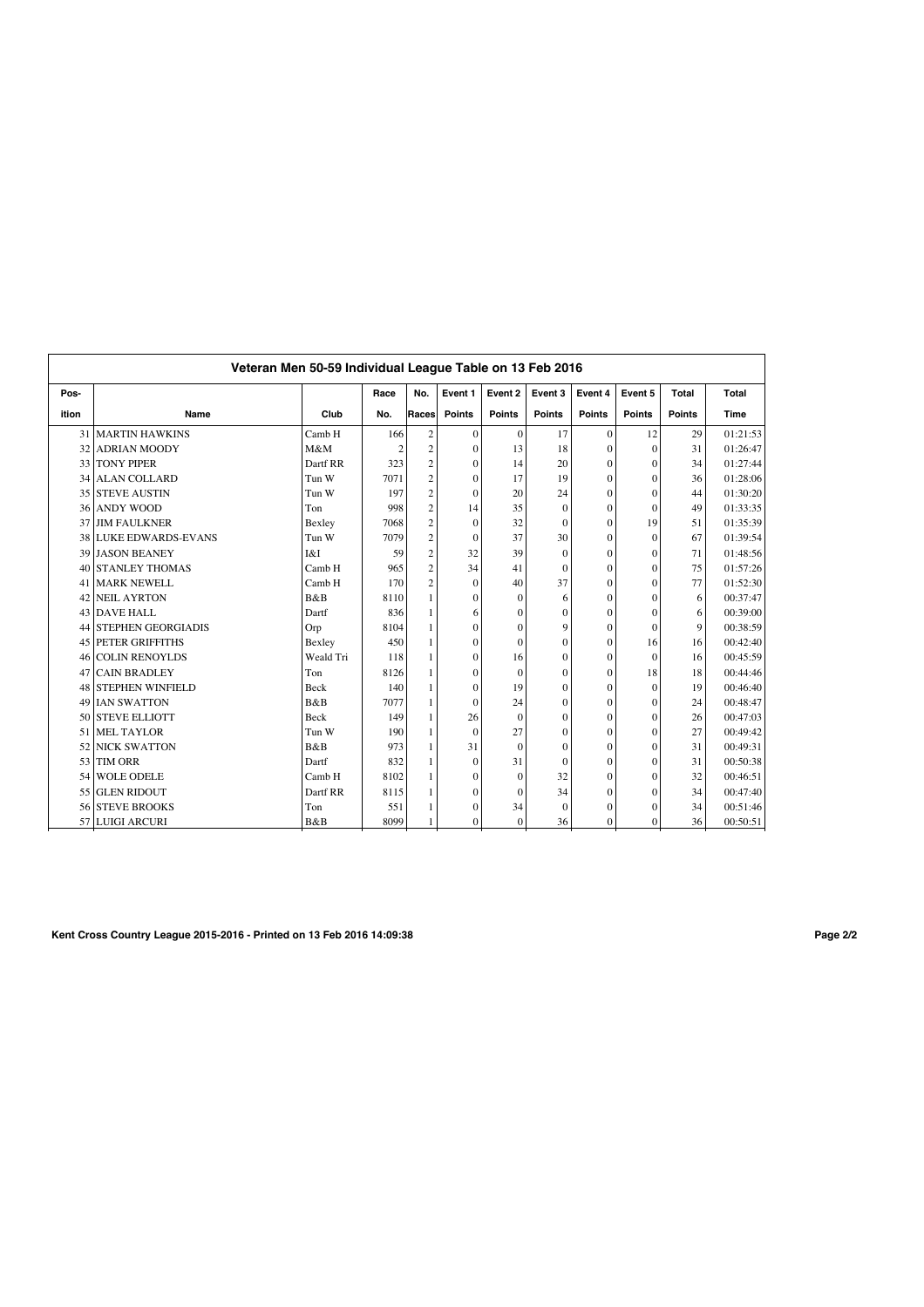|       |                           | Veteran Men 50-59 Individual League Table on 13 Feb 2016 |                |                         |                |                |                |               |               |               |          |
|-------|---------------------------|----------------------------------------------------------|----------------|-------------------------|----------------|----------------|----------------|---------------|---------------|---------------|----------|
| Pos-  |                           |                                                          | Race           | No.                     | Event 1        | Event 2        | Event 3        | Event 4       | Event 5       | Total         | Total    |
| ition | Name                      | Club                                                     | No.            | Races                   | <b>Points</b>  | <b>Points</b>  | <b>Points</b>  | <b>Points</b> | <b>Points</b> | <b>Points</b> | Time     |
| 31    | <b>MARTIN HAWKINS</b>     | Camb H                                                   | 166            | $\overline{\mathbf{c}}$ | $\mathbf{0}$   | $\mathbf{0}$   | 17             | $\mathbf{0}$  | 12            | 29            | 01:21:53 |
| 32    | <b>ADRIAN MOODY</b>       | M&M                                                      | $\mathfrak{D}$ | $\overline{c}$          | $\Omega$       | 13             | 18             | $\Omega$      | $\Omega$      | 31            | 01:26:47 |
|       | 33 TONY PIPER             | Dartf RR                                                 | 323            | $\overline{c}$          | $\theta$       | 14             | 20             | $\theta$      | $\theta$      | 34            | 01:27:44 |
| 34    | <b>ALAN COLLARD</b>       | Tun W                                                    | 7071           | $\overline{c}$          | $\overline{0}$ | 17             | 19             | $\mathbf{0}$  | $\mathbf{0}$  | 36            | 01:28:06 |
|       | 35 STEVE AUSTIN           | Tun W                                                    | 197            | $\overline{c}$          | $\theta$       | 20             | 24             | $\theta$      | $\theta$      | 44            | 01:30:20 |
| 36    | <b>ANDY WOOD</b>          | Ton                                                      | 998            | $\overline{c}$          | 14             | 35             | $\mathbf{0}$   | $\mathbf{0}$  | $\mathbf{0}$  | 49            | 01:33:35 |
| 37    | <b>JIM FAULKNER</b>       | Bexley                                                   | 7068           | $\overline{c}$          | $\theta$       | 32             | $\theta$       | $\Omega$      | 19            | 51            | 01:35:39 |
| 38    | <b>LUKE EDWARDS-EVANS</b> | Tun W                                                    | 7079           | $\overline{\mathbf{c}}$ | $\overline{0}$ | 37             | 30             | $\Omega$      | $\mathbf{0}$  | 67            | 01:39:54 |
| 39    | <b>JASON BEANEY</b>       | I&I                                                      | 59             | $\mathbf{2}$            | 32             | 39             | $\theta$       | $\theta$      | $\theta$      | 71            | 01:48:56 |
|       | 40 STANLEY THOMAS         | Camb H                                                   | 965            | $\overline{c}$          | 34             | 41             | $\theta$       | $\theta$      | $\theta$      | 75            | 01:57:26 |
| 41    | <b>MARK NEWELL</b>        | Camb H                                                   | 170            | $\overline{c}$          | $\theta$       | 40             | 37             | $\Omega$      | $\theta$      | 77            | 01:52:30 |
| 42    | <b>NEIL AYRTON</b>        | B&B                                                      | 8110           |                         | $\theta$       | $\Omega$       | 6              | $\Omega$      | $\theta$      | 6             | 00:37:47 |
|       | 43 DAVE HALL              | Dartf                                                    | 836            |                         | 6              | $\overline{0}$ | $\theta$       | $\theta$      | $\Omega$      | 6             | 00:39:00 |
| 44    | <b>STEPHEN GEORGIADIS</b> | Orp                                                      | 8104           | 1                       | $\theta$       | $\Omega$       | 9              | $\Omega$      | $\theta$      | $\mathbf{Q}$  | 00:38:59 |
| 45    | <b>PETER GRIFFITHS</b>    | Bexley                                                   | 450            |                         | $\theta$       | $\Omega$       | $\theta$       | $\theta$      | 16            | 16            | 00:42:40 |
| 46    | <b>COLIN RENOYLDS</b>     | Weald Tri                                                | 118            |                         | $\theta$       | 16             | $\Omega$       | $\theta$      | $\Omega$      | 16            | 00:45:59 |
| 47    | <b>CAIN BRADLEY</b>       | Ton                                                      | 8126           |                         | $\overline{0}$ | $\Omega$       | $\overline{0}$ | $\theta$      | 18            | 18            | 00:44:46 |
| 48    | <b>STEPHEN WINFIELD</b>   | <b>Beck</b>                                              | 140            |                         | $\theta$       | 19             | $\theta$       | $\Omega$      | $\mathbf{0}$  | 19            | 00:46:40 |
| 49    | <b>IAN SWATTON</b>        | B&B                                                      | 7077           |                         | $\theta$       | 24             | $\theta$       | $\Omega$      | $\theta$      | 24            | 00:48:47 |
|       | 50 STEVE ELLIOTT          | <b>Beck</b>                                              | 149            |                         | 26             | $\Omega$       | $\theta$       | $\theta$      | $\theta$      | 26            | 00:47:03 |
| 51    | <b>MEL TAYLOR</b>         | Tun W                                                    | 190            |                         | $\theta$       | 27             | $\theta$       | $\theta$      | $\mathbf{0}$  | 27            | 00:49:42 |
|       | 52 NICK SWATTON           | B&B                                                      | 973            |                         | 31             | $\Omega$       | $\theta$       | $\theta$      | $\theta$      | 31            | 00:49:31 |
|       | 53 TIM ORR                | Dartf                                                    | 832            |                         | $\theta$       | 31             | $\theta$       | $\theta$      | $\theta$      | 31            | 00:50:38 |
| 54    | <b>WOLE ODELE</b>         | Camb H                                                   | 8102           |                         | $\theta$       | $\Omega$       | 32             | $\theta$      | $\theta$      | 32            | 00:46:51 |
| 55    | <b>GLEN RIDOUT</b>        | Dartf RR                                                 | 8115           |                         | $\theta$       | $\Omega$       | 34             | $\Omega$      | $\theta$      | 34            | 00:47:40 |
| 56    | <b>STEVE BROOKS</b>       | Ton                                                      | 551            |                         | $\theta$       | 34             | $\Omega$       | $\theta$      | $\Omega$      | 34            | 00:51:46 |
|       | 57 LUIGI ARCURI           | B&B                                                      | 8099           |                         | $\theta$       | $\Omega$       | 36             | $\theta$      | $\theta$      | 36            | 00:50:51 |

**Kent Cross Country League 2015-2016 - Printed on 13 Feb 2016 14:09:38 Page 2/2**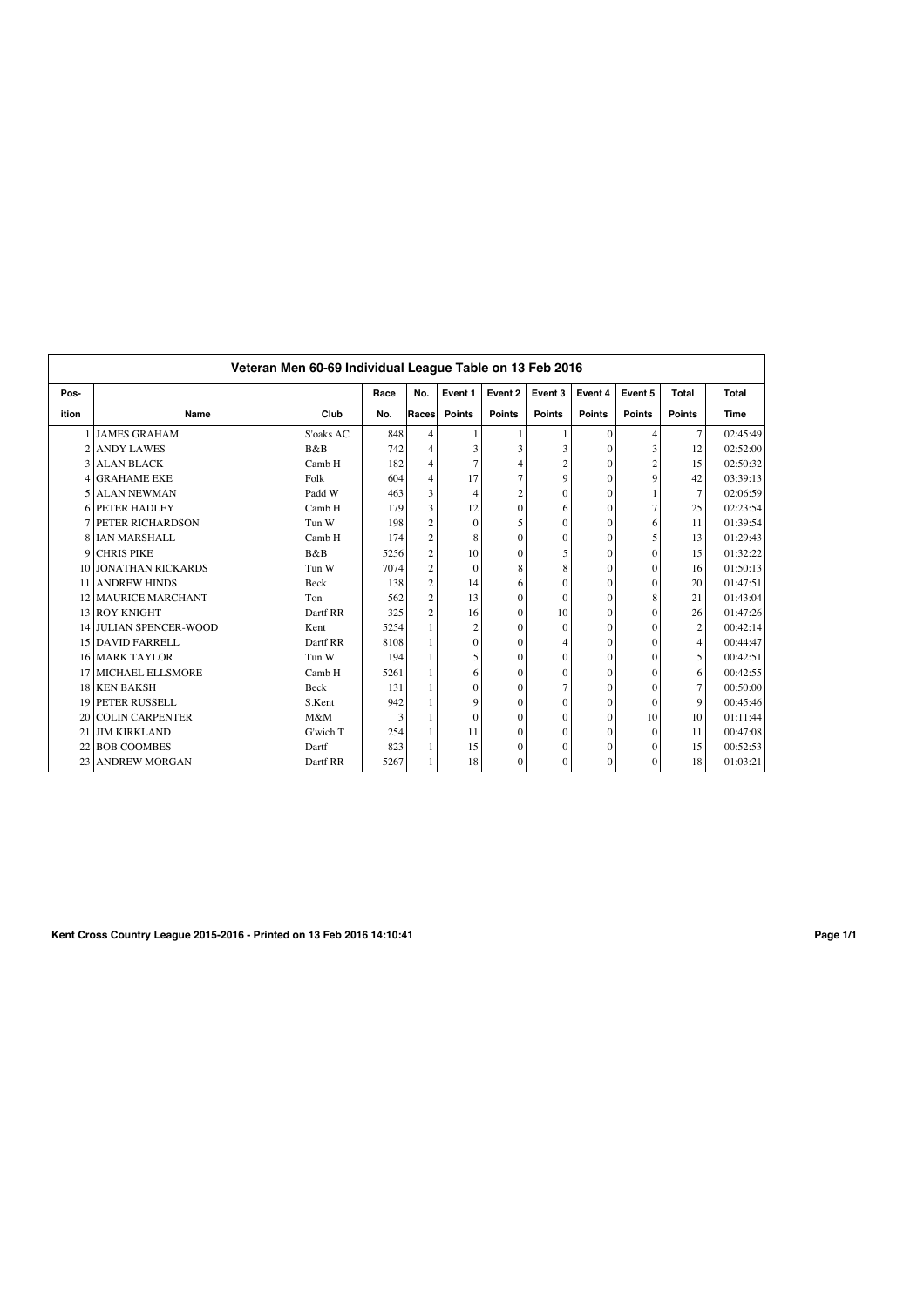| Pos-                     |                               |             | Race | No.            | Event 1        | Event 2        | Event 3        | Event 4       | Event 5        | Total          | Total    |
|--------------------------|-------------------------------|-------------|------|----------------|----------------|----------------|----------------|---------------|----------------|----------------|----------|
| ition                    | Name                          | Club        | No.  | Races          | <b>Points</b>  | <b>Points</b>  | <b>Points</b>  | <b>Points</b> | <b>Points</b>  | <b>Points</b>  | Time     |
|                          | 1 JAMES GRAHAM                | S'oaks AC   | 848  | $\overline{4}$ | 1              |                |                | $\Omega$      | 4              | $\tau$         | 02:45:49 |
| 2                        | <b>ANDY LAWES</b>             | B&B         | 742  | $\overline{4}$ | 3              | 3              | 3              | $\theta$      | 3              | 12             | 02:52:00 |
| 3 I                      | <b>ALAN BLACK</b>             | Camb H      | 182  | $\overline{4}$ | $\overline{7}$ | 4              | $\overline{c}$ | $\Omega$      | $\overline{c}$ | 15             | 02:50:32 |
| 41                       | <b>GRAHAME EKE</b>            | Folk        | 604  | $\overline{4}$ | 17             |                | 9              | $\Omega$      | $\mathbf Q$    | 42             | 03:39:13 |
| $\overline{\phantom{0}}$ | <b>ALAN NEWMAN</b>            | Padd W      | 463  | 3              | 4              | $\overline{c}$ | $\Omega$       | $\Omega$      |                | $\tau$         | 02:06:59 |
|                          | <b>6 PETER HADLEY</b>         | Camb H      | 179  | 3              | 12             | $\Omega$       | 6              | $\Omega$      | 7              | 25             | 02:23:54 |
|                          | <b>7 PETER RICHARDSON</b>     | Tun W       | 198  | $\overline{2}$ | $\Omega$       | 5              | $\Omega$       | $\Omega$      | 6              | 11             | 01:39:54 |
|                          | 8 IAN MARSHALL                | Camb H      | 174  | $\overline{c}$ | 8              | $\theta$       | $\Omega$       | $\theta$      | 5              | 13             | 01:29:43 |
| 9                        | <b>CHRIS PIKE</b>             | B&B         | 5256 | $\overline{c}$ | 10             | $\Omega$       | 5              | $\theta$      | $\theta$       | 15             | 01:32:22 |
|                          | 10 JONATHAN RICKARDS          | Tun W       | 7074 | $\overline{2}$ | $\Omega$       | 8              | 8              | $\theta$      | $\Omega$       | 16             | 01:50:13 |
| 11 <sup>1</sup>          | <b>ANDREW HINDS</b>           | <b>Beck</b> | 138  | $\overline{c}$ | 14             | 6              | $\Omega$       | $\Omega$      | $\theta$       | 20             | 01:47:51 |
|                          | 12 MAURICE MARCHANT           | Ton         | 562  | $\overline{c}$ | 13             | $\Omega$       | $\Omega$       | $\Omega$      | 8              | 21             | 01:43:04 |
|                          | 13 ROY KNIGHT                 | Dartf RR    | 325  | $\overline{c}$ | 16             | $\Omega$       | 10             | $\Omega$      | $\theta$       | 26             | 01:47:26 |
|                          | <b>14 JULIAN SPENCER-WOOD</b> | Kent        | 5254 | 1              | $\overline{c}$ | $\theta$       | $\theta$       | $\theta$      | $\theta$       | $\mathbf{2}$   | 00:42:14 |
|                          | 15 DAVID FARRELL              | Dartf RR    | 8108 | 1              | $\Omega$       | $\Omega$       | 4              | $\Omega$      | $\Omega$       | $\overline{4}$ | 00:44:47 |
|                          | <b>16 MARK TAYLOR</b>         | Tun W       | 194  |                | 5              | $\Omega$       | $\theta$       | $\theta$      | $\theta$       | 5              | 00:42:51 |
|                          | 17 MICHAEL ELLSMORE           | Camb H      | 5261 | 1              | 6              | $\Omega$       | $\Omega$       | $\theta$      | $\Omega$       | 6              | 00:42:55 |
|                          | 18 KEN BAKSH                  | Beck        | 131  | 1              | $\mathbf{0}$   | $\theta$       | 7              | $\theta$      | $\Omega$       | $\overline{7}$ | 00:50:00 |
|                          | <b>19 PETER RUSSELL</b>       | S.Kent      | 942  |                | 9              | $\theta$       | $\theta$       | $\Omega$      | $\Omega$       | $\mathbf Q$    | 00:45:46 |
|                          | 20 COLIN CARPENTER            | M&M         | 3    |                | $\Omega$       | $\Omega$       | $\Omega$       | $\Omega$      | 10             | 10             | 01:11:44 |
|                          | 21 JIM KIRKLAND               | G'wich T    | 254  | 1              | 11             | $\theta$       | $\Omega$       | $\theta$      | $\Omega$       | 11             | 00:47:08 |
|                          | 22 BOB COOMBES                | Dartf       | 823  |                | 15             | $\Omega$       | $\Omega$       | $\Omega$      | $\Omega$       | 15             | 00:52:53 |
|                          | 23 ANDREW MORGAN              | Dartf RR    | 5267 |                | 18             | 0              | $\mathbf{0}$   | $\mathbf{0}$  | $\mathbf{0}$   | 18             | 01:03:21 |

**Kent Cross Country League 2015-2016 - Printed on 13 Feb 2016 14:10:41 Page 1/1**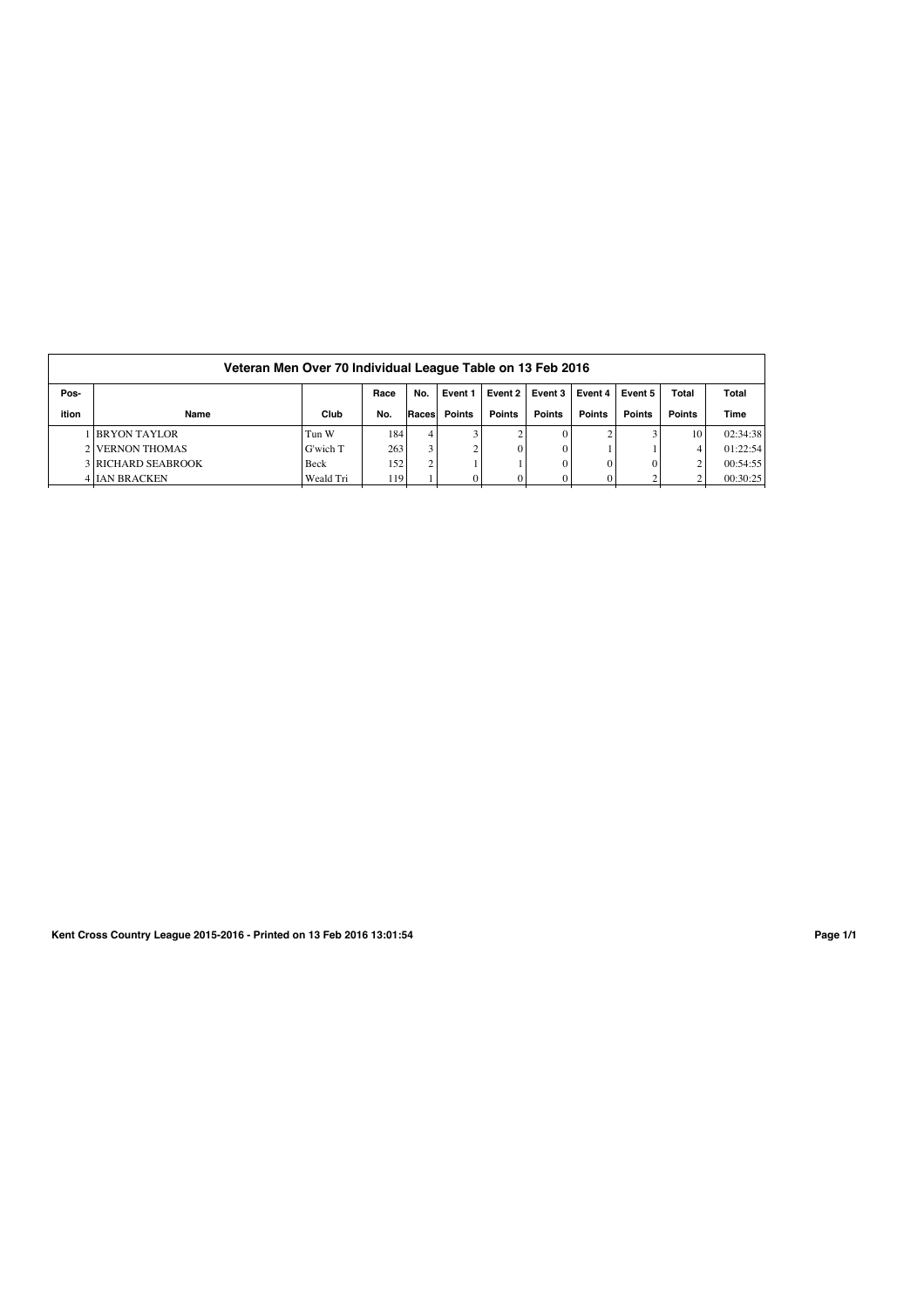|       | Veteran Men Over 70 Individual League Table on 13 Feb 2016 |           |      |        |         |               |         |               |               |               |          |  |  |
|-------|------------------------------------------------------------|-----------|------|--------|---------|---------------|---------|---------------|---------------|---------------|----------|--|--|
| Pos-  |                                                            |           | Race | No.    | Event 1 | Event 2       | Event 3 | Event 4       | Event 5       | Total         | Total    |  |  |
| ition | Name                                                       | Club      | No.  | Races  | Points  | <b>Points</b> | Points  | <b>Points</b> | <b>Points</b> | <b>Points</b> | Time     |  |  |
|       | 1 BRYON TAYLOR                                             | Tun W     | 184  | 4      |         |               |         |               |               | 10            | 02:34:38 |  |  |
|       | 2 VERNON THOMAS                                            | G'wich T  | 263  | 3      |         |               |         |               |               |               | 01:22:54 |  |  |
|       | <b>3 RICHARD SEABROOK</b>                                  | Beck      | 152  | $\sim$ |         |               |         | $\Omega$      |               | $\sim$        | 00:54:55 |  |  |
|       | <b>4 IAN BRACKEN</b>                                       | Weald Tri | 119  |        |         |               |         |               |               |               | 00:30:25 |  |  |

**Kent Cross Country League 2015-2016 - Printed on 13 Feb 2016 13:01:54 Page 1/1**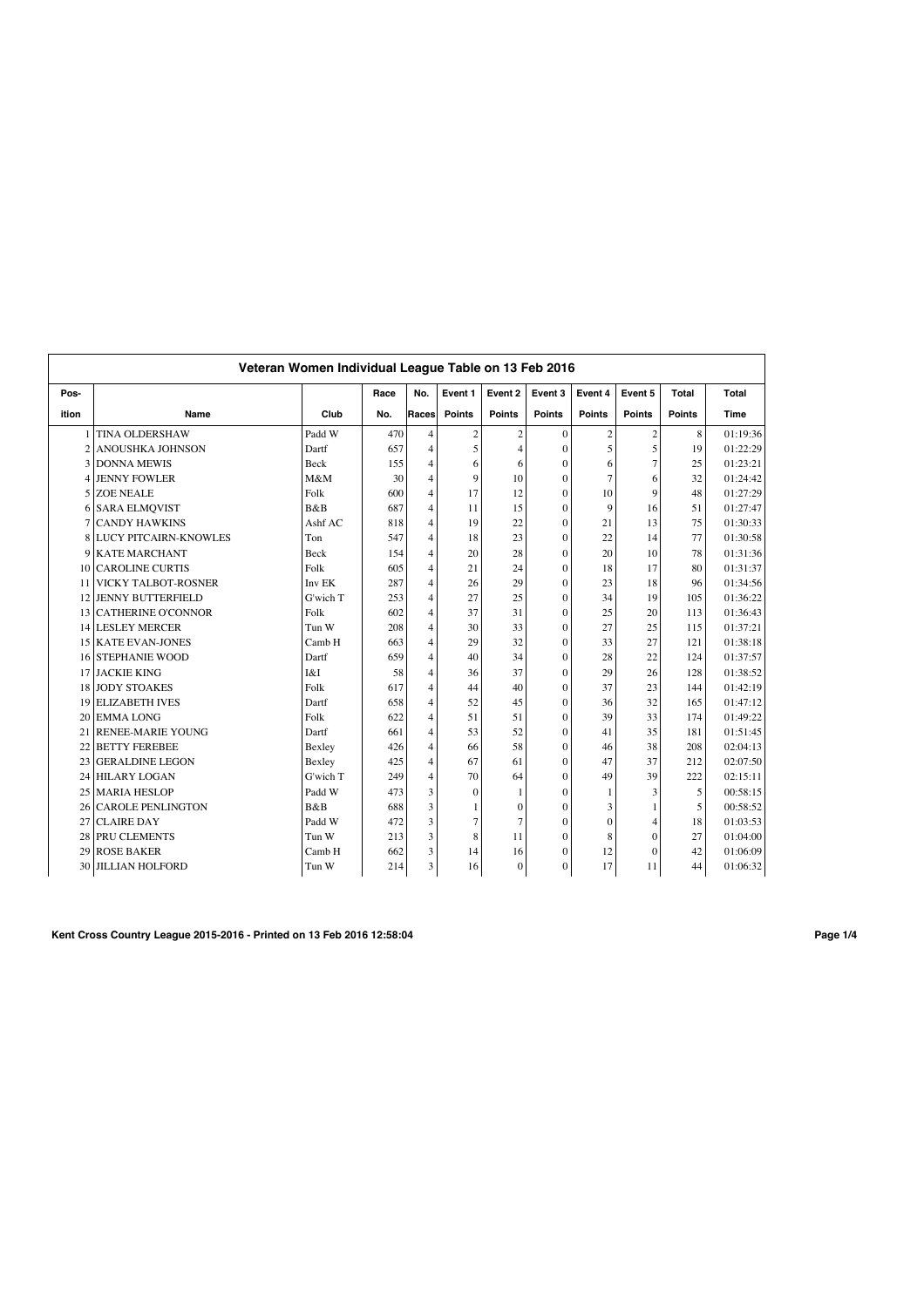|                 | Veteran Women Individual League Table on 13 Feb 2016 |                   |      |                |                |                |                  |                |                |               |          |
|-----------------|------------------------------------------------------|-------------------|------|----------------|----------------|----------------|------------------|----------------|----------------|---------------|----------|
| Pos-            |                                                      |                   | Race | No.            | Event 1        | Event 2        | Event 3          | Event 4        | Event 5        | Total         | Total    |
| ition           | Name                                                 | Club              | No.  | Races          | <b>Points</b>  | <b>Points</b>  | <b>Points</b>    | <b>Points</b>  | <b>Points</b>  | <b>Points</b> | Time     |
|                 | <b>TINA OLDERSHAW</b>                                | Padd W            | 470  | $\overline{4}$ | $\sqrt{2}$     | $\sqrt{2}$     | $\mathbf{0}$     | $\sqrt{2}$     | $\sqrt{2}$     | 8             | 01:19:36 |
| $\overline{2}$  | <b>ANOUSHKA JOHNSON</b>                              | Dartf             | 657  | $\overline{4}$ | 5              | $\overline{4}$ | $\Omega$         | 5              | 5              | 19            | 01:22:29 |
| 3               | <b>DONNA MEWIS</b>                                   | Beck              | 155  | $\overline{4}$ | 6              | 6              | $\theta$         | 6              | $\overline{7}$ | 25            | 01:23:21 |
| 4               | <b>JENNY FOWLER</b>                                  | M&M               | 30   | 4              | 9              | 10             | $\Omega$         | $\overline{7}$ | 6              | 32            | 01:24:42 |
| 5               | <b>ZOE NEALE</b>                                     | Folk              | 600  | $\overline{4}$ | 17             | 12             | $\theta$         | 10             | $\mathbf{Q}$   | 48            | 01:27:29 |
| 6               | <b>SARA ELMOVIST</b>                                 | B&B               | 687  | $\overline{4}$ | 11             | 15             | $\theta$         | 9              | 16             | 51            | 01:27:47 |
| 7               | <b>CANDY HAWKINS</b>                                 | Ashf AC           | 818  | 4              | 19             | 22             | $\theta$         | 21             | 13             | 75            | 01:30:33 |
| 8               | <b>LUCY PITCAIRN-KNOWLES</b>                         | Ton               | 547  | 4              | 18             | 23             | $\Omega$         | 22             | 14             | 77            | 01:30:58 |
| 9               | <b>KATE MARCHANT</b>                                 | <b>Beck</b>       | 154  | 4              | 20             | 28             | $\Omega$         | 20             | 10             | 78            | 01:31:36 |
| 10              | <b>CAROLINE CURTIS</b>                               | Folk              | 605  | $\overline{4}$ | 21             | 24             | $\Omega$         | 18             | 17             | 80            | 01:31:37 |
| 11              | VICKY TALBOT-ROSNER                                  | Inv <sub>EK</sub> | 287  | $\overline{4}$ | 26             | 29             | $\Omega$         | 23             | 18             | 96            | 01:34:56 |
| 12              | <b>JENNY BUTTERFIELD</b>                             | G'wich T          | 253  | $\overline{4}$ | 27             | 25             | $\Omega$         | 34             | 19             | 105           | 01:36:22 |
| 13 <sup>1</sup> | <b>CATHERINE O'CONNOR</b>                            | Folk              | 602  | $\overline{4}$ | 37             | 31             | $\theta$         | 25             | 20             | 113           | 01:36:43 |
| 14 <sub>1</sub> | <b>LESLEY MERCER</b>                                 | Tun W             | 208  | $\overline{4}$ | 30             | 33             | $\Omega$         | 27             | 25             | 115           | 01:37:21 |
|                 | 15 KATE EVAN-JONES                                   | Camb H            | 663  | $\overline{4}$ | 29             | 32             | $\theta$         | 33             | 27             | 121           | 01:38:18 |
| 16              | <b>STEPHANIE WOOD</b>                                | Dartf             | 659  | $\overline{4}$ | 40             | 34             | $\theta$         | 28             | 22             | 124           | 01:37:57 |
| 17              | <b>JACKIE KING</b>                                   | I&I               | 58   | 4              | 36             | 37             | $\theta$         | 29             | 26             | 128           | 01:38:52 |
| 18 <sup>1</sup> | <b>JODY STOAKES</b>                                  | Folk              | 617  | 4              | 44             | 40             | $\boldsymbol{0}$ | 37             | 23             | 144           | 01:42:19 |
| 19              | <b>ELIZABETH IVES</b>                                | Dartf             | 658  | 4              | 52             | 45             | $\boldsymbol{0}$ | 36             | 32             | 165           | 01:47:12 |
| 20              | <b>EMMALONG</b>                                      | Folk              | 622  | $\overline{4}$ | 51             | 51             | $\Omega$         | 39             | 33             | 174           | 01:49:22 |
| 21              | <b>RENEE-MARIE YOUNG</b>                             | Dartf             | 661  | $\overline{4}$ | 53             | 52             | $\theta$         | 41             | 35             | 181           | 01:51:45 |
| 22              | <b>BETTY FEREBEE</b>                                 | Bexley            | 426  | $\overline{4}$ | 66             | 58             | $\theta$         | 46             | 38             | 208           | 02:04:13 |
| 23              | <b>GERALDINE LEGON</b>                               | Bexley            | 425  | $\overline{4}$ | 67             | 61             | $\theta$         | 47             | 37             | 212           | 02:07:50 |
| 24              | <b>HILARY LOGAN</b>                                  | G'wich T          | 249  | $\overline{4}$ | 70             | 64             | $\theta$         | 49             | 39             | 222           | 02:15:11 |
| 25              | <b>MARIA HESLOP</b>                                  | Padd W            | 473  | 3              | $\mathbf{0}$   | 1              | $\theta$         | 1              | 3              | 5             | 00:58:15 |
| 26              | <b>CAROLE PENLINGTON</b>                             | B&B               | 688  | 3              | 1              | $\overline{0}$ | $\Omega$         | 3              | 1              | 5             | 00:58:52 |
| 27              | <b>CLAIRE DAY</b>                                    | Padd W            | 472  | 3              | $\overline{7}$ | $\overline{7}$ | $\theta$         | $\mathbf{0}$   | $\overline{4}$ | 18            | 01:03:53 |
| 28              | PRU CLEMENTS                                         | Tun W             | 213  | 3              | 8              | 11             | 0                | 8              | $\mathbf{0}$   | 27            | 01:04:00 |
| 29              | <b>ROSE BAKER</b>                                    | Camb H            | 662  | 3              | 14             | 16             | $\Omega$         | 12             | $\theta$       | 42            | 01:06:09 |
| 30 <sup>1</sup> | <b>JILLIAN HOLFORD</b>                               | Tun W             | 214  | 3              | 16             | $\mathbf{0}$   | $\mathbf{0}$     | 17             | 11             | 44            | 01:06:32 |

**Kent Cross Country League 2015-2016 - Printed on 13 Feb 2016 12:58:04 Page 1/4**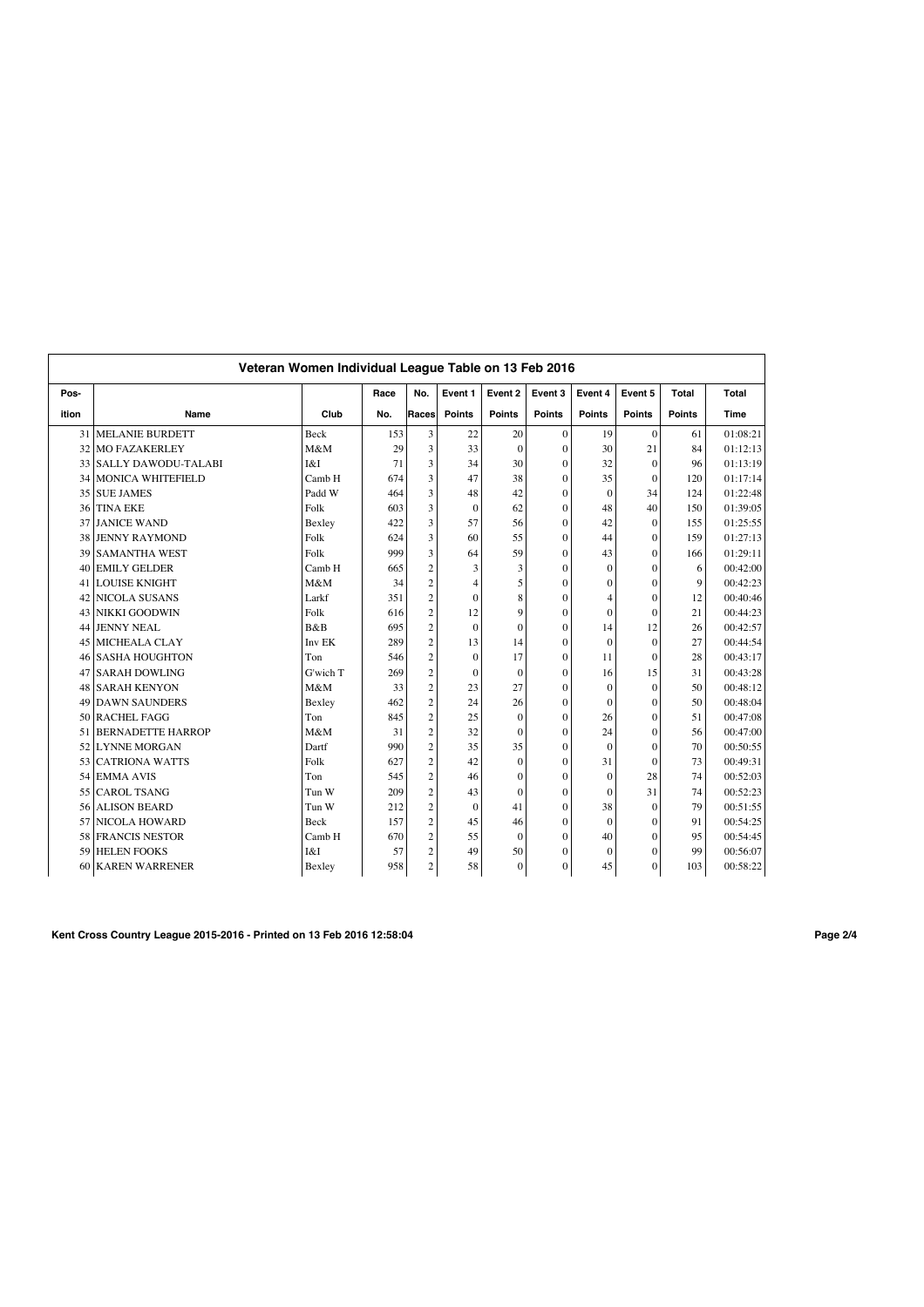|       | Veteran Women Individual League Table on 13 Feb 2016 |             |      |                |              |               |                  |                  |               |               |          |
|-------|------------------------------------------------------|-------------|------|----------------|--------------|---------------|------------------|------------------|---------------|---------------|----------|
| Pos-  |                                                      |             | Race | No.            | Event 1      | Event 2       | Event 3          | Event 4          | Event 5       | Total         | Total    |
| ition | Name                                                 | Club        | No.  | Races          | Points       | <b>Points</b> | <b>Points</b>    | <b>Points</b>    | <b>Points</b> | <b>Points</b> | Time     |
| 31    | <b>MELANIE BURDETT</b>                               | Beck        | 153  | 3              | 22           | 20            | $\mathbf{0}$     | 19               | $\Omega$      | 61            | 01:08:21 |
| 32    | <b>MO FAZAKERLEY</b>                                 | M&M         | 29   | 3              | 33           | $\mathbf{0}$  | $\Omega$         | 30               | 21            | 84            | 01:12:13 |
| 33    | <b>SALLY DAWODU-TALABI</b>                           | I&I         | 71   | 3              | 34           | 30            | $\theta$         | 32               | $\Omega$      | 96            | 01:13:19 |
| 34    | <b>MONICA WHITEFIELD</b>                             | Camb H      | 674  | 3              | 47           | 38            | $\theta$         | 35               | $\theta$      | 120           | 01:17:14 |
| 35    | <b>SUE JAMES</b>                                     | Padd W      | 464  | 3              | 48           | 42            | $\Omega$         | $\mathbf{0}$     | 34            | 124           | 01:22:48 |
| 36    | <b>TINA EKE</b>                                      | Folk        | 603  | 3              | $\mathbf{0}$ | 62            | $\Omega$         | 48               | 40            | 150           | 01:39:05 |
| 37    | <b>JANICE WAND</b>                                   | Bexley      | 422  | 3              | 57           | 56            | $\Omega$         | 42               | $\theta$      | 155           | 01:25:55 |
| 38    | <b>JENNY RAYMOND</b>                                 | Folk        | 624  | 3              | 60           | 55            | $\theta$         | 44               | $\theta$      | 159           | 01:27:13 |
| 39    | <b>SAMANTHA WEST</b>                                 | Folk        | 999  | 3              | 64           | 59            | $\Omega$         | 43               | $\theta$      | 166           | 01:29:11 |
| 40    | <b>EMILY GELDER</b>                                  | Camb H      | 665  | $\overline{c}$ | 3            | 3             | $\theta$         | $\mathbf{0}$     | $\theta$      | 6             | 00:42:00 |
|       | <b>41 LOUISE KNIGHT</b>                              | M&M         | 34   | $\overline{c}$ | 4            | 5             | $\theta$         | $\overline{0}$   | $\Omega$      | 9             | 00:42:23 |
| 42    | NICOLA SUSANS                                        | Larkf       | 351  | $\overline{c}$ | $\mathbf{0}$ | 8             | $\theta$         | 4                | $\Omega$      | 12            | 00:40:46 |
| 43    | <b>NIKKI GOODWIN</b>                                 | Folk        | 616  | $\overline{c}$ | 12           | 9             | $\theta$         | $\mathbf{0}$     | $\theta$      | 21            | 00:44:23 |
| 44    | <b>JENNY NEAL</b>                                    | <b>B</b> &B | 695  | $\overline{c}$ | $\Omega$     | $\theta$      | $\Omega$         | 14               | 12            | 26            | 00:42:57 |
| 45    | <b>MICHEALA CLAY</b>                                 | Inv EK      | 289  | $\overline{c}$ | 13           | 14            | $\Omega$         | $\boldsymbol{0}$ | $\theta$      | 27            | 00:44:54 |
| 46    | <b>SASHA HOUGHTON</b>                                | Ton         | 546  | $\overline{c}$ | $\mathbf{0}$ | 17            | $\theta$         | 11               | $\theta$      | 28            | 00:43:17 |
| 47    | <b>SARAH DOWLING</b>                                 | G'wich T    | 269  | $\overline{c}$ | $\mathbf{0}$ | $\mathbf{0}$  | $\theta$         | 16               | 15            | 31            | 00:43:28 |
| 48    | <b>SARAH KENYON</b>                                  | M&M         | 33   | $\overline{c}$ | 23           | 27            | $\mathbf{0}$     | $\mathbf{0}$     | $\mathbf{0}$  | 50            | 00:48:12 |
| 49    | <b>DAWN SAUNDERS</b>                                 | Bexley      | 462  | $\overline{c}$ | 24           | 26            | $\mathbf{0}$     | $\mathbf{0}$     | $\mathbf{0}$  | 50            | 00:48:04 |
| 50    | <b>RACHEL FAGG</b>                                   | Ton         | 845  | $\overline{c}$ | 25           | $\mathbf{0}$  | $\Omega$         | 26               | $\theta$      | 51            | 00:47:08 |
| 51    | <b>BERNADETTE HARROP</b>                             | M&M         | 31   | $\overline{c}$ | 32           | $\theta$      | $\theta$         | 24               | $\theta$      | 56            | 00:47:00 |
| 52    | <b>LYNNE MORGAN</b>                                  | Dartf       | 990  | $\overline{c}$ | 35           | 35            | $\theta$         | $\mathbf{0}$     | $\theta$      | 70            | 00:50:55 |
| 53    | <b>CATRIONA WATTS</b>                                | Folk        | 627  | $\overline{c}$ | 42           | $\mathbf{0}$  | $\theta$         | 31               | $\theta$      | 73            | 00:49:31 |
| 54    | <b>EMMA AVIS</b>                                     | Ton         | 545  | $\overline{c}$ | 46           | $\mathbf{0}$  | $\theta$         | $\mathbf{0}$     | 28            | 74            | 00:52:03 |
| 55    | <b>CAROL TSANG</b>                                   | Tun W       | 209  | $\overline{c}$ | 43           | $\theta$      | $\theta$         | $\mathbf{0}$     | 31            | 74            | 00:52:23 |
| 56    | <b>ALISON BEARD</b>                                  | Tun W       | 212  | $\overline{c}$ | $\mathbf{0}$ | 41            | $\theta$         | 38               | $\theta$      | 79            | 00:51:55 |
| 57    | <b>NICOLA HOWARD</b>                                 | Beck        | 157  | $\overline{c}$ | 45           | 46            | $\theta$         | $\mathbf{0}$     | $\Omega$      | 91            | 00:54:25 |
| 58    | <b>FRANCIS NESTOR</b>                                | Camb H      | 670  | $\overline{c}$ | 55           | $\mathbf{0}$  | $\boldsymbol{0}$ | 40               | $\mathbf{0}$  | 95            | 00:54:45 |
| 59    | <b>HELEN FOOKS</b>                                   | I&I         | 57   | $\overline{c}$ | 49           | 50            | $\Omega$         | $\Omega$         | $\theta$      | 99            | 00:56:07 |
| 60    | <b>KAREN WARRENER</b>                                | Bexley      | 958  | $\overline{c}$ | 58           | $\mathbf{0}$  | $\mathbf{0}$     | 45               | $\mathbf{0}$  | 103           | 00:58:22 |

**Kent Cross Country League 2015-2016 - Printed on 13 Feb 2016 12:58:04 Page 2/4**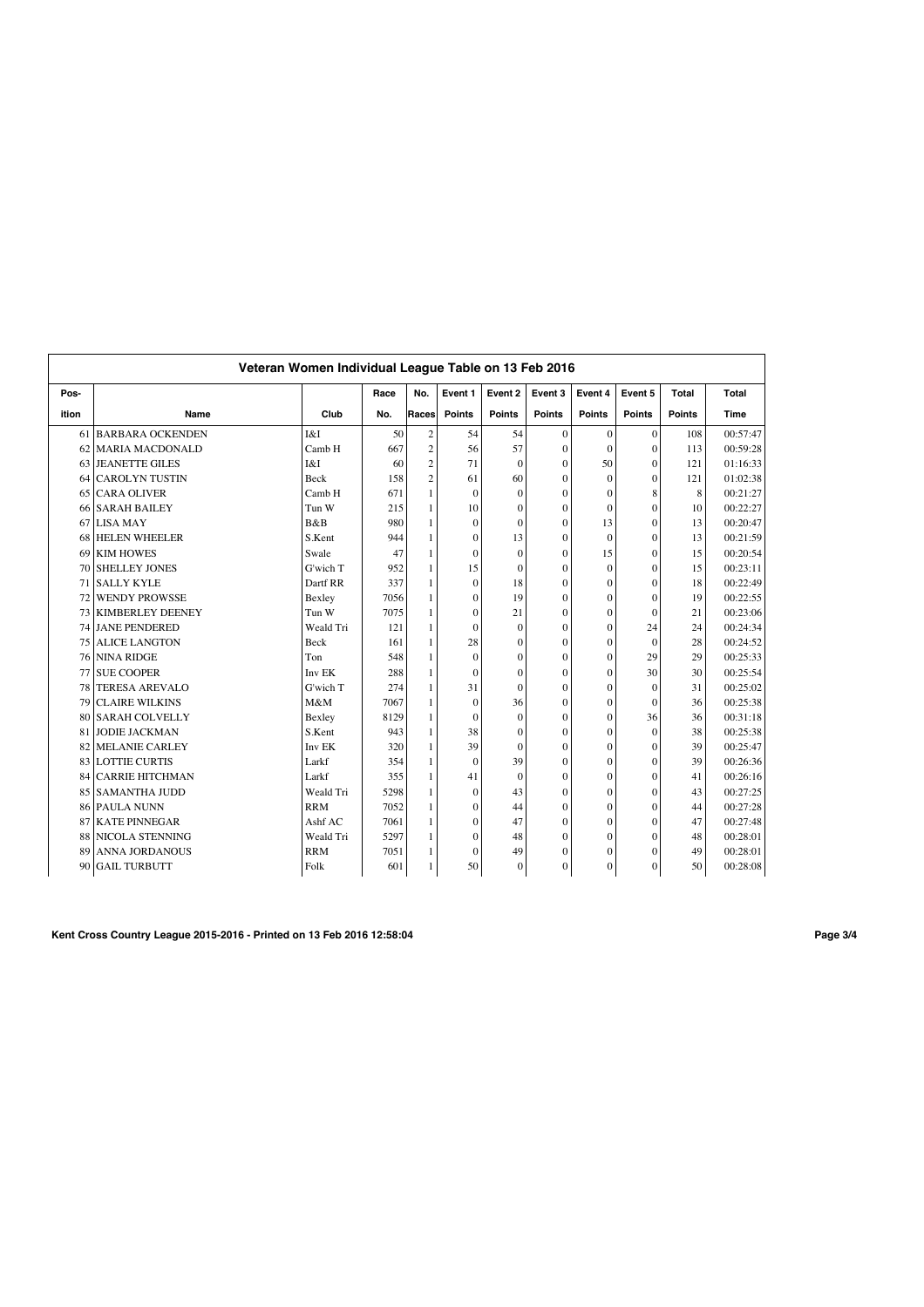|       |                        | Veteran Women Individual League Table on 13 Feb 2016 |      |                |               |                |                  |                |               |               |             |
|-------|------------------------|------------------------------------------------------|------|----------------|---------------|----------------|------------------|----------------|---------------|---------------|-------------|
| Pos-  |                        |                                                      | Race | No.            | Event 1       | Event 2        | Event 3          | Event 4        | Event 5       | <b>Total</b>  | Total       |
| ition | Name                   | Club                                                 | No.  | Races          | <b>Points</b> | <b>Points</b>  | <b>Points</b>    | <b>Points</b>  | <b>Points</b> | <b>Points</b> | <b>Time</b> |
|       | 61 BARBARA OCKENDEN    | I&I                                                  | 50   | $\overline{2}$ | 54            | 54             | $\Omega$         | $\mathbf{0}$   | $\Omega$      | 108           | 00:57:47    |
|       | 62 MARIA MACDONALD     | Camb H                                               | 667  | $\overline{c}$ | 56            | 57             | $\mathbf{0}$     | $\mathbf{0}$   | $\Omega$      | 113           | 00:59:28    |
| 63    | <b>JEANETTE GILES</b>  | I&I                                                  | 60   | $\overline{c}$ | 71            | $\mathbf{0}$   | $\mathbf{0}$     | 50             | $\Omega$      | 121           | 01:16:33    |
| 64    | <b>CAROLYN TUSTIN</b>  | Beck                                                 | 158  | $\overline{c}$ | 61            | 60             | $\mathbf{0}$     | $\mathbf{0}$   | $\theta$      | 121           | 01:02:38    |
| 65    | <b>CARA OLIVER</b>     | Camb H                                               | 671  | 1              | $\mathbf{0}$  | $\mathbf{0}$   | $\theta$         | $\mathbf{0}$   | 8             | 8             | 00:21:27    |
| 66    | <b>SARAH BAILEY</b>    | Tun W                                                | 215  | 1              | 10            | $\overline{0}$ | $\Omega$         | $\theta$       | $\Omega$      | 10            | 00:22:27    |
| 67    | <b>LISA MAY</b>        | B&B                                                  | 980  | 1              | $\mathbf{0}$  | $\theta$       | $\mathbf{0}$     | 13             | $\theta$      | 13            | 00:20:47    |
| 68    | <b>HELEN WHEELER</b>   | S.Kent                                               | 944  | 1              | $\mathbf{0}$  | 13             | $\theta$         | $\theta$       | $\Omega$      | 13            | 00:21:59    |
| 69    | <b>KIM HOWES</b>       | Swale                                                | 47   | 1              | $\mathbf{0}$  | $\theta$       | $\theta$         | 15             | $\Omega$      | 15            | 00:20:54    |
| 70    | <b>SHELLEY JONES</b>   | G'wich T                                             | 952  | 1              | 15            | $\theta$       | $\Omega$         | $\Omega$       | $\Omega$      | 15            | 00:23:11    |
| 71    | <b>SALLY KYLE</b>      | Dartf RR                                             | 337  | 1              | $\mathbf{0}$  | 18             | $\Omega$         | $\theta$       | $\theta$      | 18            | 00:22:49    |
| 72    | <b>WENDY PROWSSE</b>   | Bexley                                               | 7056 | 1              | $\mathbf{0}$  | 19             | $\Omega$         | $\mathbf{0}$   | $\Omega$      | 19            | 00:22:55    |
|       | 73 KIMBERLEY DEENEY    | Tun W                                                | 7075 | 1              | $\mathbf{0}$  | 21             | $\mathbf{0}$     | $\mathbf{0}$   | $\theta$      | 21            | 00:23:06    |
| 74    | JANE PENDERED          | Weald Tri                                            | 121  | 1              | $\mathbf{0}$  | $\mathbf{0}$   | $\mathbf{0}$     | $\mathbf{0}$   | 24            | 24            | 00:24:34    |
| 75    | <b>ALICE LANGTON</b>   | <b>Beck</b>                                          | 161  | 1              | 28            | $\theta$       | $\theta$         | $\theta$       | $\Omega$      | 28            | 00:24:52    |
| 76    | <b>NINA RIDGE</b>      | Ton                                                  | 548  | 1              | $\mathbf{0}$  | $\theta$       | $\Omega$         | $\theta$       | 29            | 29            | 00:25:33    |
| 77    | <b>SUE COOPER</b>      | Inv EK                                               | 288  | 1              | $\mathbf{0}$  | $\theta$       | $\theta$         | $\overline{0}$ | 30            | 30            | 00:25:54    |
| 78    | <b>TERESA AREVALO</b>  | G'wich T                                             | 274  | 1              | 31            | $\theta$       | $\theta$         | $\mathbf{0}$   | $\Omega$      | 31            | 00:25:02    |
| 79    | <b>CLAIRE WILKINS</b>  | M&M                                                  | 7067 | 1              | $\mathbf{0}$  | 36             | $\Omega$         | $\theta$       | $\Omega$      | 36            | 00:25:38    |
| 80    | <b>SARAH COLVELLY</b>  | Bexley                                               | 8129 | 1              | $\mathbf{0}$  | $\overline{0}$ | $\mathbf{0}$     | $\overline{0}$ | 36            | 36            | 00:31:18    |
| 81    | <b>JODIE JACKMAN</b>   | S.Kent                                               | 943  | 1              | 38            | $\overline{0}$ | $\mathbf{0}$     | $\mathbf{0}$   | $\Omega$      | 38            | 00:25:38    |
|       | 82 MELANIE CARLEY      | Inv EK                                               | 320  | 1              | 39            | $\theta$       | $\mathbf{0}$     | $\mathbf{0}$   | $\Omega$      | 39            | 00:25:47    |
|       | 83 LOTTIE CURTIS       | Larkf                                                | 354  | 1              | $\mathbf{0}$  | 39             | $\mathbf{0}$     | $\theta$       | $\Omega$      | 39            | 00:26:36    |
| 84    | <b>CARRIE HITCHMAN</b> | Larkf                                                | 355  | 1              | 41            | $\mathbf{0}$   | $\mathbf{0}$     | $\mathbf{0}$   | $\Omega$      | 41            | 00:26:16    |
| 85    | <b>SAMANTHA JUDD</b>   | Weald Tri                                            | 5298 | 1              | $\mathbf{0}$  | 43             | $\theta$         | $\theta$       | $\Omega$      | 43            | 00:27:25    |
| 86    | <b>PAULA NUNN</b>      | <b>RRM</b>                                           | 7052 | 1              | $\Omega$      | 44             | $\theta$         | $\theta$       | $\theta$      | 44            | 00:27:28    |
| 87    | <b>KATE PINNEGAR</b>   | Ashf AC                                              | 7061 | 1              | $\mathbf{0}$  | 47             | $\Omega$         | $\theta$       | $\Omega$      | 47            | 00:27:48    |
| 88    | <b>NICOLA STENNING</b> | Weald Tri                                            | 5297 | 1              | $\mathbf{0}$  | 48             | $\boldsymbol{0}$ | $\overline{0}$ | $\theta$      | 48            | 00:28:01    |
| 89    | <b>ANNA JORDANOUS</b>  | <b>RRM</b>                                           | 7051 | 1              | $\mathbf{0}$  | 49             | 0                | $\mathbf{0}$   | $\theta$      | 49            | 00:28:01    |
| 90    | <b>GAIL TURBUTT</b>    | Folk                                                 | 601  | 1              | 50            | $\mathbf{0}$   | 0                | $\overline{0}$ | $\theta$      | 50            | 00:28:08    |

**Kent Cross Country League 2015-2016 - Printed on 13 Feb 2016 12:58:04 Page 3/4**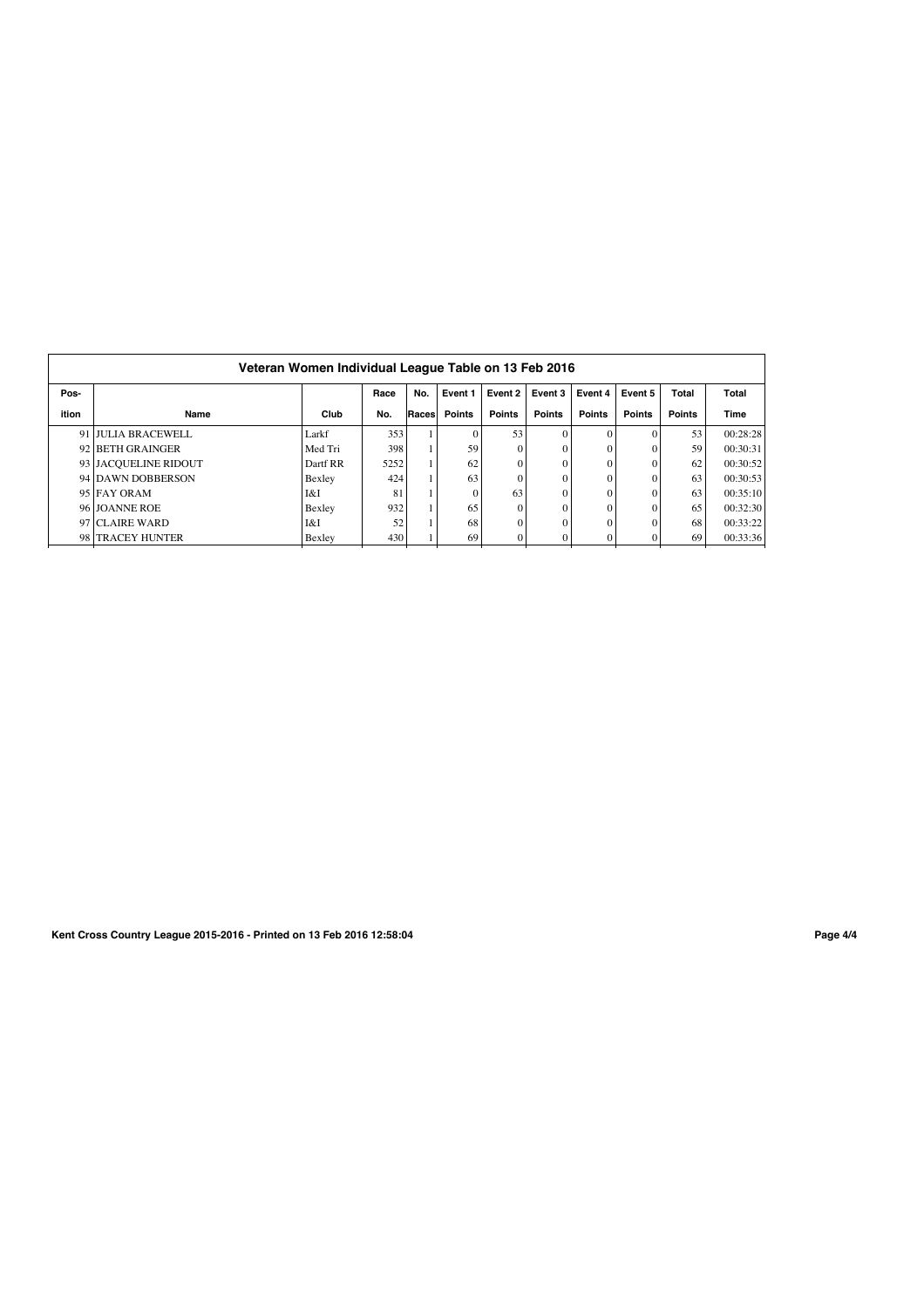|       | Veteran Women Individual League Table on 13 Feb 2016 |          |      |       |               |               |               |               |               |               |          |
|-------|------------------------------------------------------|----------|------|-------|---------------|---------------|---------------|---------------|---------------|---------------|----------|
| Pos-  |                                                      |          | Race | No.   | Event 1       | Event 2       | Event 3       | Event 4       | Event 5       | <b>Total</b>  | Total    |
| ition | Name                                                 | Club     | No.  | Races | <b>Points</b> | <b>Points</b> | <b>Points</b> | <b>Points</b> | <b>Points</b> | <b>Points</b> | Time     |
|       | 91 JULIA BRACEWELL                                   | Larkf    | 353  |       | $\theta$      | 53            |               | $\Omega$      |               | 53            | 00:28:28 |
|       | 92 BETH GRAINGER                                     | Med Tri  | 398  |       | 59            |               | 0             |               | $\sqrt{ }$    | 59            | 00:30:31 |
|       | 93 JACQUELINE RIDOUT                                 | Dartf RR | 5252 |       | 62            |               |               | $\Omega$      |               | 62            | 00:30:52 |
|       | 94 DAWN DOBBERSON                                    | Bexley   | 424  |       | 63            |               |               | $\Omega$      | $\sqrt{ }$    | 63            | 00:30:53 |
|       | 95 FAY ORAM                                          | I&I      | 81   |       | $\theta$      | 63            |               | $\Omega$      | $\sqrt{ }$    | 63            | 00:35:10 |
|       | 96 JOANNE ROE                                        | Bexley   | 932  |       | 65            |               |               |               |               | 65            | 00:32:30 |
|       | 97 CLAIRE WARD                                       | I&I      | 52   |       | 68            |               | 0             |               |               | 68            | 00:33:22 |
|       | 98 TRACEY HUNTER                                     | Bexley   | 430  |       | 69            |               |               |               |               | 69            | 00:33:36 |

**Kent Cross Country League 2015-2016 - Printed on 13 Feb 2016 12:58:04 Page 4/4**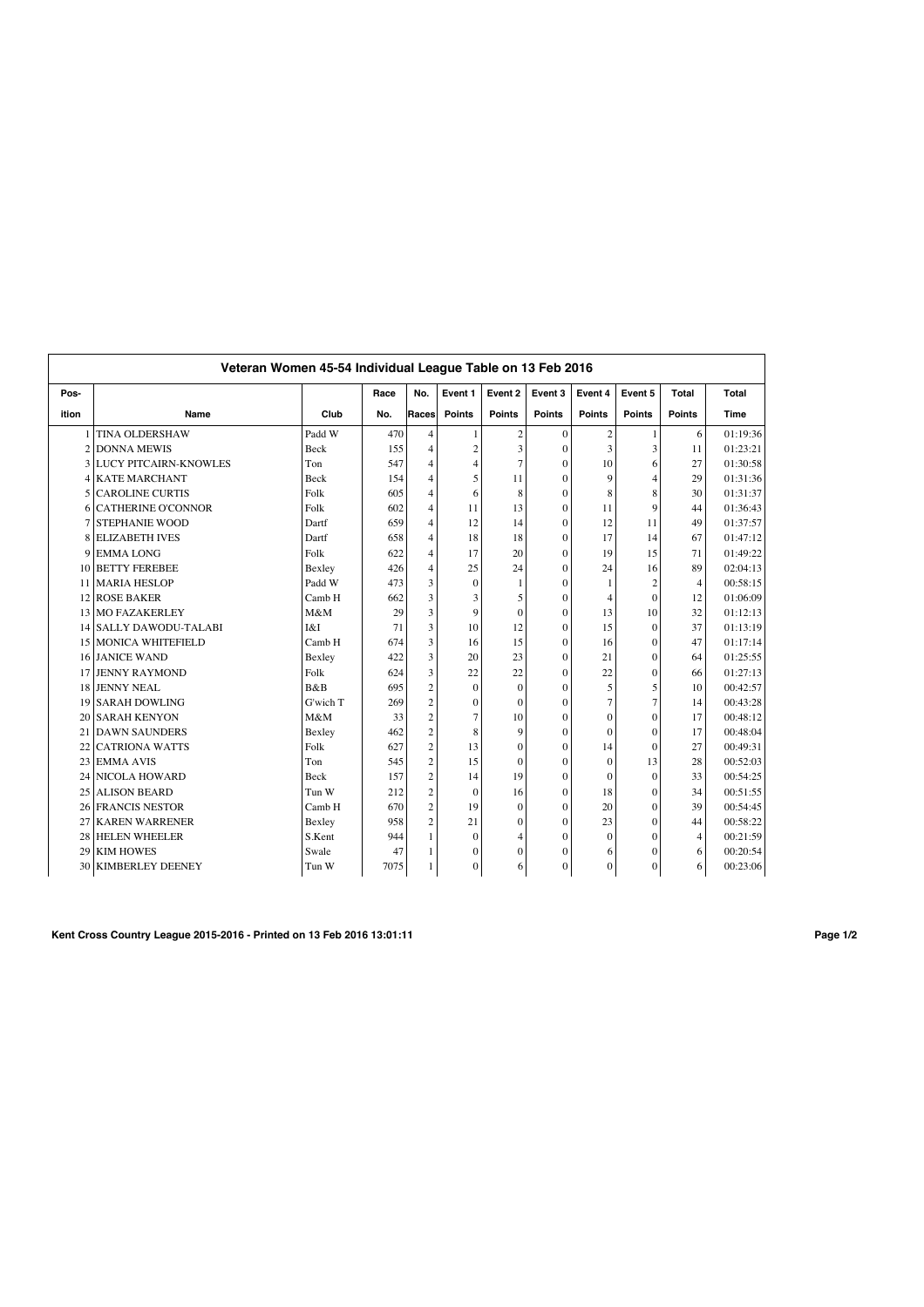|                 | Veteran Women 45-54 Individual League Table on 13 Feb 2016 |             |      |                |                  |                |                  |                  |                |                |             |
|-----------------|------------------------------------------------------------|-------------|------|----------------|------------------|----------------|------------------|------------------|----------------|----------------|-------------|
| Pos-            |                                                            |             | Race | No.            | Event 1          | Event 2        | Event 3          | Event 4          | Event 5        | <b>Total</b>   | Total       |
| ition           | Name                                                       | Club        | No.  | Races          | <b>Points</b>    | <b>Points</b>  | <b>Points</b>    | <b>Points</b>    | <b>Points</b>  | <b>Points</b>  | <b>Time</b> |
| $\mathbf{1}$    | <b>TINA OLDERSHAW</b>                                      | Padd W      | 470  | $\overline{4}$ | $\mathbf{1}$     | $\sqrt{2}$     | $\Omega$         | $\boldsymbol{2}$ | $\mathbf{1}$   | 6              | 01:19:36    |
| $\overline{c}$  | <b>DONNA MEWIS</b>                                         | Beck        | 155  | $\overline{4}$ | $\boldsymbol{2}$ | 3              | $\Omega$         | 3                | 3              | 11             | 01:23:21    |
| 3               | <b>LUCY PITCAIRN-KNOWLES</b>                               | Ton         | 547  | $\overline{4}$ | $\overline{4}$   | $\overline{7}$ | $\theta$         | 10               | 6              | 27             | 01:30:58    |
| 4               | <b>KATE MARCHANT</b>                                       | Beck        | 154  | 4              | 5                | 11             | $\theta$         | 9                | $\overline{4}$ | 29             | 01:31:36    |
| 5               | <b>CAROLINE CURTIS</b>                                     | Folk        | 605  | $\overline{4}$ | 6                | 8              | $\Omega$         | 8                | 8              | 30             | 01:31:37    |
| 6               | <b>CATHERINE O'CONNOR</b>                                  | Folk        | 602  | $\overline{4}$ | 11               | 13             | $\mathbf{0}$     | 11               | 9              | 44             | 01:36:43    |
| 7               | <b>STEPHANIE WOOD</b>                                      | Dartf       | 659  | $\overline{4}$ | 12               | 14             | $\theta$         | 12               | 11             | 49             | 01:37:57    |
| 8               | <b>ELIZABETH IVES</b>                                      | Dartf       | 658  | $\overline{4}$ | 18               | 18             | $\Omega$         | 17               | 14             | 67             | 01:47:12    |
| 9               | <b>EMMALONG</b>                                            | Folk        | 622  | $\overline{4}$ | 17               | 20             | $\theta$         | 19               | 15             | 71             | 01:49:22    |
| 10              | <b>BETTY FEREBEE</b>                                       | Bexley      | 426  | $\overline{4}$ | 25               | 24             | $\theta$         | 24               | 16             | 89             | 02:04:13    |
| 11              | <b>MARIA HESLOP</b>                                        | Padd W      | 473  | 3              | $\mathbf{0}$     | 1              | $\theta$         | 1                | $\overline{2}$ | $\overline{4}$ | 00:58:15    |
| 12              | <b>ROSE BAKER</b>                                          | Camb H      | 662  | 3              | 3                | 5              | $\theta$         | 4                | $\theta$       | 12             | 01:06:09    |
| 13 <sup>1</sup> | <b>MO FAZAKERLEY</b>                                       | M&M         | 29   | 3              | 9                | $\theta$       | $\theta$         | 13               | 10             | 32             | 01:12:13    |
| 4               | <b>SALLY DAWODU-TALABI</b>                                 | I&I         | 71   | 3              | 10               | 12             | $\theta$         | 15               | $\theta$       | 37             | 01:13:19    |
| 15              | <b>MONICA WHITEFIELD</b>                                   | Camb H      | 674  | 3              | 16               | 15             | $\theta$         | 16               | $\theta$       | 47             | 01:17:14    |
| 16              | <b>JANICE WAND</b>                                         | Bexley      | 422  | 3              | 20               | 23             | $\theta$         | 21               | $\theta$       | 64             | 01:25:55    |
| 17              | <b>JENNY RAYMOND</b>                                       | Folk        | 624  | 3              | 22               | 22             | $\theta$         | 22               | $\theta$       | 66             | 01:27:13    |
| 18              | <b>JENNY NEAL</b>                                          | B&B         | 695  | $\overline{c}$ | $\boldsymbol{0}$ | $\overline{0}$ | $\Omega$         | 5                | 5              | 10             | 00:42:57    |
| 19              | <b>SARAH DOWLING</b>                                       | G'wich T    | 269  | $\mathfrak{2}$ | $\boldsymbol{0}$ | $\overline{0}$ | $\theta$         | $\overline{7}$   | 7              | 14             | 00:43:28    |
| 20              | <b>SARAH KENYON</b>                                        | M&M         | 33   | $\overline{c}$ | $\overline{7}$   | 10             | $\mathbf{0}$     | $\mathbf{0}$     | $\theta$       | 17             | 00:48:12    |
| 21              | <b>DAWN SAUNDERS</b>                                       | Bexley      | 462  | $\overline{c}$ | 8                | 9              | $\boldsymbol{0}$ | $\mathbf{0}$     | $\theta$       | 17             | 00:48:04    |
| 22              | <b>CATRIONA WATTS</b>                                      | Folk        | 627  | $\overline{2}$ | 13               | $\overline{0}$ | $\theta$         | 14               | $\theta$       | 27             | 00:49:31    |
| 23              | <b>EMMA AVIS</b>                                           | Ton         | 545  | $\overline{c}$ | 15               | $\theta$       | $\theta$         | $\mathbf{0}$     | 13             | 28             | 00:52:03    |
| 24              | <b>NICOLA HOWARD</b>                                       | <b>Beck</b> | 157  | $\overline{c}$ | 14               | 19             | $\Omega$         | $\Omega$         | $\theta$       | 33             | 00:54:25    |
| 25              | <b>ALISON BEARD</b>                                        | Tun W       | 212  | $\overline{c}$ | $\mathbf{0}$     | 16             | $\theta$         | 18               | $\theta$       | 34             | 00:51:55    |
| 26              | <b>FRANCIS NESTOR</b>                                      | Camb H      | 670  | $\overline{c}$ | 19               | $\overline{0}$ | $\theta$         | 20               | $\theta$       | 39             | 00:54:45    |
| 27              | <b>KAREN WARRENER</b>                                      | Bexley      | 958  | $\overline{2}$ | 21               | $\theta$       | $\theta$         | 23               | $\theta$       | 44             | 00:58:22    |
| 28              | <b>HELEN WHEELER</b>                                       | S.Kent      | 944  | $\mathbf{1}$   | $\mathbf{0}$     | $\overline{4}$ | $\Omega$         | $\mathbf{0}$     | $\mathbf{0}$   | $\overline{4}$ | 00:21:59    |
| 29              | <b>KIM HOWES</b>                                           | Swale       | 47   |                | $\mathbf{0}$     | $\overline{0}$ | $\mathbf{0}$     | 6                | $\mathbf{0}$   | 6              | 00:20:54    |
| 30 <sup>1</sup> | <b>KIMBERLEY DEENEY</b>                                    | Tun W       | 7075 |                | $\mathbf{0}$     | 6              | $\mathbf{0}$     | $\mathbf{0}$     | $\mathbf{0}$   | 6              | 00:23:06    |

**Kent Cross Country League 2015-2016 - Printed on 13 Feb 2016 13:01:11 Page 1/2**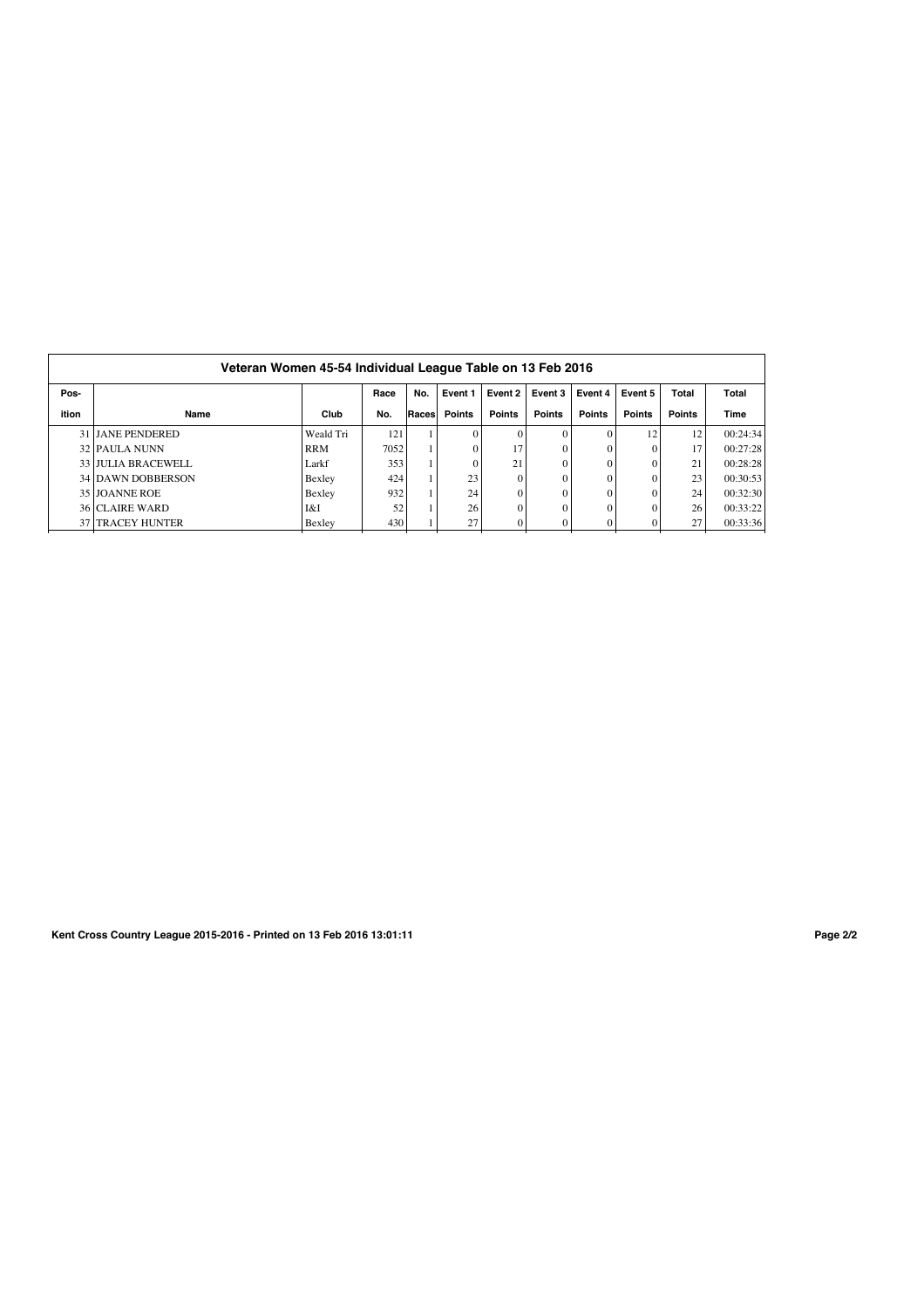| Pos-  |                           |            | Race | No.   | Event 1       | Event 2       | Event 3       | Event 4       | Event 5       | Total         | Total    |
|-------|---------------------------|------------|------|-------|---------------|---------------|---------------|---------------|---------------|---------------|----------|
|       |                           |            |      |       |               |               |               |               |               |               |          |
| ition | Name                      | Club       | No.  | Races | <b>Points</b> | <b>Points</b> | <b>Points</b> | <b>Points</b> | <b>Points</b> | <b>Points</b> | Time     |
|       | <b>31 LIANE PENDERED</b>  | Weald Tri  | 121  |       | $\Omega$      |               | $\Omega$      |               | 12            | 12            | 00:24:34 |
|       | 32 PAULA NUNN             | <b>RRM</b> | 7052 |       | $\Omega$      | 17            | $\theta$      | $\Omega$      | $\Omega$      | 17            | 00:27:28 |
|       | 33 JULIA BRACEWELL        | Larkf      | 353  |       | $\Omega$      | 21            | $\theta$      | $\Omega$      |               | 21            | 00:28:28 |
|       | 34 DAWN DOBBERSON         | Bexley     | 424  |       | 23            |               | $\sqrt{ }$    |               |               | 23            | 00:30:53 |
|       | 35 JOANNE ROE             | Bexley     | 932  |       | 24            |               | $\mathcal{L}$ |               |               | 24            | 00:32:30 |
|       | <b>36 CLAIRE WARD</b>     | I&I        | 52   |       | 26            |               |               |               |               | 26            | 00:33:22 |
|       | <b>37   TRACEY HUNTER</b> | Bexley     | 430  |       | 27            |               |               | 0             |               | 27            | 00:33:36 |

**Kent Cross Country League 2015-2016 - Printed on 13 Feb 2016 13:01:11 Page 2/2**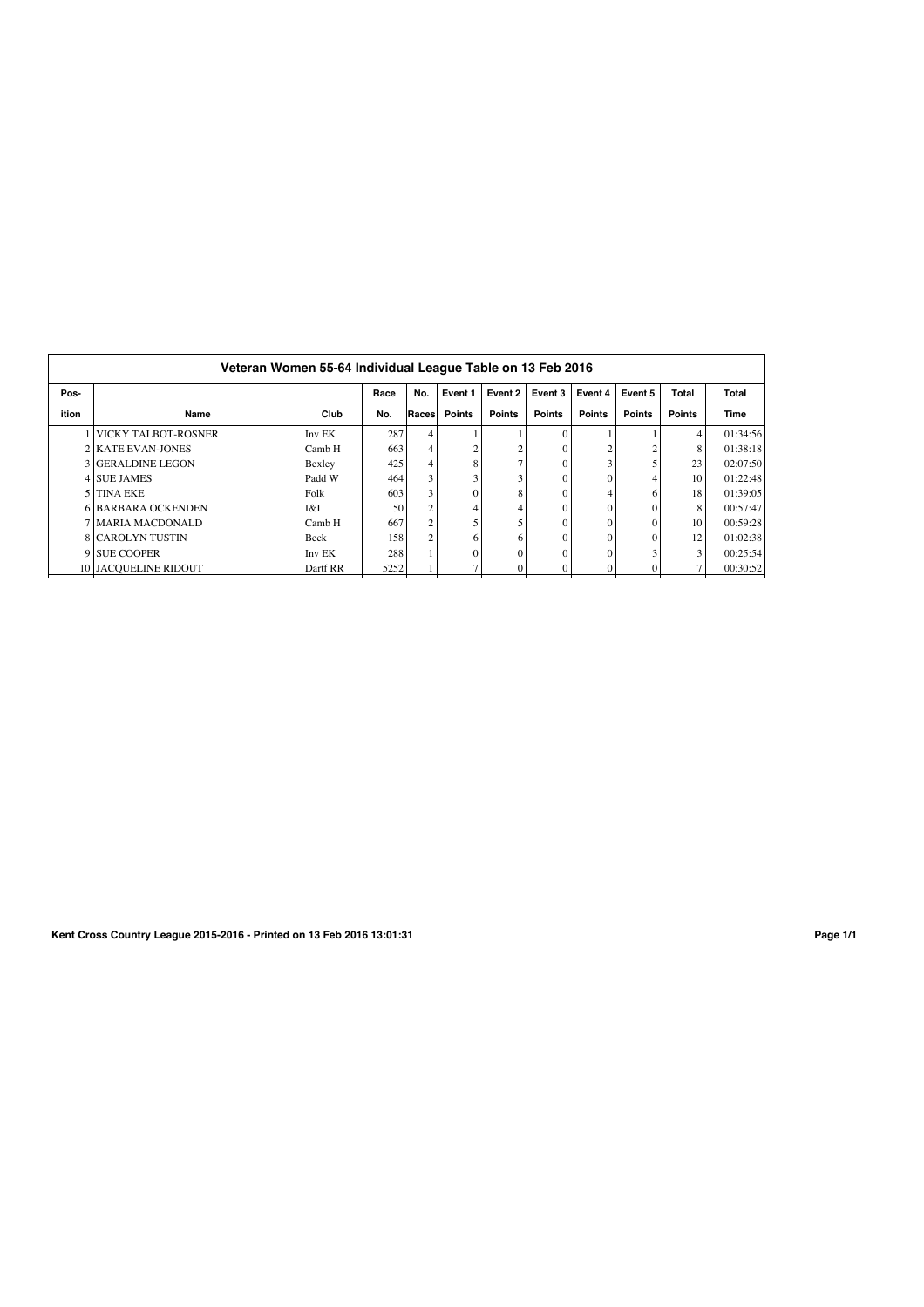|       | Veteran Women 55-64 Individual League Table on 13 Feb 2016 |          |      |        |               |               |               |               |               |               |          |
|-------|------------------------------------------------------------|----------|------|--------|---------------|---------------|---------------|---------------|---------------|---------------|----------|
| Pos-  |                                                            |          | Race | No.    | Event 1       | Event 2       | Event 3       | Event 4       | Event 5       | <b>Total</b>  | Total    |
| ition | Name                                                       | Club     | No.  | Racesl | <b>Points</b> | <b>Points</b> | <b>Points</b> | <b>Points</b> | <b>Points</b> | <b>Points</b> | Time     |
|       | <b>NICKY TALBOT-ROSNER</b>                                 | Inv EK   | 287  |        |               |               |               |               |               | 4             | 01:34:56 |
|       | 2 KATE EVAN-JONES                                          | Camb H   | 663  | 4      | ↑             |               |               | C             |               | 8             | 01:38:18 |
|       | 3 GERALDINE LEGON                                          | Bexley   | 425  |        | 8             |               |               | 3             |               | 23            | 02:07:50 |
|       | 4 SUE JAMES                                                | Padd W   | 464  | 3      |               |               |               | $\theta$      |               | 10            | 01:22:48 |
|       | 5 TINA EKE                                                 | Folk     | 603  | 3      | $\Omega$      |               |               | 4             |               | 18            | 01:39:05 |
|       | <b>6 BARBARA OCKENDEN</b>                                  | I&I      | 50   |        | 4             |               |               | $\theta$      |               | 8             | 00:57:47 |
|       | 7 MARIA MACDONALD                                          | Camb H   | 667  | 2      |               |               |               | $\Omega$      |               | 10            | 00:59:28 |
|       | <b>8 CAROLYN TUSTIN</b>                                    | Beck     | 158  | 2      | 6             |               |               | $\theta$      |               | 12            | 01:02:38 |
|       | 9 SUE COOPER                                               | Inv EK   | 288  |        | $\Omega$      |               |               | $\Omega$      |               | 3             | 00:25:54 |
|       | <b>10 JACOUELINE RIDOUT</b>                                | Dartf RR | 5252 |        |               |               |               | $\Omega$      |               | 7             | 00:30:52 |

**Kent Cross Country League 2015-2016 - Printed on 13 Feb 2016 13:01:31 Page 1/1**